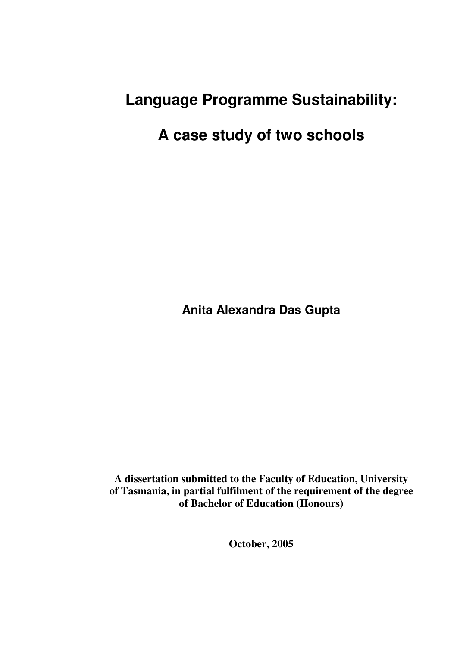# **Language Programme Sustainability:**

# **A case study of two schools**

**Anita Alexandra Das Gupta** 

**A dissertation submitted to the Faculty of Education, University of Tasmania, in partial fulfilment of the requirement of the degree of Bachelor of Education (Honours)** 

**October, 2005**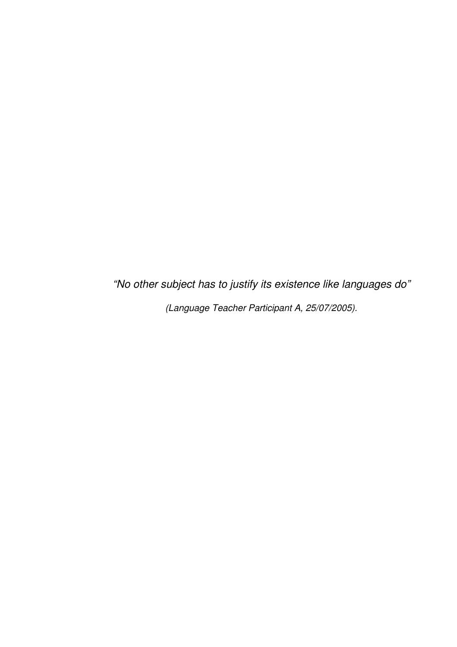"No other subject has to justify its existence like languages do" (Language Teacher Participant A, 25/07/2005).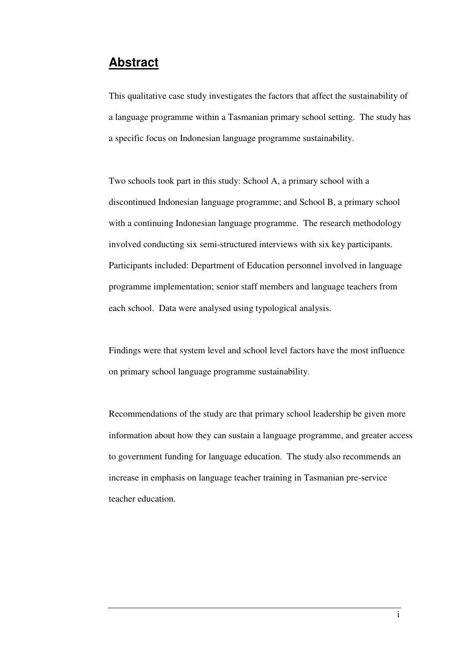# **Abstract**

This qualitative case study investigates the factors that affect the sustainability of a language programme within a Tasmanian primary school setting. The study has a specific focus on Indonesian language programme sustainability.

Two schools took part in this study: School A, a primary school with a discontinued Indonesian language programme; and School B, a primary school with a continuing Indonesian language programme. The research methodology involved conducting six semi-structured interviews with six key participants. Participants included: Department of Education personnel involved in language programme implementation; senior staff members and language teachers from each school. Data were analysed using typological analysis.

Findings were that system level and school level factors have the most influence on primary school language programme sustainability.

Recommendations of the study are that primary school leadership be given more information about how they can sustain a language programme, and greater access to government funding for language education. The study also recommends an increase in emphasis on language teacher training in Tasmanian pre-service teacher education.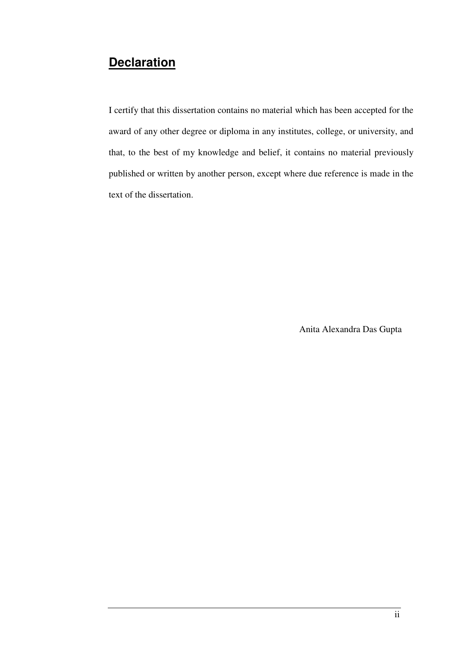# **Declaration**

I certify that this dissertation contains no material which has been accepted for the award of any other degree or diploma in any institutes, college, or university, and that, to the best of my knowledge and belief, it contains no material previously published or written by another person, except where due reference is made in the text of the dissertation.

Anita Alexandra Das Gupta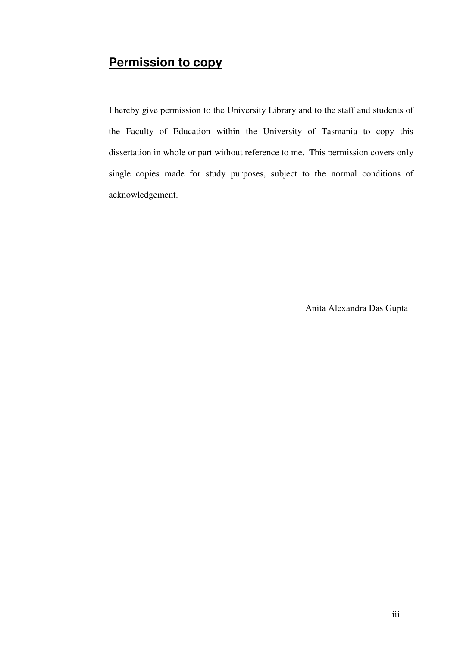# **Permission to copy**

I hereby give permission to the University Library and to the staff and students of the Faculty of Education within the University of Tasmania to copy this dissertation in whole or part without reference to me. This permission covers only single copies made for study purposes, subject to the normal conditions of acknowledgement.

Anita Alexandra Das Gupta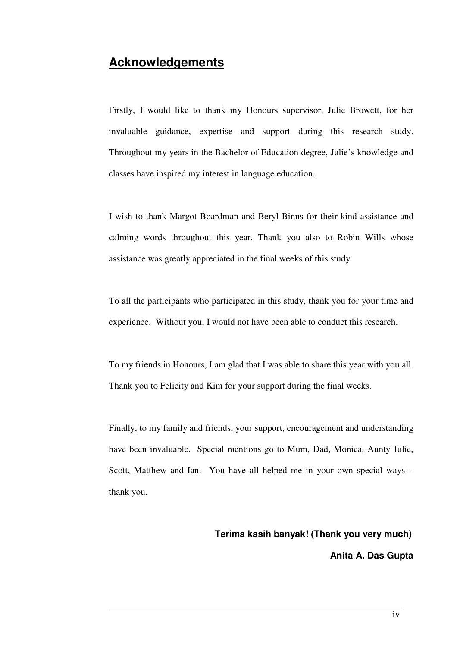# **Acknowledgements**

Firstly, I would like to thank my Honours supervisor, Julie Browett, for her invaluable guidance, expertise and support during this research study. Throughout my years in the Bachelor of Education degree, Julie's knowledge and classes have inspired my interest in language education.

I wish to thank Margot Boardman and Beryl Binns for their kind assistance and calming words throughout this year. Thank you also to Robin Wills whose assistance was greatly appreciated in the final weeks of this study.

To all the participants who participated in this study, thank you for your time and experience. Without you, I would not have been able to conduct this research.

To my friends in Honours, I am glad that I was able to share this year with you all. Thank you to Felicity and Kim for your support during the final weeks.

Finally, to my family and friends, your support, encouragement and understanding have been invaluable. Special mentions go to Mum, Dad, Monica, Aunty Julie, Scott, Matthew and Ian. You have all helped me in your own special ways – thank you.

#### **Terima kasih banyak! (Thank you very much)**

 **Anita A. Das Gupta**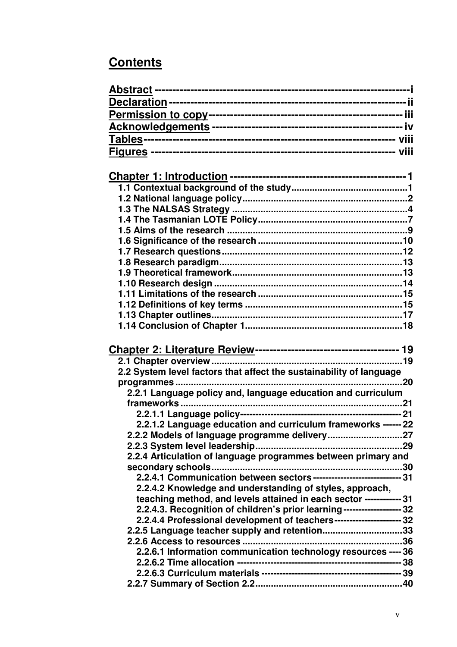# **Contents**

| 2.2 System level factors that affect the sustainability of language     |  |
|-------------------------------------------------------------------------|--|
|                                                                         |  |
| programmes                                                              |  |
| 2.2.1 Language policy and, language education and curriculum            |  |
|                                                                         |  |
|                                                                         |  |
| 2.2.1.2 Language education and curriculum frameworks ------ 22          |  |
| 2.2.2 Models of language programme delivery27                           |  |
|                                                                         |  |
| 2.2.4 Articulation of language programmes between primary and           |  |
| 2.2.4.1 Communication between sectors----------------------------- 31   |  |
| 2.2.4.2 Knowledge and understanding of styles, approach,                |  |
| teaching method, and levels attained in each sector ------------ 31     |  |
| 2.2.4.3. Recognition of children's prior learning------------------- 32 |  |
| 2.2.4.4 Professional development of teachers---------------------- 32   |  |
| 2.2.5 Language teacher supply and retention33                           |  |
|                                                                         |  |
| 2.2.6.1 Information communication technology resources ---- 36          |  |
|                                                                         |  |
|                                                                         |  |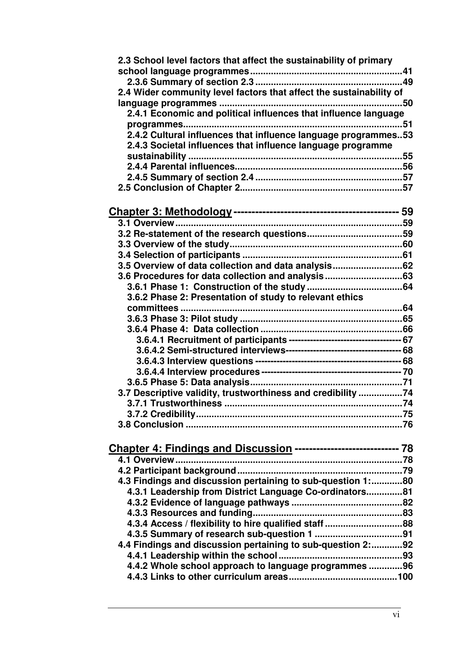| 2.3 School level factors that affect the sustainability of primary  |  |
|---------------------------------------------------------------------|--|
|                                                                     |  |
| 2.4 Wider community level factors that affect the sustainability of |  |
|                                                                     |  |
| 2.4.1 Economic and political influences that influence language     |  |
|                                                                     |  |
| 2.4.2 Cultural influences that influence language programmes53      |  |
| 2.4.3 Societal influences that influence language programme         |  |
|                                                                     |  |
|                                                                     |  |
|                                                                     |  |
|                                                                     |  |
|                                                                     |  |
|                                                                     |  |
|                                                                     |  |
|                                                                     |  |
|                                                                     |  |
|                                                                     |  |
| 3.5 Overview of data collection and data analysis 62                |  |
| 3.6 Procedures for data collection and analysis63                   |  |
|                                                                     |  |
| 3.6.2 Phase 2: Presentation of study to relevant ethics             |  |
|                                                                     |  |
|                                                                     |  |
|                                                                     |  |
|                                                                     |  |
|                                                                     |  |
|                                                                     |  |
|                                                                     |  |
|                                                                     |  |
| 3.7 Descriptive validity, trustworthiness and credibility 74        |  |
|                                                                     |  |
|                                                                     |  |
|                                                                     |  |
|                                                                     |  |
| Chapter 4: Findings and Discussion ---------------------------- 78  |  |
| 4.1 Overview                                                        |  |
|                                                                     |  |
| 4.3 Findings and discussion pertaining to sub-question 1:80         |  |
| 4.3.1 Leadership from District Language Co-ordinators81             |  |
|                                                                     |  |
|                                                                     |  |
| 4.3.4 Access / flexibility to hire qualified staff 88               |  |
|                                                                     |  |
| 4.4 Findings and discussion pertaining to sub-question 2:92         |  |
|                                                                     |  |
| 4.4.2 Whole school approach to language programmes 96               |  |
|                                                                     |  |
|                                                                     |  |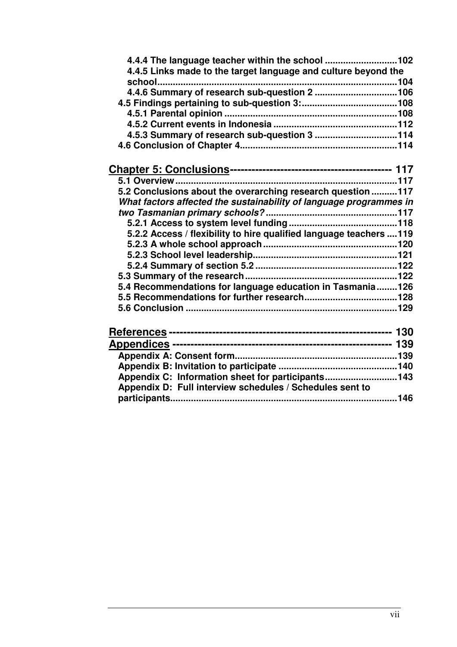| 4.4.5 Links made to the target language and culture beyond the      |  |
|---------------------------------------------------------------------|--|
|                                                                     |  |
| 4.4.6 Summary of research sub-question 2 106                        |  |
|                                                                     |  |
|                                                                     |  |
|                                                                     |  |
| 4.5.3 Summary of research sub-question 3 114                        |  |
|                                                                     |  |
|                                                                     |  |
|                                                                     |  |
| 5.2 Conclusions about the overarching research question 117         |  |
| What factors affected the sustainability of language programmes in  |  |
|                                                                     |  |
|                                                                     |  |
| 5.2.2 Access / flexibility to hire qualified language teachers  119 |  |
|                                                                     |  |
|                                                                     |  |
|                                                                     |  |
|                                                                     |  |
| 5.4 Recommendations for language education in Tasmania 126          |  |
|                                                                     |  |
|                                                                     |  |
|                                                                     |  |
|                                                                     |  |
|                                                                     |  |
|                                                                     |  |
|                                                                     |  |
| Appendix C: Information sheet for participants143                   |  |
| Appendix D: Full interview schedules / Schedules sent to            |  |
|                                                                     |  |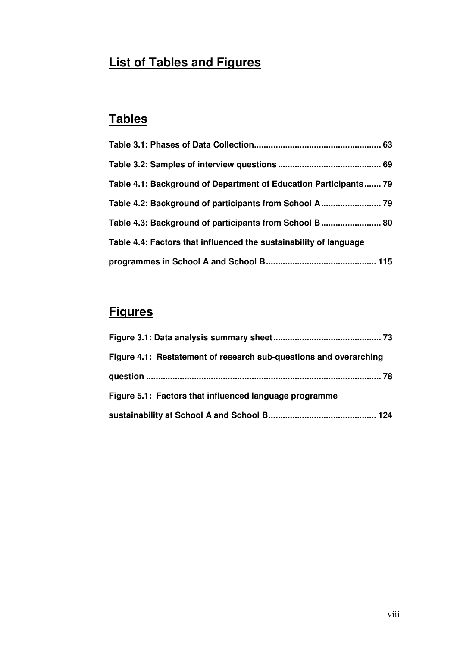# **List of Tables and Figures**

# **Tables**

| Table 4.1: Background of Department of Education Participants 79  |  |
|-------------------------------------------------------------------|--|
|                                                                   |  |
| Table 4.3: Background of participants from School B 80            |  |
| Table 4.4: Factors that influenced the sustainability of language |  |
|                                                                   |  |

# **Figures**

| Figure 4.1: Restatement of research sub-questions and overarching |
|-------------------------------------------------------------------|
|                                                                   |
| Figure 5.1: Factors that influenced language programme            |
|                                                                   |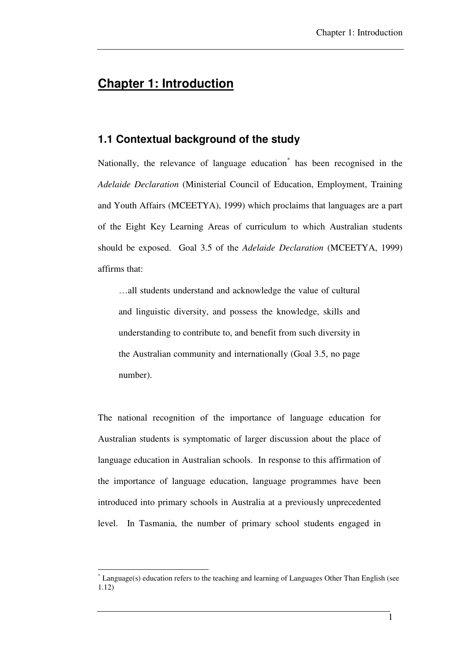# **Chapter 1: Introduction**

## **1.1 Contextual background of the study**

Nationally, the relevance of language education<sup>\*</sup> has been recognised in the *Adelaide Declaration* (Ministerial Council of Education, Employment, Training and Youth Affairs (MCEETYA), 1999) which proclaims that languages are a part of the Eight Key Learning Areas of curriculum to which Australian students should be exposed. Goal 3.5 of the *Adelaide Declaration* (MCEETYA, 1999) affirms that:

…all students understand and acknowledge the value of cultural and linguistic diversity, and possess the knowledge, skills and understanding to contribute to, and benefit from such diversity in the Australian community and internationally (Goal 3.5, no page number).

The national recognition of the importance of language education for Australian students is symptomatic of larger discussion about the place of language education in Australian schools. In response to this affirmation of the importance of language education, language programmes have been introduced into primary schools in Australia at a previously unprecedented level. In Tasmania, the number of primary school students engaged in

 $\overline{a}$ 

<sup>\*</sup> Language(s) education refers to the teaching and learning of Languages Other Than English (see 1.12)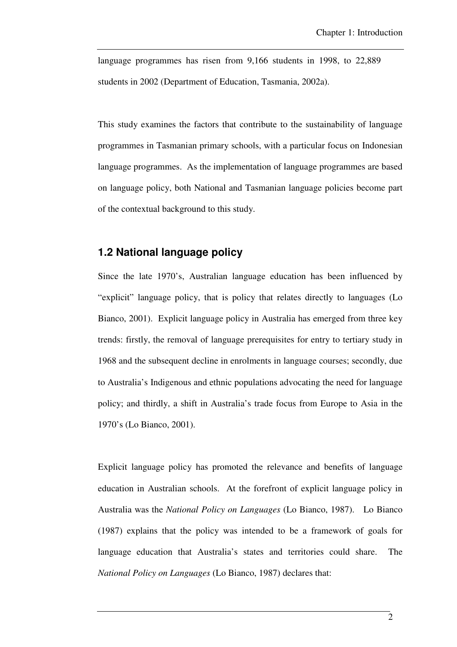language programmes has risen from 9,166 students in 1998, to 22,889 students in 2002 (Department of Education, Tasmania, 2002a).

This study examines the factors that contribute to the sustainability of language programmes in Tasmanian primary schools, with a particular focus on Indonesian language programmes. As the implementation of language programmes are based on language policy, both National and Tasmanian language policies become part of the contextual background to this study.

# **1.2 National language policy**

Since the late 1970's, Australian language education has been influenced by "explicit" language policy, that is policy that relates directly to languages (Lo Bianco, 2001). Explicit language policy in Australia has emerged from three key trends: firstly, the removal of language prerequisites for entry to tertiary study in 1968 and the subsequent decline in enrolments in language courses; secondly, due to Australia's Indigenous and ethnic populations advocating the need for language policy; and thirdly, a shift in Australia's trade focus from Europe to Asia in the 1970's (Lo Bianco, 2001).

Explicit language policy has promoted the relevance and benefits of language education in Australian schools. At the forefront of explicit language policy in Australia was the *National Policy on Languages* (Lo Bianco, 1987). Lo Bianco (1987) explains that the policy was intended to be a framework of goals for language education that Australia's states and territories could share. The *National Policy on Languages* (Lo Bianco, 1987) declares that: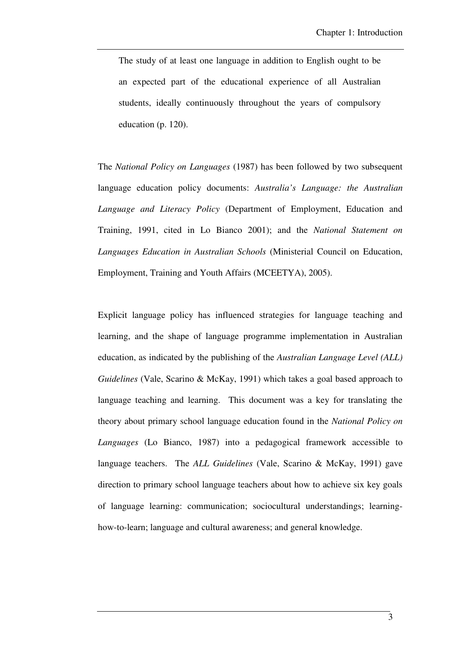The study of at least one language in addition to English ought to be an expected part of the educational experience of all Australian students, ideally continuously throughout the years of compulsory education (p. 120).

The *National Policy on Languages* (1987) has been followed by two subsequent language education policy documents: *Australia's Language: the Australian Language and Literacy Policy* (Department of Employment, Education and Training, 1991, cited in Lo Bianco 2001); and the *National Statement on Languages Education in Australian Schools* (Ministerial Council on Education, Employment, Training and Youth Affairs (MCEETYA), 2005).

Explicit language policy has influenced strategies for language teaching and learning, and the shape of language programme implementation in Australian education, as indicated by the publishing of the *Australian Language Level (ALL) Guidelines* (Vale, Scarino & McKay, 1991) which takes a goal based approach to language teaching and learning. This document was a key for translating the theory about primary school language education found in the *National Policy on Languages* (Lo Bianco, 1987) into a pedagogical framework accessible to language teachers. The *ALL Guidelines* (Vale, Scarino & McKay, 1991) gave direction to primary school language teachers about how to achieve six key goals of language learning: communication; sociocultural understandings; learninghow-to-learn; language and cultural awareness; and general knowledge.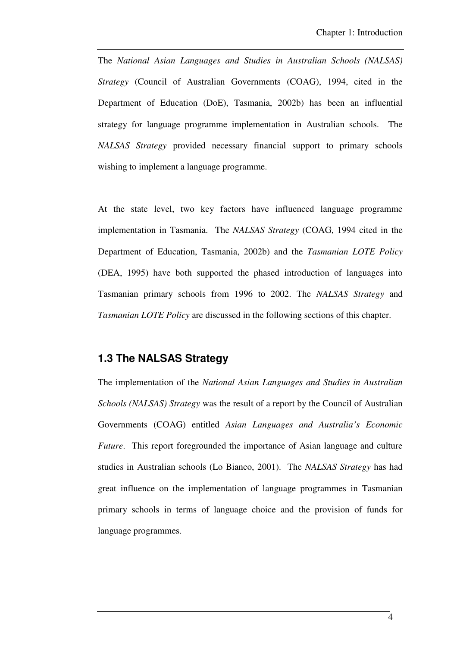The *National Asian Languages and Studies in Australian Schools (NALSAS) Strategy* (Council of Australian Governments (COAG), 1994, cited in the Department of Education (DoE), Tasmania, 2002b) has been an influential strategy for language programme implementation in Australian schools. The *NALSAS Strategy* provided necessary financial support to primary schools wishing to implement a language programme.

At the state level, two key factors have influenced language programme implementation in Tasmania. The *NALSAS Strategy* (COAG, 1994 cited in the Department of Education, Tasmania, 2002b) and the *Tasmanian LOTE Policy* (DEA, 1995) have both supported the phased introduction of languages into Tasmanian primary schools from 1996 to 2002. The *NALSAS Strategy* and *Tasmanian LOTE Policy* are discussed in the following sections of this chapter.

### **1.3 The NALSAS Strategy**

The implementation of the *National Asian Languages and Studies in Australian Schools (NALSAS) Strategy* was the result of a report by the Council of Australian Governments (COAG) entitled *Asian Languages and Australia's Economic Future*. This report foregrounded the importance of Asian language and culture studies in Australian schools (Lo Bianco, 2001). The *NALSAS Strategy* has had great influence on the implementation of language programmes in Tasmanian primary schools in terms of language choice and the provision of funds for language programmes.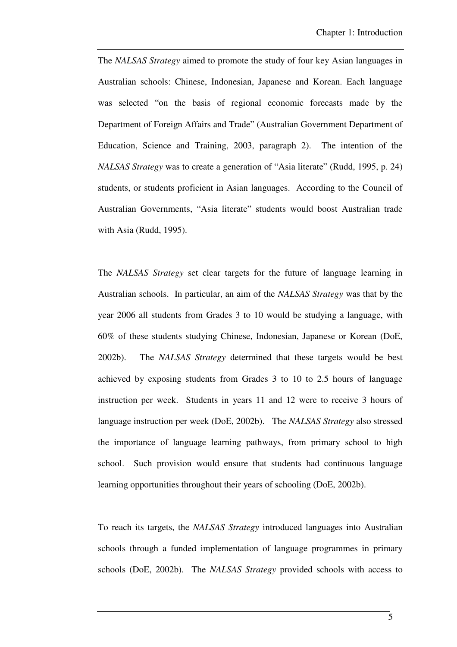The *NALSAS Strategy* aimed to promote the study of four key Asian languages in Australian schools: Chinese, Indonesian, Japanese and Korean. Each language was selected "on the basis of regional economic forecasts made by the Department of Foreign Affairs and Trade" (Australian Government Department of Education, Science and Training, 2003, paragraph 2). The intention of the *NALSAS Strategy* was to create a generation of "Asia literate" (Rudd, 1995, p. 24) students, or students proficient in Asian languages. According to the Council of Australian Governments, "Asia literate" students would boost Australian trade with Asia (Rudd, 1995).

The *NALSAS Strategy* set clear targets for the future of language learning in Australian schools. In particular, an aim of the *NALSAS Strategy* was that by the year 2006 all students from Grades 3 to 10 would be studying a language, with 60% of these students studying Chinese, Indonesian, Japanese or Korean (DoE, 2002b). The *NALSAS Strategy* determined that these targets would be best achieved by exposing students from Grades 3 to 10 to 2.5 hours of language instruction per week. Students in years 11 and 12 were to receive 3 hours of language instruction per week (DoE, 2002b). The *NALSAS Strategy* also stressed the importance of language learning pathways, from primary school to high school. Such provision would ensure that students had continuous language learning opportunities throughout their years of schooling (DoE, 2002b).

To reach its targets, the *NALSAS Strategy* introduced languages into Australian schools through a funded implementation of language programmes in primary schools (DoE, 2002b). The *NALSAS Strategy* provided schools with access to

5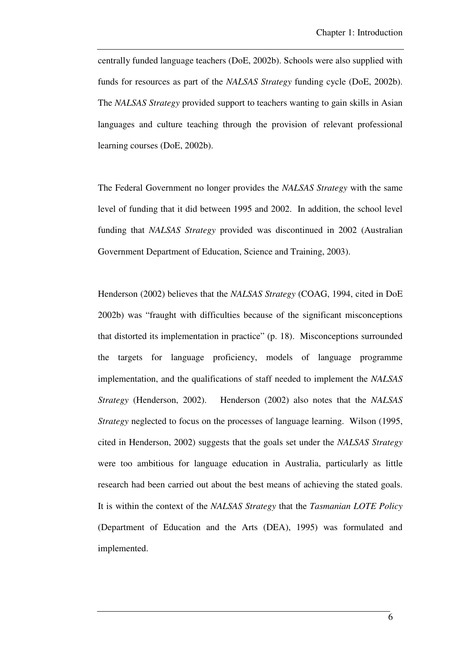centrally funded language teachers (DoE, 2002b). Schools were also supplied with funds for resources as part of the *NALSAS Strategy* funding cycle (DoE, 2002b). The *NALSAS Strategy* provided support to teachers wanting to gain skills in Asian languages and culture teaching through the provision of relevant professional learning courses (DoE, 2002b).

The Federal Government no longer provides the *NALSAS Strategy* with the same level of funding that it did between 1995 and 2002. In addition, the school level funding that *NALSAS Strategy* provided was discontinued in 2002 (Australian Government Department of Education, Science and Training, 2003).

Henderson (2002) believes that the *NALSAS Strategy* (COAG, 1994, cited in DoE 2002b) was "fraught with difficulties because of the significant misconceptions that distorted its implementation in practice" (p. 18). Misconceptions surrounded the targets for language proficiency, models of language programme implementation, and the qualifications of staff needed to implement the *NALSAS Strategy* (Henderson, 2002). Henderson (2002) also notes that the *NALSAS Strategy* neglected to focus on the processes of language learning. Wilson (1995, cited in Henderson, 2002) suggests that the goals set under the *NALSAS Strategy* were too ambitious for language education in Australia, particularly as little research had been carried out about the best means of achieving the stated goals. It is within the context of the *NALSAS Strategy* that the *Tasmanian LOTE Policy* (Department of Education and the Arts (DEA), 1995) was formulated and implemented.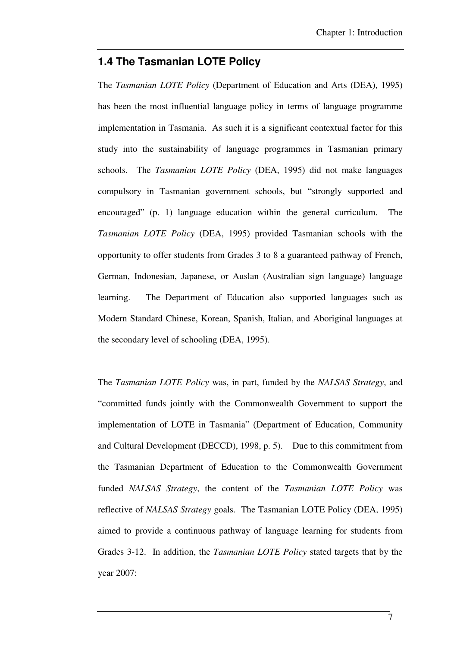### **1.4 The Tasmanian LOTE Policy**

The *Tasmanian LOTE Policy* (Department of Education and Arts (DEA), 1995) has been the most influential language policy in terms of language programme implementation in Tasmania. As such it is a significant contextual factor for this study into the sustainability of language programmes in Tasmanian primary schools. The *Tasmanian LOTE Policy* (DEA, 1995) did not make languages compulsory in Tasmanian government schools, but "strongly supported and encouraged" (p. 1) language education within the general curriculum. The *Tasmanian LOTE Policy* (DEA, 1995) provided Tasmanian schools with the opportunity to offer students from Grades 3 to 8 a guaranteed pathway of French, German, Indonesian, Japanese, or Auslan (Australian sign language) language learning. The Department of Education also supported languages such as Modern Standard Chinese, Korean, Spanish, Italian, and Aboriginal languages at the secondary level of schooling (DEA, 1995).

The *Tasmanian LOTE Policy* was, in part, funded by the *NALSAS Strategy*, and "committed funds jointly with the Commonwealth Government to support the implementation of LOTE in Tasmania" (Department of Education, Community and Cultural Development (DECCD), 1998, p. 5). Due to this commitment from the Tasmanian Department of Education to the Commonwealth Government funded *NALSAS Strategy*, the content of the *Tasmanian LOTE Policy* was reflective of *NALSAS Strategy* goals. The Tasmanian LOTE Policy (DEA, 1995) aimed to provide a continuous pathway of language learning for students from Grades 3-12. In addition, the *Tasmanian LOTE Policy* stated targets that by the year 2007:

7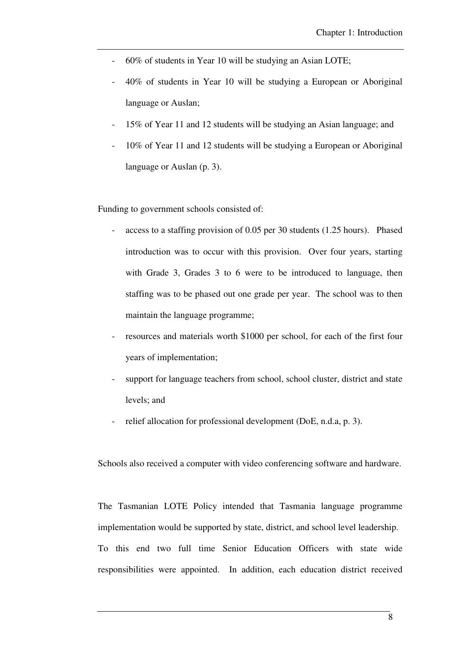- 60% of students in Year 10 will be studying an Asian LOTE;
- 40% of students in Year 10 will be studying a European or Aboriginal language or Auslan;
- 15% of Year 11 and 12 students will be studying an Asian language; and
- 10% of Year 11 and 12 students will be studying a European or Aboriginal language or Auslan (p. 3).

Funding to government schools consisted of:

- access to a staffing provision of 0.05 per 30 students (1.25 hours). Phased introduction was to occur with this provision. Over four years, starting with Grade 3, Grades 3 to 6 were to be introduced to language, then staffing was to be phased out one grade per year. The school was to then maintain the language programme;
- resources and materials worth \$1000 per school, for each of the first four years of implementation;
- support for language teachers from school, school cluster, district and state levels; and
- relief allocation for professional development (DoE, n.d.a, p. 3).

Schools also received a computer with video conferencing software and hardware.

The Tasmanian LOTE Policy intended that Tasmania language programme implementation would be supported by state, district, and school level leadership. To this end two full time Senior Education Officers with state wide responsibilities were appointed. In addition, each education district received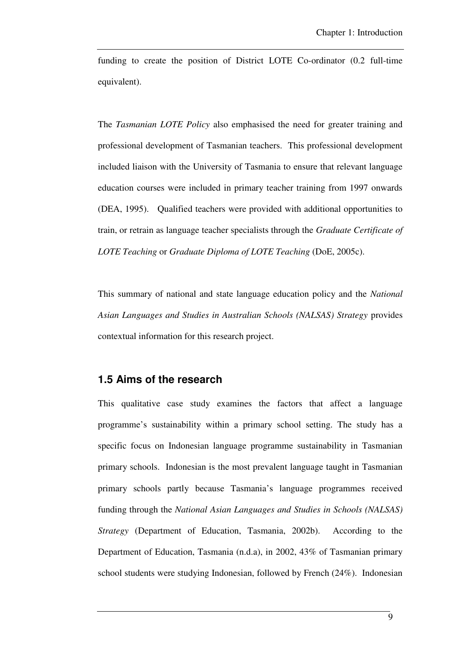funding to create the position of District LOTE Co-ordinator (0.2 full-time equivalent).

The *Tasmanian LOTE Policy* also emphasised the need for greater training and professional development of Tasmanian teachers. This professional development included liaison with the University of Tasmania to ensure that relevant language education courses were included in primary teacher training from 1997 onwards (DEA, 1995). Qualified teachers were provided with additional opportunities to train, or retrain as language teacher specialists through the *Graduate Certificate of LOTE Teaching* or *Graduate Diploma of LOTE Teaching* (DoE, 2005c).

This summary of national and state language education policy and the *National Asian Languages and Studies in Australian Schools (NALSAS) Strategy* provides contextual information for this research project.

### **1.5 Aims of the research**

This qualitative case study examines the factors that affect a language programme's sustainability within a primary school setting. The study has a specific focus on Indonesian language programme sustainability in Tasmanian primary schools. Indonesian is the most prevalent language taught in Tasmanian primary schools partly because Tasmania's language programmes received funding through the *National Asian Languages and Studies in Schools (NALSAS) Strategy* (Department of Education, Tasmania, 2002b). According to the Department of Education, Tasmania (n.d.a), in 2002, 43% of Tasmanian primary school students were studying Indonesian, followed by French (24%). Indonesian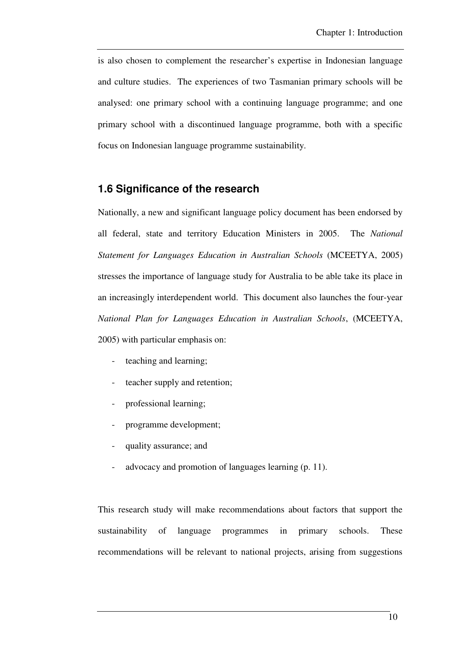is also chosen to complement the researcher's expertise in Indonesian language and culture studies. The experiences of two Tasmanian primary schools will be analysed: one primary school with a continuing language programme; and one primary school with a discontinued language programme, both with a specific focus on Indonesian language programme sustainability.

## **1.6 Significance of the research**

Nationally, a new and significant language policy document has been endorsed by all federal, state and territory Education Ministers in 2005. The *National Statement for Languages Education in Australian Schools* (MCEETYA, 2005) stresses the importance of language study for Australia to be able take its place in an increasingly interdependent world. This document also launches the four-year *National Plan for Languages Education in Australian Schools*, (MCEETYA, 2005) with particular emphasis on:

- teaching and learning;
- teacher supply and retention;
- professional learning;
- programme development;
- quality assurance; and
- advocacy and promotion of languages learning (p. 11).

This research study will make recommendations about factors that support the sustainability of language programmes in primary schools. These recommendations will be relevant to national projects, arising from suggestions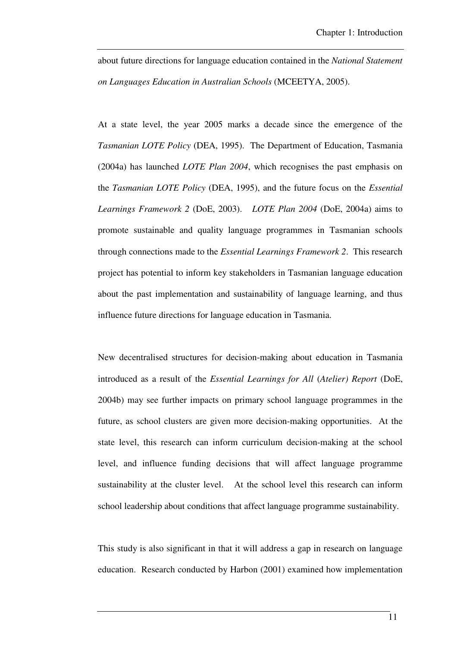about future directions for language education contained in the *National Statement on Languages Education in Australian Schools* (MCEETYA, 2005).

At a state level, the year 2005 marks a decade since the emergence of the *Tasmanian LOTE Policy* (DEA, 1995). The Department of Education, Tasmania (2004a) has launched *LOTE Plan 2004*, which recognises the past emphasis on the *Tasmanian LOTE Policy* (DEA, 1995), and the future focus on the *Essential Learnings Framework 2* (DoE, 2003). *LOTE Plan 2004* (DoE, 2004a) aims to promote sustainable and quality language programmes in Tasmanian schools through connections made to the *Essential Learnings Framework 2*. This research project has potential to inform key stakeholders in Tasmanian language education about the past implementation and sustainability of language learning, and thus influence future directions for language education in Tasmania.

New decentralised structures for decision-making about education in Tasmania introduced as a result of the *Essential Learnings for All* (*Atelier) Report* (DoE, 2004b) may see further impacts on primary school language programmes in the future, as school clusters are given more decision-making opportunities. At the state level, this research can inform curriculum decision-making at the school level, and influence funding decisions that will affect language programme sustainability at the cluster level. At the school level this research can inform school leadership about conditions that affect language programme sustainability.

This study is also significant in that it will address a gap in research on language education. Research conducted by Harbon (2001) examined how implementation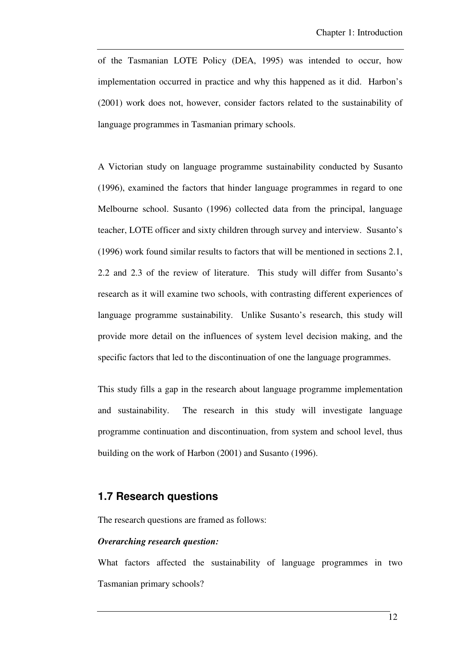of the Tasmanian LOTE Policy (DEA, 1995) was intended to occur, how implementation occurred in practice and why this happened as it did. Harbon's (2001) work does not, however, consider factors related to the sustainability of language programmes in Tasmanian primary schools.

A Victorian study on language programme sustainability conducted by Susanto (1996), examined the factors that hinder language programmes in regard to one Melbourne school. Susanto (1996) collected data from the principal, language teacher, LOTE officer and sixty children through survey and interview. Susanto's (1996) work found similar results to factors that will be mentioned in sections 2.1, 2.2 and 2.3 of the review of literature. This study will differ from Susanto's research as it will examine two schools, with contrasting different experiences of language programme sustainability. Unlike Susanto's research, this study will provide more detail on the influences of system level decision making, and the specific factors that led to the discontinuation of one the language programmes.

This study fills a gap in the research about language programme implementation and sustainability. The research in this study will investigate language programme continuation and discontinuation, from system and school level, thus building on the work of Harbon (2001) and Susanto (1996).

### **1.7 Research questions**

The research questions are framed as follows:

#### *Overarching research question:*

What factors affected the sustainability of language programmes in two Tasmanian primary schools?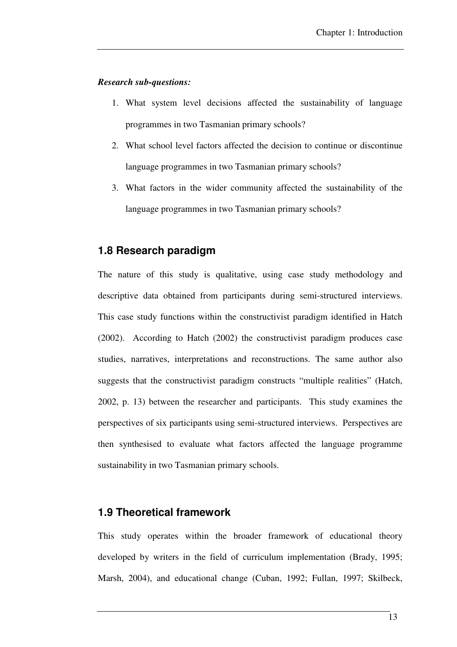#### *Research sub-questions:*

- 1. What system level decisions affected the sustainability of language programmes in two Tasmanian primary schools?
- 2. What school level factors affected the decision to continue or discontinue language programmes in two Tasmanian primary schools?
- 3. What factors in the wider community affected the sustainability of the language programmes in two Tasmanian primary schools?

### **1.8 Research paradigm**

The nature of this study is qualitative, using case study methodology and descriptive data obtained from participants during semi-structured interviews. This case study functions within the constructivist paradigm identified in Hatch (2002). According to Hatch (2002) the constructivist paradigm produces case studies, narratives, interpretations and reconstructions. The same author also suggests that the constructivist paradigm constructs "multiple realities" (Hatch, 2002, p. 13) between the researcher and participants. This study examines the perspectives of six participants using semi-structured interviews. Perspectives are then synthesised to evaluate what factors affected the language programme sustainability in two Tasmanian primary schools.

### **1.9 Theoretical framework**

This study operates within the broader framework of educational theory developed by writers in the field of curriculum implementation (Brady, 1995; Marsh, 2004), and educational change (Cuban, 1992; Fullan, 1997; Skilbeck,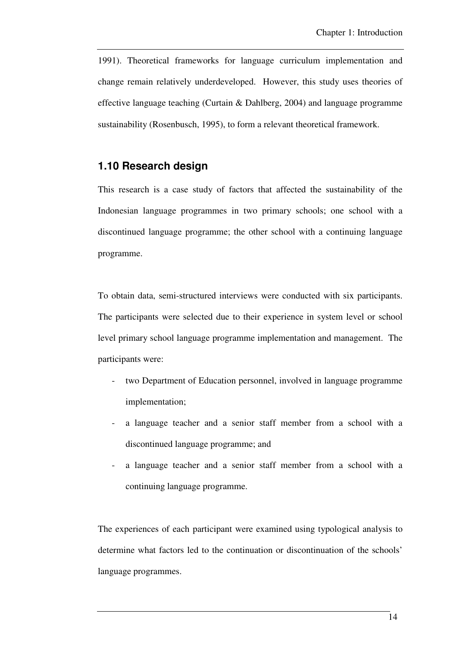1991). Theoretical frameworks for language curriculum implementation and change remain relatively underdeveloped. However, this study uses theories of effective language teaching (Curtain & Dahlberg, 2004) and language programme sustainability (Rosenbusch, 1995), to form a relevant theoretical framework.

## **1.10 Research design**

This research is a case study of factors that affected the sustainability of the Indonesian language programmes in two primary schools; one school with a discontinued language programme; the other school with a continuing language programme.

To obtain data, semi-structured interviews were conducted with six participants. The participants were selected due to their experience in system level or school level primary school language programme implementation and management. The participants were:

- two Department of Education personnel, involved in language programme implementation;
- a language teacher and a senior staff member from a school with a discontinued language programme; and
- a language teacher and a senior staff member from a school with a continuing language programme.

The experiences of each participant were examined using typological analysis to determine what factors led to the continuation or discontinuation of the schools' language programmes.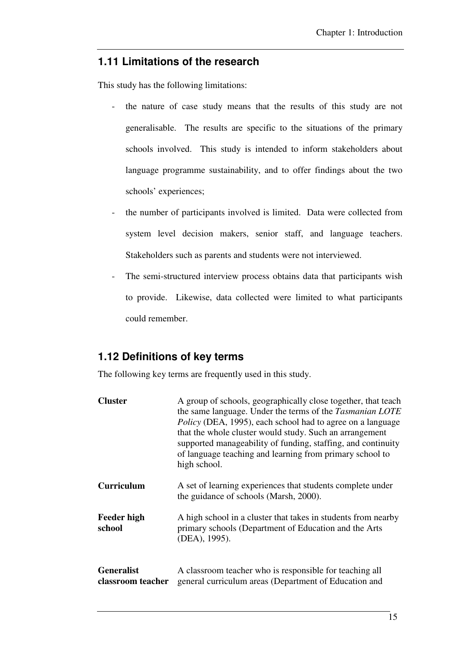## **1.11 Limitations of the research**

This study has the following limitations:

- the nature of case study means that the results of this study are not generalisable. The results are specific to the situations of the primary schools involved. This study is intended to inform stakeholders about language programme sustainability, and to offer findings about the two schools' experiences;
- the number of participants involved is limited. Data were collected from system level decision makers, senior staff, and language teachers. Stakeholders such as parents and students were not interviewed.
- The semi-structured interview process obtains data that participants wish to provide. Likewise, data collected were limited to what participants could remember.

# **1.12 Definitions of key terms**

The following key terms are frequently used in this study.

| <b>Cluster</b>                         | A group of schools, geographically close together, that teach<br>the same language. Under the terms of the Tasmanian LOTE<br><i>Policy</i> (DEA, 1995), each school had to agree on a language<br>that the whole cluster would study. Such an arrangement<br>supported manageability of funding, staffing, and continuity<br>of language teaching and learning from primary school to<br>high school. |
|----------------------------------------|-------------------------------------------------------------------------------------------------------------------------------------------------------------------------------------------------------------------------------------------------------------------------------------------------------------------------------------------------------------------------------------------------------|
| <b>Curriculum</b>                      | A set of learning experiences that students complete under<br>the guidance of schools (Marsh, 2000).                                                                                                                                                                                                                                                                                                  |
| <b>Feeder high</b><br>school           | A high school in a cluster that takes in students from nearby<br>primary schools (Department of Education and the Arts<br>(DEA), 1995).                                                                                                                                                                                                                                                               |
| <b>Generalist</b><br>classroom teacher | A classroom teacher who is responsible for teaching all<br>general curriculum areas (Department of Education and                                                                                                                                                                                                                                                                                      |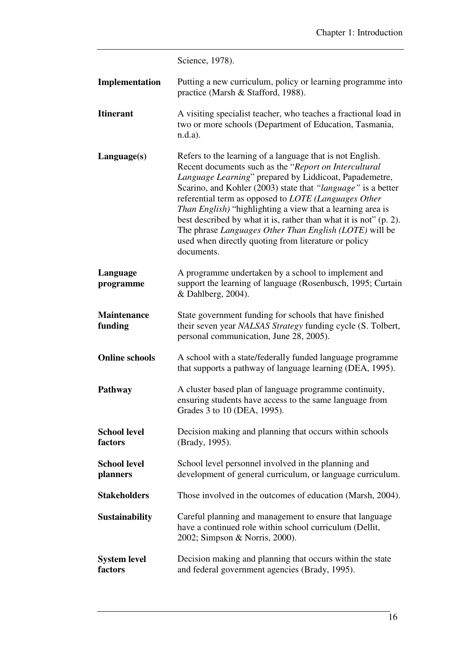|                                 | Science, 1978).                                                                                                                                                                                                                                                                                                                                                                                                                                                                                                                                                                        |
|---------------------------------|----------------------------------------------------------------------------------------------------------------------------------------------------------------------------------------------------------------------------------------------------------------------------------------------------------------------------------------------------------------------------------------------------------------------------------------------------------------------------------------------------------------------------------------------------------------------------------------|
| Implementation                  | Putting a new curriculum, policy or learning programme into<br>practice (Marsh & Stafford, 1988).                                                                                                                                                                                                                                                                                                                                                                                                                                                                                      |
| <b>Itinerant</b>                | A visiting specialist teacher, who teaches a fractional load in<br>two or more schools (Department of Education, Tasmania,<br>$n.d.a$ ).                                                                                                                                                                                                                                                                                                                                                                                                                                               |
| Language(s)                     | Refers to the learning of a language that is not English.<br>Recent documents such as the "Report on Intercultural<br>Language Learning" prepared by Liddicoat, Papademetre,<br>Scarino, and Kohler (2003) state that "language" is a better<br>referential term as opposed to <i>LOTE</i> (Languages Other<br><i>Than English</i> ) "highlighting a view that a learning area is<br>best described by what it is, rather than what it is not" (p. 2).<br>The phrase Languages Other Than English (LOTE) will be<br>used when directly quoting from literature or policy<br>documents. |
| Language<br>programme           | A programme undertaken by a school to implement and<br>support the learning of language (Rosenbusch, 1995; Curtain<br>& Dahlberg, 2004).                                                                                                                                                                                                                                                                                                                                                                                                                                               |
| <b>Maintenance</b><br>funding   | State government funding for schools that have finished<br>their seven year NALSAS Strategy funding cycle (S. Tolbert,<br>personal communication, June 28, 2005).                                                                                                                                                                                                                                                                                                                                                                                                                      |
| <b>Online schools</b>           | A school with a state/federally funded language programme<br>that supports a pathway of language learning (DEA, 1995).                                                                                                                                                                                                                                                                                                                                                                                                                                                                 |
| Pathway                         | A cluster based plan of language programme continuity,<br>ensuring students have access to the same language from<br>Grades 3 to 10 (DEA, 1995).                                                                                                                                                                                                                                                                                                                                                                                                                                       |
| <b>School level</b><br>factors  | Decision making and planning that occurs within schools<br>(Brady, 1995).                                                                                                                                                                                                                                                                                                                                                                                                                                                                                                              |
| <b>School level</b><br>planners | School level personnel involved in the planning and<br>development of general curriculum, or language curriculum.                                                                                                                                                                                                                                                                                                                                                                                                                                                                      |
| <b>Stakeholders</b>             | Those involved in the outcomes of education (Marsh, 2004).                                                                                                                                                                                                                                                                                                                                                                                                                                                                                                                             |
| <b>Sustainability</b>           | Careful planning and management to ensure that language<br>have a continued role within school curriculum (Dellit,<br>2002; Simpson & Norris, 2000).                                                                                                                                                                                                                                                                                                                                                                                                                                   |
| <b>System level</b><br>factors  | Decision making and planning that occurs within the state<br>and federal government agencies (Brady, 1995).                                                                                                                                                                                                                                                                                                                                                                                                                                                                            |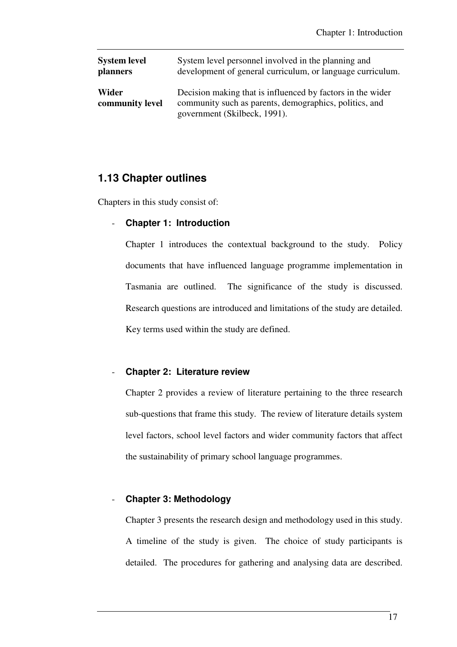| <b>System level</b>      | System level personnel involved in the planning and                                                                                                  |
|--------------------------|------------------------------------------------------------------------------------------------------------------------------------------------------|
| <b>planners</b>          | development of general curriculum, or language curriculum.                                                                                           |
| Wider<br>community level | Decision making that is influenced by factors in the wider<br>community such as parents, demographics, politics, and<br>government (Skilbeck, 1991). |

## **1.13 Chapter outlines**

Chapters in this study consist of:

### - **Chapter 1: Introduction**

Chapter 1 introduces the contextual background to the study. Policy documents that have influenced language programme implementation in Tasmania are outlined. The significance of the study is discussed. Research questions are introduced and limitations of the study are detailed. Key terms used within the study are defined.

#### - **Chapter 2: Literature review**

Chapter 2 provides a review of literature pertaining to the three research sub-questions that frame this study. The review of literature details system level factors, school level factors and wider community factors that affect the sustainability of primary school language programmes.

#### - **Chapter 3: Methodology**

Chapter 3 presents the research design and methodology used in this study. A timeline of the study is given. The choice of study participants is detailed. The procedures for gathering and analysing data are described.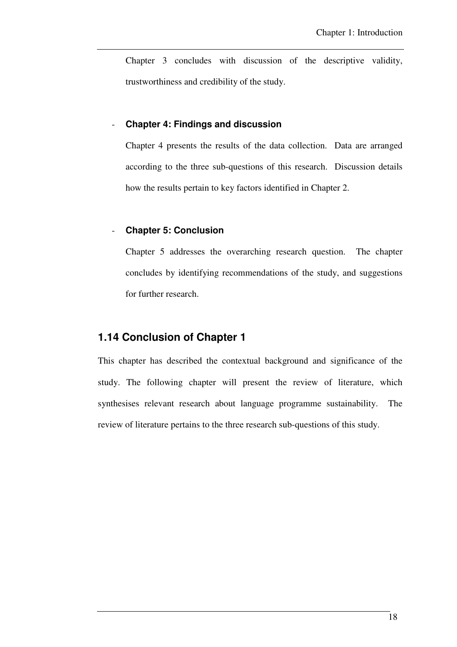Chapter 3 concludes with discussion of the descriptive validity, trustworthiness and credibility of the study.

### - **Chapter 4: Findings and discussion**

Chapter 4 presents the results of the data collection. Data are arranged according to the three sub-questions of this research. Discussion details how the results pertain to key factors identified in Chapter 2.

### - **Chapter 5: Conclusion**

Chapter 5 addresses the overarching research question. The chapter concludes by identifying recommendations of the study, and suggestions for further research.

## **1.14 Conclusion of Chapter 1**

This chapter has described the contextual background and significance of the study. The following chapter will present the review of literature, which synthesises relevant research about language programme sustainability. The review of literature pertains to the three research sub-questions of this study.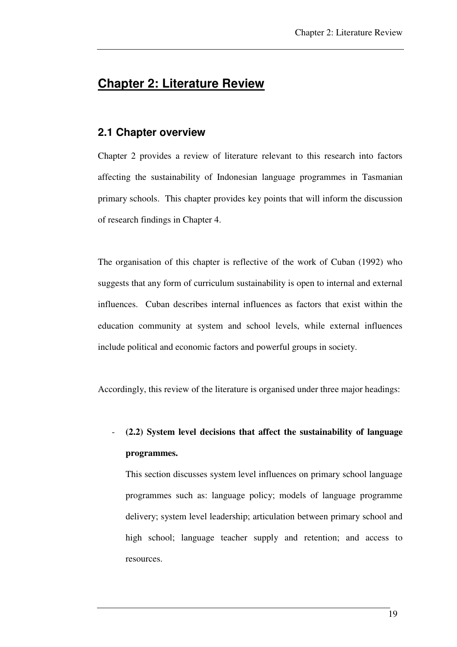# **Chapter 2: Literature Review**

## **2.1 Chapter overview**

Chapter 2 provides a review of literature relevant to this research into factors affecting the sustainability of Indonesian language programmes in Tasmanian primary schools. This chapter provides key points that will inform the discussion of research findings in Chapter 4.

The organisation of this chapter is reflective of the work of Cuban (1992) who suggests that any form of curriculum sustainability is open to internal and external influences. Cuban describes internal influences as factors that exist within the education community at system and school levels, while external influences include political and economic factors and powerful groups in society.

Accordingly, this review of the literature is organised under three major headings:

- **(2.2) System level decisions that affect the sustainability of language programmes.** 

This section discusses system level influences on primary school language programmes such as: language policy; models of language programme delivery; system level leadership; articulation between primary school and high school; language teacher supply and retention; and access to resources.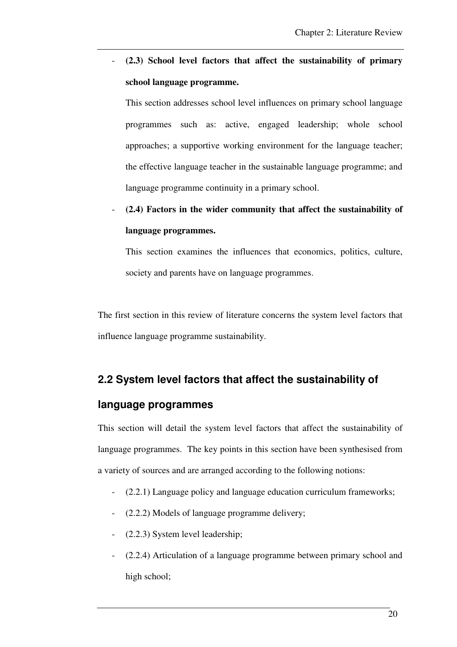- **(2.3) School level factors that affect the sustainability of primary school language programme.** 

This section addresses school level influences on primary school language programmes such as: active, engaged leadership; whole school approaches; a supportive working environment for the language teacher; the effective language teacher in the sustainable language programme; and language programme continuity in a primary school.

- **(2.4) Factors in the wider community that affect the sustainability of language programmes.** 

This section examines the influences that economics, politics, culture, society and parents have on language programmes.

The first section in this review of literature concerns the system level factors that influence language programme sustainability.

# **2.2 System level factors that affect the sustainability of**

## **language programmes**

This section will detail the system level factors that affect the sustainability of language programmes. The key points in this section have been synthesised from a variety of sources and are arranged according to the following notions:

- (2.2.1) Language policy and language education curriculum frameworks;
- (2.2.2) Models of language programme delivery;
- (2.2.3) System level leadership;
- (2.2.4) Articulation of a language programme between primary school and high school;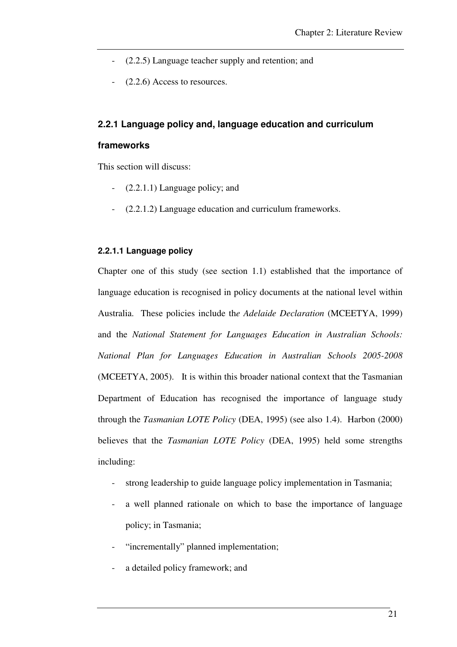- (2.2.5) Language teacher supply and retention; and
- $(2.2.6)$  Access to resources.

#### **2.2.1 Language policy and, language education and curriculum**

#### **frameworks**

This section will discuss:

- $(2.2.1.1)$  Language policy; and
- (2.2.1.2) Language education and curriculum frameworks.

#### **2.2.1.1 Language policy**

Chapter one of this study (see section 1.1) established that the importance of language education is recognised in policy documents at the national level within Australia. These policies include th*e Adelaide Declaration* (MCEETYA, 1999) and the *National Statement for Languages Education in Australian Schools: National Plan for Languages Education in Australian Schools 2005-2008*  (MCEETYA, 2005). It is within this broader national context that the Tasmanian Department of Education has recognised the importance of language study through the *Tasmanian LOTE Policy* (DEA, 1995) (see also 1.4). Harbon (2000) believes that the *Tasmanian LOTE Policy* (DEA, 1995) held some strengths including:

- strong leadership to guide language policy implementation in Tasmania;
- a well planned rationale on which to base the importance of language policy; in Tasmania;
- "incrementally" planned implementation;
- a detailed policy framework; and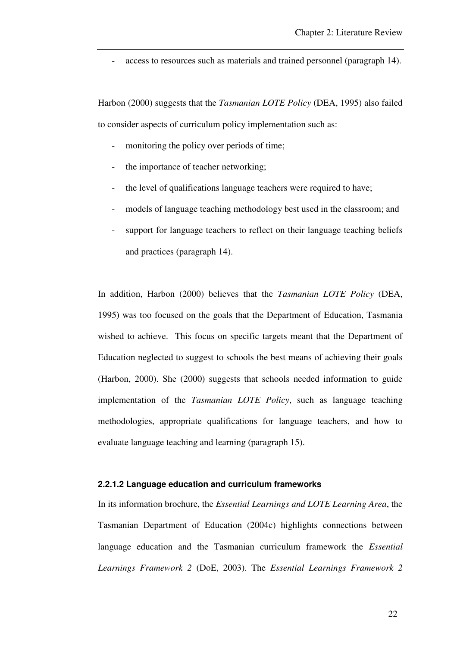- access to resources such as materials and trained personnel (paragraph 14).

Harbon (2000) suggests that the *Tasmanian LOTE Policy* (DEA, 1995) also failed to consider aspects of curriculum policy implementation such as:

- monitoring the policy over periods of time;
- the importance of teacher networking;
- the level of qualifications language teachers were required to have;
- models of language teaching methodology best used in the classroom; and
- support for language teachers to reflect on their language teaching beliefs and practices (paragraph 14).

In addition, Harbon (2000) believes that the *Tasmanian LOTE Policy* (DEA, 1995) was too focused on the goals that the Department of Education, Tasmania wished to achieve. This focus on specific targets meant that the Department of Education neglected to suggest to schools the best means of achieving their goals (Harbon, 2000). She (2000) suggests that schools needed information to guide implementation of the *Tasmanian LOTE Policy*, such as language teaching methodologies, appropriate qualifications for language teachers, and how to evaluate language teaching and learning (paragraph 15).

#### **2.2.1.2 Language education and curriculum frameworks**

In its information brochure, the *Essential Learnings and LOTE Learning Area*, the Tasmanian Department of Education (2004c) highlights connections between language education and the Tasmanian curriculum framework the *Essential Learnings Framework 2* (DoE, 2003). The *Essential Learnings Framework 2*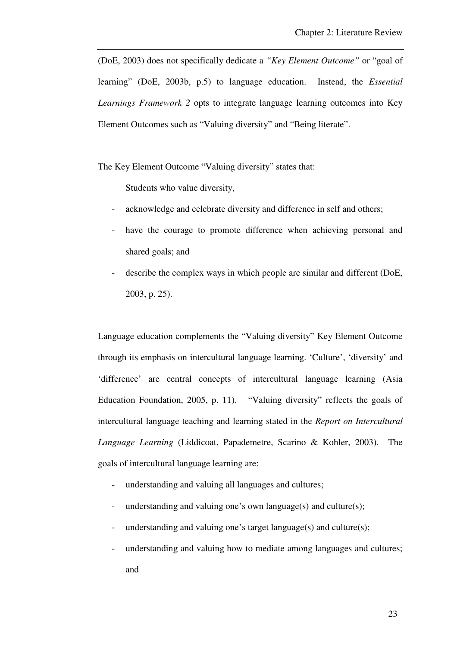(DoE, 2003) does not specifically dedicate a *"Key Element Outcome"* or "goal of learning" (DoE, 2003b, p.5) to language education. Instead, the *Essential Learnings Framework 2* opts to integrate language learning outcomes into Key Element Outcomes such as "Valuing diversity" and "Being literate".

The Key Element Outcome "Valuing diversity" states that:

Students who value diversity,

- acknowledge and celebrate diversity and difference in self and others;
- have the courage to promote difference when achieving personal and shared goals; and
- describe the complex ways in which people are similar and different (DoE, 2003, p. 25).

Language education complements the "Valuing diversity" Key Element Outcome through its emphasis on intercultural language learning. 'Culture', 'diversity' and 'difference' are central concepts of intercultural language learning (Asia Education Foundation, 2005, p. 11). "Valuing diversity" reflects the goals of intercultural language teaching and learning stated in the *Report on Intercultural Language Learning* (Liddicoat, Papademetre, Scarino & Kohler, 2003). The goals of intercultural language learning are:

- understanding and valuing all languages and cultures;
- understanding and valuing one's own language(s) and culture(s);
- understanding and valuing one's target language(s) and culture(s);
- understanding and valuing how to mediate among languages and cultures; and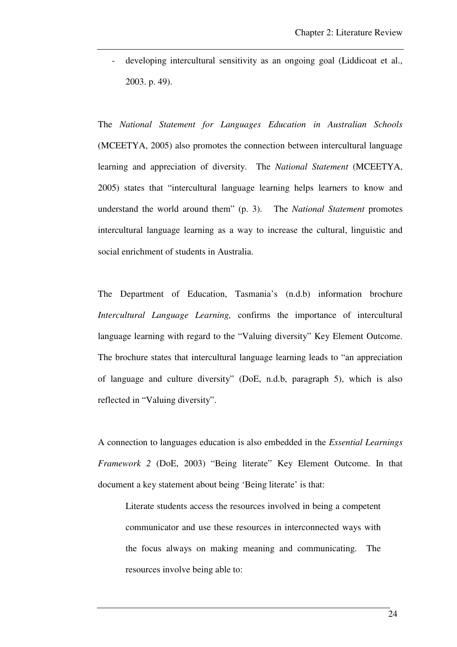developing intercultural sensitivity as an ongoing goal (Liddicoat et al., 2003. p. 49).

The *National Statement for Languages Education in Australian Schools* (MCEETYA, 2005) also promotes the connection between intercultural language learning and appreciation of diversity. The *National Statement* (MCEETYA, 2005) states that "intercultural language learning helps learners to know and understand the world around them" (p. 3). The *National Statement* promotes intercultural language learning as a way to increase the cultural, linguistic and social enrichment of students in Australia.

The Department of Education, Tasmania's (n.d.b) information brochure *Intercultural Language Learning,* confirms the importance of intercultural language learning with regard to the "Valuing diversity" Key Element Outcome. The brochure states that intercultural language learning leads to "an appreciation of language and culture diversity" (DoE, n.d.b, paragraph 5), which is also reflected in "Valuing diversity".

A connection to languages education is also embedded in the *Essential Learnings Framework 2* (DoE, 2003) "Being literate" Key Element Outcome. In that document a key statement about being 'Being literate' is that:

Literate students access the resources involved in being a competent communicator and use these resources in interconnected ways with the focus always on making meaning and communicating. The resources involve being able to: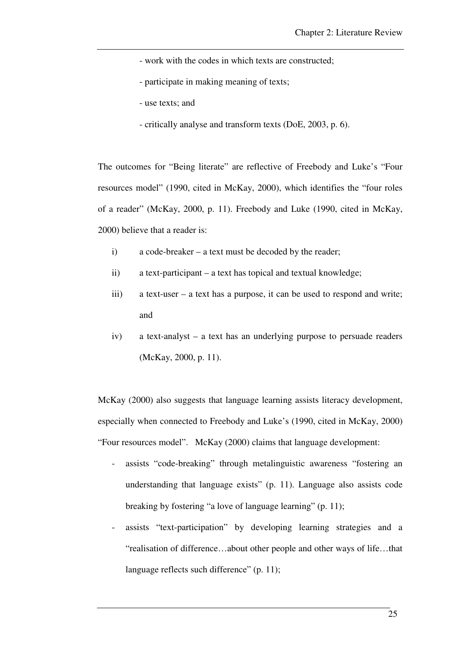- work with the codes in which texts are constructed;
- participate in making meaning of texts;
- use texts; and
- critically analyse and transform texts (DoE, 2003, p. 6).

The outcomes for "Being literate" are reflective of Freebody and Luke's "Four resources model" (1990, cited in McKay, 2000), which identifies the "four roles of a reader" (McKay, 2000, p. 11). Freebody and Luke (1990, cited in McKay, 2000) believe that a reader is:

- i) a code-breaker a text must be decoded by the reader;
- ii) a text-participant a text has topical and textual knowledge;
- iii) a text-user a text has a purpose, it can be used to respond and write; and
- iv) a text-analyst a text has an underlying purpose to persuade readers (McKay, 2000, p. 11).

McKay (2000) also suggests that language learning assists literacy development, especially when connected to Freebody and Luke's (1990, cited in McKay, 2000) "Four resources model". McKay (2000) claims that language development:

- assists "code-breaking" through metalinguistic awareness "fostering an understanding that language exists" (p. 11). Language also assists code breaking by fostering "a love of language learning" (p. 11);
- assists "text-participation" by developing learning strategies and a "realisation of difference…about other people and other ways of life…that language reflects such difference" (p. 11);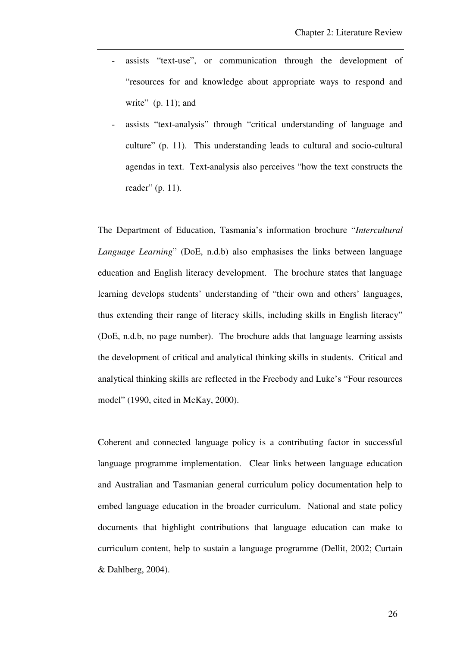- assists "text-use", or communication through the development of "resources for and knowledge about appropriate ways to respond and write"  $(p. 11)$ ; and
- assists "text-analysis" through "critical understanding of language and culture" (p. 11). This understanding leads to cultural and socio-cultural agendas in text. Text-analysis also perceives "how the text constructs the reader" (p. 11).

The Department of Education, Tasmania's information brochure "*Intercultural Language Learning*" (DoE, n.d.b) also emphasises the links between language education and English literacy development. The brochure states that language learning develops students' understanding of "their own and others' languages, thus extending their range of literacy skills, including skills in English literacy" (DoE, n.d.b, no page number). The brochure adds that language learning assists the development of critical and analytical thinking skills in students. Critical and analytical thinking skills are reflected in the Freebody and Luke's "Four resources model" (1990, cited in McKay, 2000).

Coherent and connected language policy is a contributing factor in successful language programme implementation. Clear links between language education and Australian and Tasmanian general curriculum policy documentation help to embed language education in the broader curriculum. National and state policy documents that highlight contributions that language education can make to curriculum content, help to sustain a language programme (Dellit, 2002; Curtain & Dahlberg, 2004).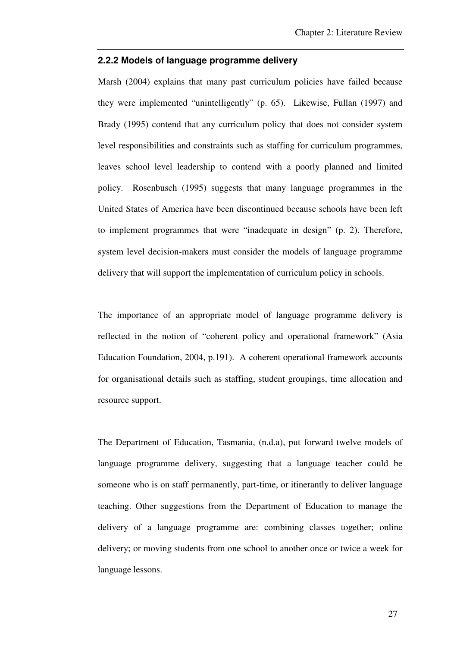#### **2.2.2 Models of language programme delivery**

Marsh (2004) explains that many past curriculum policies have failed because they were implemented "unintelligently" (p. 65). Likewise, Fullan (1997) and Brady (1995) contend that any curriculum policy that does not consider system level responsibilities and constraints such as staffing for curriculum programmes, leaves school level leadership to contend with a poorly planned and limited policy. Rosenbusch (1995) suggests that many language programmes in the United States of America have been discontinued because schools have been left to implement programmes that were "inadequate in design" (p. 2). Therefore, system level decision-makers must consider the models of language programme delivery that will support the implementation of curriculum policy in schools.

The importance of an appropriate model of language programme delivery is reflected in the notion of "coherent policy and operational framework" (Asia Education Foundation, 2004, p.191). A coherent operational framework accounts for organisational details such as staffing, student groupings, time allocation and resource support.

The Department of Education, Tasmania, (n.d.a), put forward twelve models of language programme delivery, suggesting that a language teacher could be someone who is on staff permanently, part-time, or itinerantly to deliver language teaching. Other suggestions from the Department of Education to manage the delivery of a language programme are: combining classes together; online delivery; or moving students from one school to another once or twice a week for language lessons.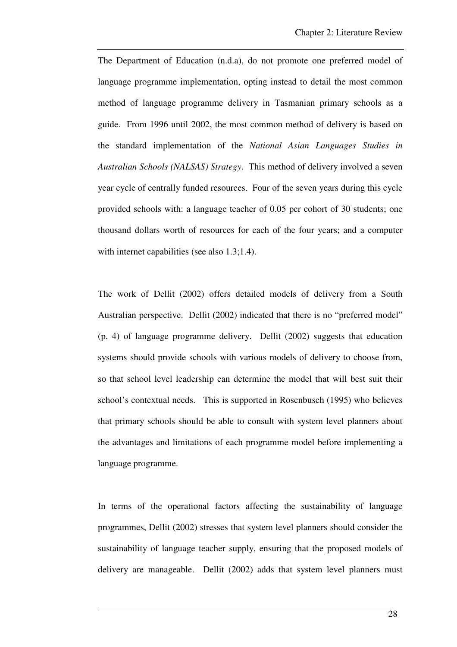The Department of Education (n.d.a), do not promote one preferred model of language programme implementation, opting instead to detail the most common method of language programme delivery in Tasmanian primary schools as a guide. From 1996 until 2002, the most common method of delivery is based on the standard implementation of the *National Asian Languages Studies in Australian Schools (NALSAS) Strategy*. This method of delivery involved a seven year cycle of centrally funded resources. Four of the seven years during this cycle provided schools with: a language teacher of 0.05 per cohort of 30 students; one thousand dollars worth of resources for each of the four years; and a computer with internet capabilities (see also 1.3;1.4).

The work of Dellit (2002) offers detailed models of delivery from a South Australian perspective. Dellit (2002) indicated that there is no "preferred model" (p. 4) of language programme delivery. Dellit (2002) suggests that education systems should provide schools with various models of delivery to choose from, so that school level leadership can determine the model that will best suit their school's contextual needs. This is supported in Rosenbusch (1995) who believes that primary schools should be able to consult with system level planners about the advantages and limitations of each programme model before implementing a language programme.

In terms of the operational factors affecting the sustainability of language programmes, Dellit (2002) stresses that system level planners should consider the sustainability of language teacher supply, ensuring that the proposed models of delivery are manageable. Dellit (2002) adds that system level planners must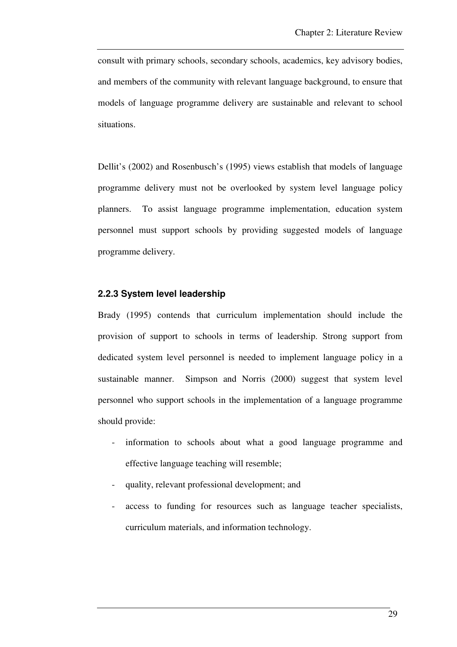consult with primary schools, secondary schools, academics, key advisory bodies, and members of the community with relevant language background, to ensure that models of language programme delivery are sustainable and relevant to school situations.

Dellit's (2002) and Rosenbusch's (1995) views establish that models of language programme delivery must not be overlooked by system level language policy planners. To assist language programme implementation, education system personnel must support schools by providing suggested models of language programme delivery.

#### **2.2.3 System level leadership**

Brady (1995) contends that curriculum implementation should include the provision of support to schools in terms of leadership. Strong support from dedicated system level personnel is needed to implement language policy in a sustainable manner. Simpson and Norris (2000) suggest that system level personnel who support schools in the implementation of a language programme should provide:

- information to schools about what a good language programme and effective language teaching will resemble;
- quality, relevant professional development; and
- access to funding for resources such as language teacher specialists, curriculum materials, and information technology.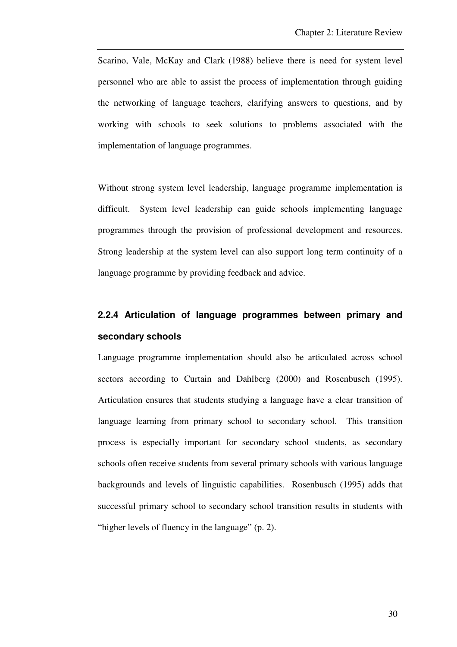Scarino, Vale, McKay and Clark (1988) believe there is need for system level personnel who are able to assist the process of implementation through guiding the networking of language teachers, clarifying answers to questions, and by working with schools to seek solutions to problems associated with the implementation of language programmes.

Without strong system level leadership, language programme implementation is difficult. System level leadership can guide schools implementing language programmes through the provision of professional development and resources. Strong leadership at the system level can also support long term continuity of a language programme by providing feedback and advice.

# **2.2.4 Articulation of language programmes between primary and secondary schools**

Language programme implementation should also be articulated across school sectors according to Curtain and Dahlberg (2000) and Rosenbusch (1995). Articulation ensures that students studying a language have a clear transition of language learning from primary school to secondary school. This transition process is especially important for secondary school students, as secondary schools often receive students from several primary schools with various language backgrounds and levels of linguistic capabilities. Rosenbusch (1995) adds that successful primary school to secondary school transition results in students with "higher levels of fluency in the language" (p. 2).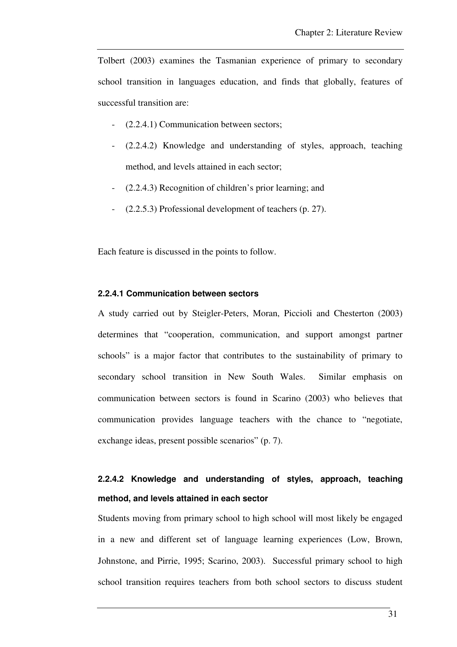Tolbert (2003) examines the Tasmanian experience of primary to secondary school transition in languages education, and finds that globally, features of successful transition are:

- (2.2.4.1) Communication between sectors;
- (2.2.4.2) Knowledge and understanding of styles, approach, teaching method, and levels attained in each sector;
- (2.2.4.3) Recognition of children's prior learning; and
- (2.2.5.3) Professional development of teachers (p. 27).

Each feature is discussed in the points to follow.

#### **2.2.4.1 Communication between sectors**

A study carried out by Steigler-Peters, Moran, Piccioli and Chesterton (2003) determines that "cooperation, communication, and support amongst partner schools" is a major factor that contributes to the sustainability of primary to secondary school transition in New South Wales. Similar emphasis on communication between sectors is found in Scarino (2003) who believes that communication provides language teachers with the chance to "negotiate, exchange ideas, present possible scenarios" (p. 7).

# **2.2.4.2 Knowledge and understanding of styles, approach, teaching method, and levels attained in each sector**

Students moving from primary school to high school will most likely be engaged in a new and different set of language learning experiences (Low, Brown, Johnstone, and Pirrie, 1995; Scarino, 2003). Successful primary school to high school transition requires teachers from both school sectors to discuss student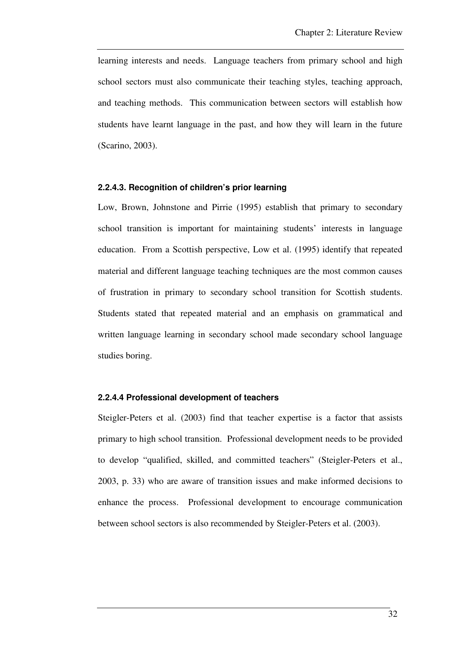learning interests and needs. Language teachers from primary school and high school sectors must also communicate their teaching styles, teaching approach, and teaching methods. This communication between sectors will establish how students have learnt language in the past, and how they will learn in the future (Scarino, 2003).

#### **2.2.4.3. Recognition of children's prior learning**

Low, Brown, Johnstone and Pirrie (1995) establish that primary to secondary school transition is important for maintaining students' interests in language education. From a Scottish perspective, Low et al. (1995) identify that repeated material and different language teaching techniques are the most common causes of frustration in primary to secondary school transition for Scottish students. Students stated that repeated material and an emphasis on grammatical and written language learning in secondary school made secondary school language studies boring.

#### **2.2.4.4 Professional development of teachers**

Steigler-Peters et al. (2003) find that teacher expertise is a factor that assists primary to high school transition. Professional development needs to be provided to develop "qualified, skilled, and committed teachers" (Steigler-Peters et al., 2003, p. 33) who are aware of transition issues and make informed decisions to enhance the process. Professional development to encourage communication between school sectors is also recommended by Steigler-Peters et al. (2003).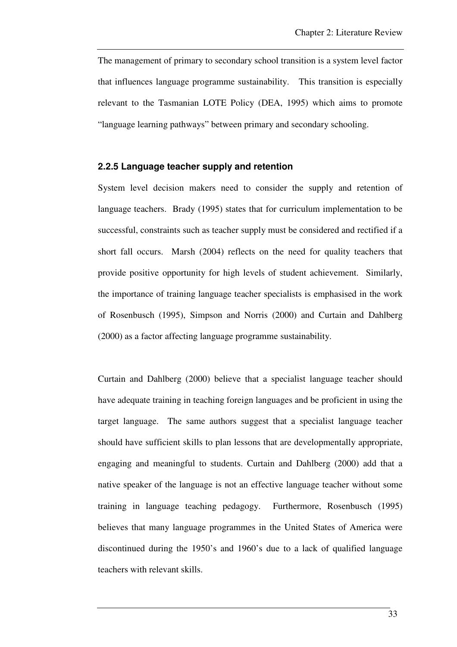The management of primary to secondary school transition is a system level factor that influences language programme sustainability. This transition is especially relevant to the Tasmanian LOTE Policy (DEA, 1995) which aims to promote "language learning pathways" between primary and secondary schooling.

#### **2.2.5 Language teacher supply and retention**

System level decision makers need to consider the supply and retention of language teachers. Brady (1995) states that for curriculum implementation to be successful, constraints such as teacher supply must be considered and rectified if a short fall occurs. Marsh (2004) reflects on the need for quality teachers that provide positive opportunity for high levels of student achievement. Similarly, the importance of training language teacher specialists is emphasised in the work of Rosenbusch (1995), Simpson and Norris (2000) and Curtain and Dahlberg (2000) as a factor affecting language programme sustainability.

Curtain and Dahlberg (2000) believe that a specialist language teacher should have adequate training in teaching foreign languages and be proficient in using the target language. The same authors suggest that a specialist language teacher should have sufficient skills to plan lessons that are developmentally appropriate, engaging and meaningful to students. Curtain and Dahlberg (2000) add that a native speaker of the language is not an effective language teacher without some training in language teaching pedagogy. Furthermore, Rosenbusch (1995) believes that many language programmes in the United States of America were discontinued during the 1950's and 1960's due to a lack of qualified language teachers with relevant skills.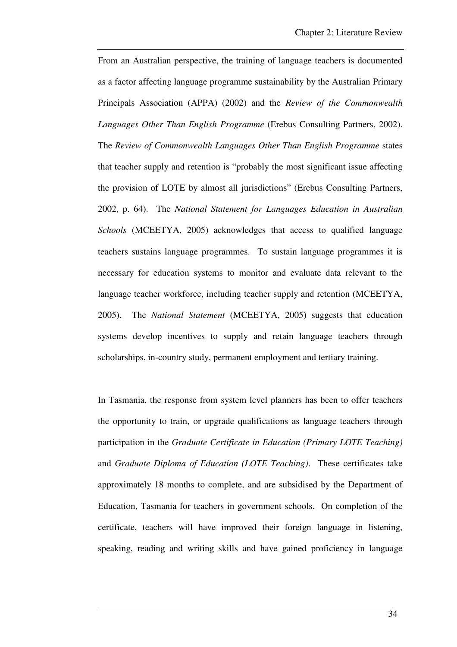From an Australian perspective, the training of language teachers is documented as a factor affecting language programme sustainability by the Australian Primary Principals Association (APPA) (2002) and the *Review of the Commonwealth Languages Other Than English Programme* (Erebus Consulting Partners, 2002). The *Review of Commonwealth Languages Other Than English Programme* states that teacher supply and retention is "probably the most significant issue affecting the provision of LOTE by almost all jurisdictions" (Erebus Consulting Partners, 2002, p. 64). The *National Statement for Languages Education in Australian Schools* (MCEETYA, 2005) acknowledges that access to qualified language teachers sustains language programmes. To sustain language programmes it is necessary for education systems to monitor and evaluate data relevant to the language teacher workforce, including teacher supply and retention (MCEETYA, 2005). The *National Statement* (MCEETYA, 2005) suggests that education systems develop incentives to supply and retain language teachers through scholarships, in-country study, permanent employment and tertiary training.

In Tasmania, the response from system level planners has been to offer teachers the opportunity to train, or upgrade qualifications as language teachers through participation in the *Graduate Certificate in Education (Primary LOTE Teaching)* and *Graduate Diploma of Education (LOTE Teaching)*. These certificates take approximately 18 months to complete, and are subsidised by the Department of Education, Tasmania for teachers in government schools. On completion of the certificate, teachers will have improved their foreign language in listening, speaking, reading and writing skills and have gained proficiency in language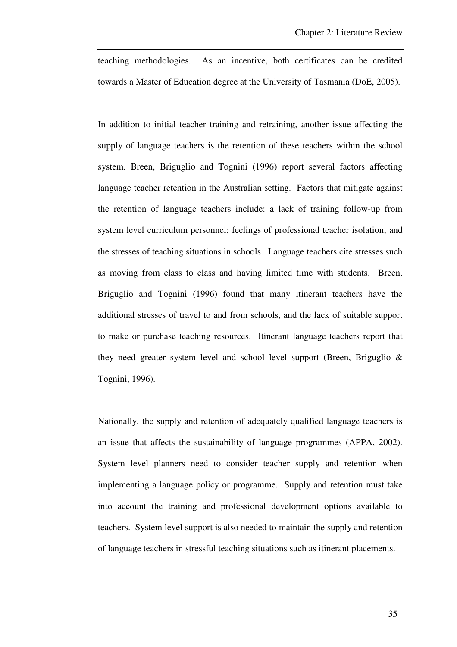teaching methodologies. As an incentive, both certificates can be credited towards a Master of Education degree at the University of Tasmania (DoE, 2005).

In addition to initial teacher training and retraining, another issue affecting the supply of language teachers is the retention of these teachers within the school system. Breen, Briguglio and Tognini (1996) report several factors affecting language teacher retention in the Australian setting. Factors that mitigate against the retention of language teachers include: a lack of training follow-up from system level curriculum personnel; feelings of professional teacher isolation; and the stresses of teaching situations in schools. Language teachers cite stresses such as moving from class to class and having limited time with students. Breen, Briguglio and Tognini (1996) found that many itinerant teachers have the additional stresses of travel to and from schools, and the lack of suitable support to make or purchase teaching resources. Itinerant language teachers report that they need greater system level and school level support (Breen, Briguglio & Tognini, 1996).

Nationally, the supply and retention of adequately qualified language teachers is an issue that affects the sustainability of language programmes (APPA, 2002). System level planners need to consider teacher supply and retention when implementing a language policy or programme. Supply and retention must take into account the training and professional development options available to teachers. System level support is also needed to maintain the supply and retention of language teachers in stressful teaching situations such as itinerant placements.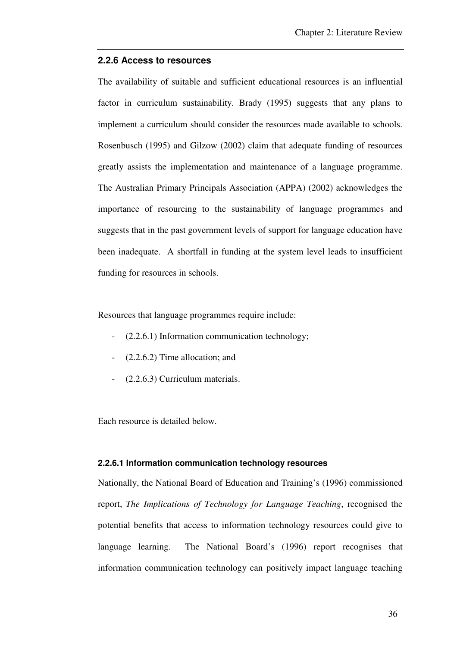#### **2.2.6 Access to resources**

The availability of suitable and sufficient educational resources is an influential factor in curriculum sustainability. Brady (1995) suggests that any plans to implement a curriculum should consider the resources made available to schools. Rosenbusch (1995) and Gilzow (2002) claim that adequate funding of resources greatly assists the implementation and maintenance of a language programme. The Australian Primary Principals Association (APPA) (2002) acknowledges the importance of resourcing to the sustainability of language programmes and suggests that in the past government levels of support for language education have been inadequate. A shortfall in funding at the system level leads to insufficient funding for resources in schools.

Resources that language programmes require include:

- $(2.2.6.1)$  Information communication technology;
- $(2.2.6.2)$  Time allocation; and
- (2.2.6.3) Curriculum materials.

Each resource is detailed below.

#### **2.2.6.1 Information communication technology resources**

Nationally, the National Board of Education and Training's (1996) commissioned report, *The Implications of Technology for Language Teaching*, recognised the potential benefits that access to information technology resources could give to language learning. The National Board's (1996) report recognises that information communication technology can positively impact language teaching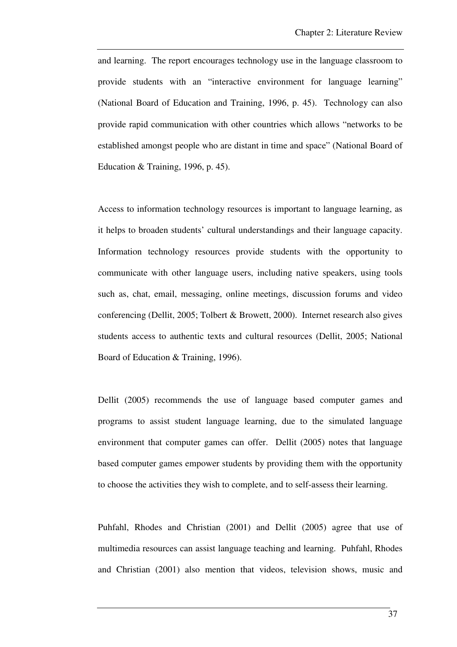and learning. The report encourages technology use in the language classroom to provide students with an "interactive environment for language learning" (National Board of Education and Training, 1996, p. 45). Technology can also provide rapid communication with other countries which allows "networks to be established amongst people who are distant in time and space" (National Board of Education & Training, 1996, p. 45).

Access to information technology resources is important to language learning, as it helps to broaden students' cultural understandings and their language capacity. Information technology resources provide students with the opportunity to communicate with other language users, including native speakers, using tools such as, chat, email, messaging, online meetings, discussion forums and video conferencing (Dellit, 2005; Tolbert & Browett, 2000). Internet research also gives students access to authentic texts and cultural resources (Dellit, 2005; National Board of Education & Training, 1996).

Dellit (2005) recommends the use of language based computer games and programs to assist student language learning, due to the simulated language environment that computer games can offer. Dellit (2005) notes that language based computer games empower students by providing them with the opportunity to choose the activities they wish to complete, and to self-assess their learning.

Puhfahl, Rhodes and Christian (2001) and Dellit (2005) agree that use of multimedia resources can assist language teaching and learning. Puhfahl, Rhodes and Christian (2001) also mention that videos, television shows, music and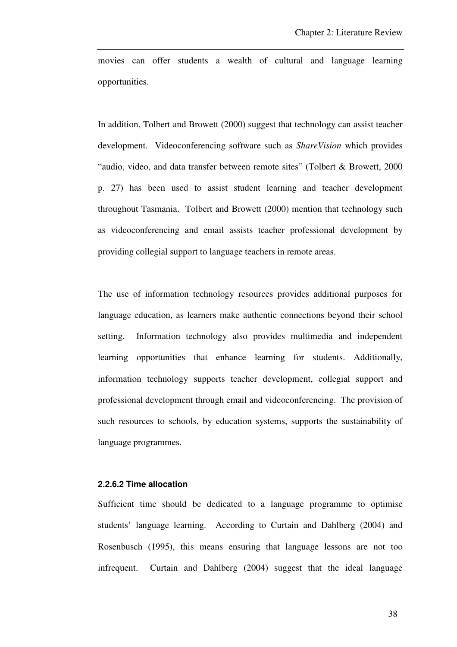movies can offer students a wealth of cultural and language learning opportunities.

In addition, Tolbert and Browett (2000) suggest that technology can assist teacher development. Videoconferencing software such as *ShareVision* which provides "audio, video, and data transfer between remote sites" (Tolbert & Browett, 2000 p. 27) has been used to assist student learning and teacher development throughout Tasmania. Tolbert and Browett (2000) mention that technology such as videoconferencing and email assists teacher professional development by providing collegial support to language teachers in remote areas.

The use of information technology resources provides additional purposes for language education, as learners make authentic connections beyond their school setting. Information technology also provides multimedia and independent learning opportunities that enhance learning for students. Additionally, information technology supports teacher development, collegial support and professional development through email and videoconferencing. The provision of such resources to schools, by education systems, supports the sustainability of language programmes.

#### **2.2.6.2 Time allocation**

Sufficient time should be dedicated to a language programme to optimise students' language learning. According to Curtain and Dahlberg (2004) and Rosenbusch (1995), this means ensuring that language lessons are not too infrequent. Curtain and Dahlberg (2004) suggest that the ideal language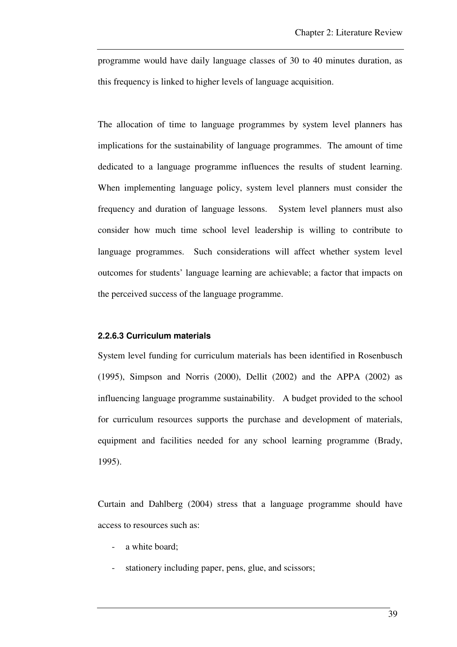programme would have daily language classes of 30 to 40 minutes duration, as this frequency is linked to higher levels of language acquisition.

The allocation of time to language programmes by system level planners has implications for the sustainability of language programmes. The amount of time dedicated to a language programme influences the results of student learning. When implementing language policy, system level planners must consider the frequency and duration of language lessons. System level planners must also consider how much time school level leadership is willing to contribute to language programmes. Such considerations will affect whether system level outcomes for students' language learning are achievable; a factor that impacts on the perceived success of the language programme.

#### **2.2.6.3 Curriculum materials**

System level funding for curriculum materials has been identified in Rosenbusch (1995), Simpson and Norris (2000), Dellit (2002) and the APPA (2002) as influencing language programme sustainability. A budget provided to the school for curriculum resources supports the purchase and development of materials, equipment and facilities needed for any school learning programme (Brady, 1995).

Curtain and Dahlberg (2004) stress that a language programme should have access to resources such as:

- a white board;
- stationery including paper, pens, glue, and scissors;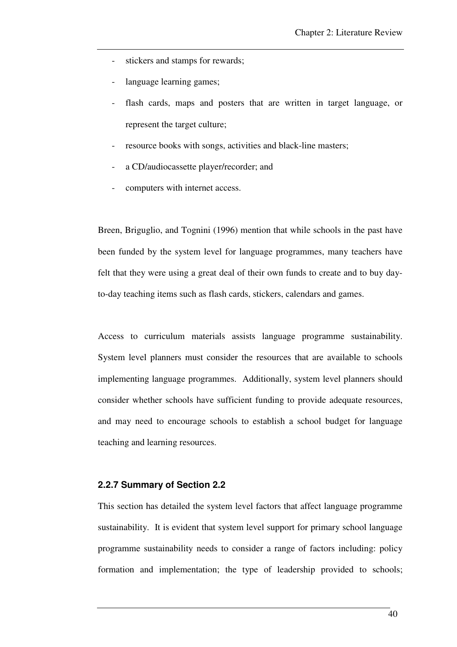- stickers and stamps for rewards;
- language learning games;
- flash cards, maps and posters that are written in target language, or represent the target culture;
- resource books with songs, activities and black-line masters;
- a CD/audiocassette player/recorder; and
- computers with internet access.

Breen, Briguglio, and Tognini (1996) mention that while schools in the past have been funded by the system level for language programmes, many teachers have felt that they were using a great deal of their own funds to create and to buy dayto-day teaching items such as flash cards, stickers, calendars and games.

Access to curriculum materials assists language programme sustainability. System level planners must consider the resources that are available to schools implementing language programmes. Additionally, system level planners should consider whether schools have sufficient funding to provide adequate resources, and may need to encourage schools to establish a school budget for language teaching and learning resources.

#### **2.2.7 Summary of Section 2.2**

This section has detailed the system level factors that affect language programme sustainability. It is evident that system level support for primary school language programme sustainability needs to consider a range of factors including: policy formation and implementation; the type of leadership provided to schools;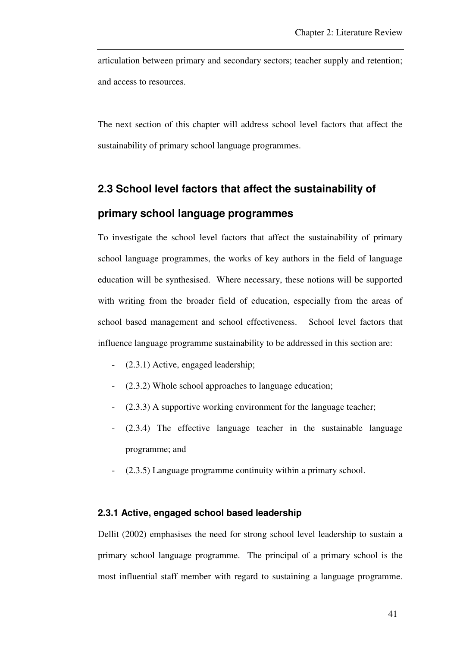articulation between primary and secondary sectors; teacher supply and retention; and access to resources.

The next section of this chapter will address school level factors that affect the sustainability of primary school language programmes.

# **2.3 School level factors that affect the sustainability of**

# **primary school language programmes**

To investigate the school level factors that affect the sustainability of primary school language programmes, the works of key authors in the field of language education will be synthesised. Where necessary, these notions will be supported with writing from the broader field of education, especially from the areas of school based management and school effectiveness. School level factors that influence language programme sustainability to be addressed in this section are:

- (2.3.1) Active, engaged leadership;
- $(2.3.2)$  Whole school approaches to language education;
- (2.3.3) A supportive working environment for the language teacher;
- (2.3.4) The effective language teacher in the sustainable language programme; and
- (2.3.5) Language programme continuity within a primary school.

#### **2.3.1 Active, engaged school based leadership**

Dellit (2002) emphasises the need for strong school level leadership to sustain a primary school language programme. The principal of a primary school is the most influential staff member with regard to sustaining a language programme.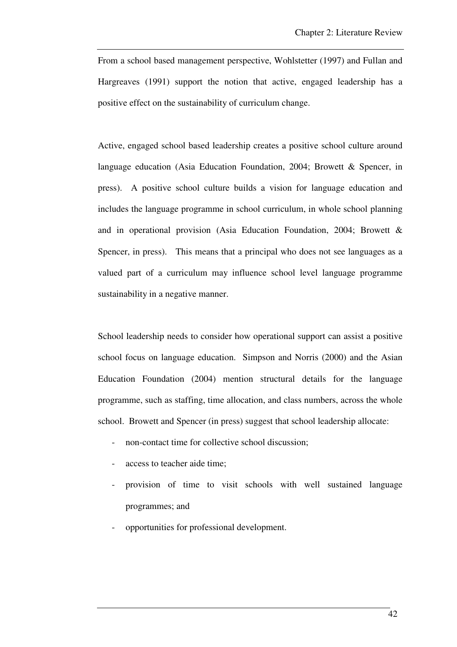From a school based management perspective, Wohlstetter (1997) and Fullan and Hargreaves (1991) support the notion that active, engaged leadership has a positive effect on the sustainability of curriculum change.

Active, engaged school based leadership creates a positive school culture around language education (Asia Education Foundation, 2004; Browett & Spencer, in press). A positive school culture builds a vision for language education and includes the language programme in school curriculum, in whole school planning and in operational provision (Asia Education Foundation, 2004; Browett & Spencer, in press). This means that a principal who does not see languages as a valued part of a curriculum may influence school level language programme sustainability in a negative manner.

School leadership needs to consider how operational support can assist a positive school focus on language education. Simpson and Norris (2000) and the Asian Education Foundation (2004) mention structural details for the language programme, such as staffing, time allocation, and class numbers, across the whole school. Browett and Spencer (in press) suggest that school leadership allocate:

- non-contact time for collective school discussion;
- access to teacher aide time;
- provision of time to visit schools with well sustained language programmes; and
- opportunities for professional development.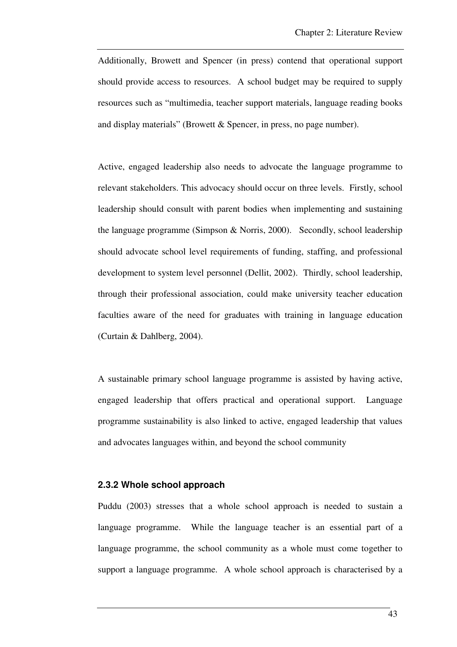Additionally, Browett and Spencer (in press) contend that operational support should provide access to resources. A school budget may be required to supply resources such as "multimedia, teacher support materials, language reading books and display materials" (Browett & Spencer, in press, no page number).

Active, engaged leadership also needs to advocate the language programme to relevant stakeholders. This advocacy should occur on three levels. Firstly, school leadership should consult with parent bodies when implementing and sustaining the language programme (Simpson & Norris, 2000). Secondly, school leadership should advocate school level requirements of funding, staffing, and professional development to system level personnel (Dellit, 2002). Thirdly, school leadership, through their professional association, could make university teacher education faculties aware of the need for graduates with training in language education (Curtain & Dahlberg, 2004).

A sustainable primary school language programme is assisted by having active, engaged leadership that offers practical and operational support. Language programme sustainability is also linked to active, engaged leadership that values and advocates languages within, and beyond the school community

#### **2.3.2 Whole school approach**

Puddu (2003) stresses that a whole school approach is needed to sustain a language programme. While the language teacher is an essential part of a language programme, the school community as a whole must come together to support a language programme. A whole school approach is characterised by a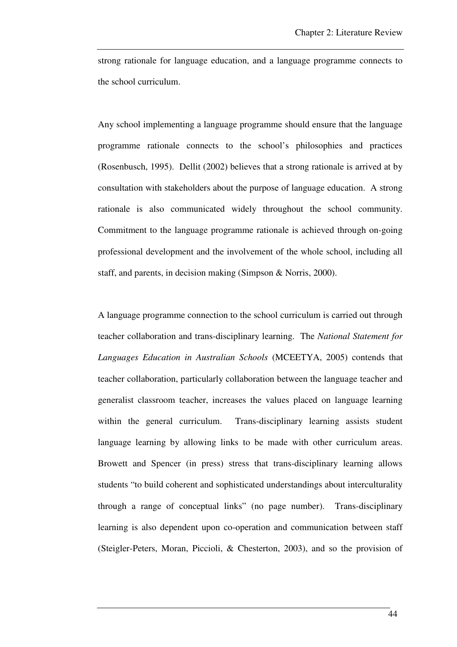strong rationale for language education, and a language programme connects to the school curriculum.

Any school implementing a language programme should ensure that the language programme rationale connects to the school's philosophies and practices (Rosenbusch, 1995). Dellit (2002) believes that a strong rationale is arrived at by consultation with stakeholders about the purpose of language education. A strong rationale is also communicated widely throughout the school community. Commitment to the language programme rationale is achieved through on-going professional development and the involvement of the whole school, including all staff, and parents, in decision making (Simpson & Norris, 2000).

A language programme connection to the school curriculum is carried out through teacher collaboration and trans-disciplinary learning. The *National Statement for Languages Education in Australian Schools* (MCEETYA, 2005) contends that teacher collaboration, particularly collaboration between the language teacher and generalist classroom teacher, increases the values placed on language learning within the general curriculum. Trans-disciplinary learning assists student language learning by allowing links to be made with other curriculum areas. Browett and Spencer (in press) stress that trans-disciplinary learning allows students "to build coherent and sophisticated understandings about interculturality through a range of conceptual links" (no page number). Trans-disciplinary learning is also dependent upon co-operation and communication between staff (Steigler-Peters, Moran, Piccioli, & Chesterton, 2003), and so the provision of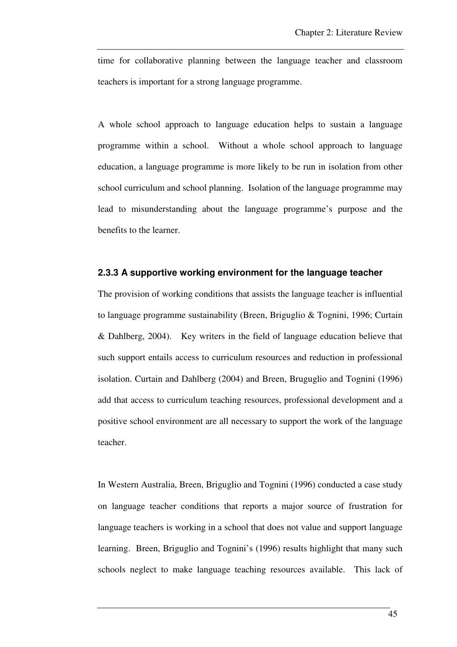time for collaborative planning between the language teacher and classroom teachers is important for a strong language programme.

A whole school approach to language education helps to sustain a language programme within a school. Without a whole school approach to language education, a language programme is more likely to be run in isolation from other school curriculum and school planning. Isolation of the language programme may lead to misunderstanding about the language programme's purpose and the benefits to the learner.

#### **2.3.3 A supportive working environment for the language teacher**

The provision of working conditions that assists the language teacher is influential to language programme sustainability (Breen, Briguglio & Tognini, 1996; Curtain & Dahlberg, 2004). Key writers in the field of language education believe that such support entails access to curriculum resources and reduction in professional isolation. Curtain and Dahlberg (2004) and Breen, Bruguglio and Tognini (1996) add that access to curriculum teaching resources, professional development and a positive school environment are all necessary to support the work of the language teacher.

In Western Australia, Breen, Briguglio and Tognini (1996) conducted a case study on language teacher conditions that reports a major source of frustration for language teachers is working in a school that does not value and support language learning. Breen, Briguglio and Tognini's (1996) results highlight that many such schools neglect to make language teaching resources available. This lack of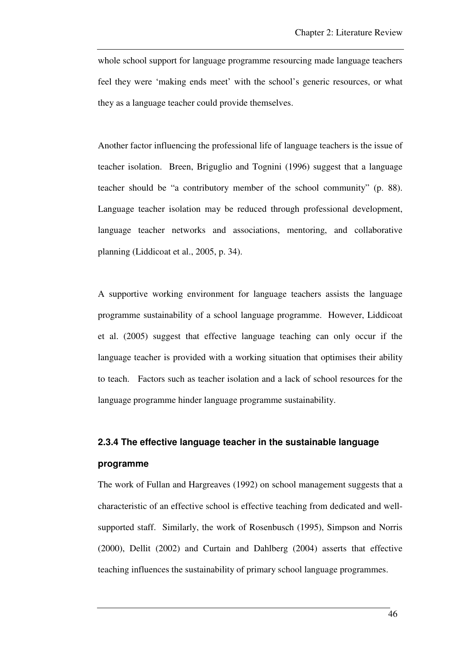whole school support for language programme resourcing made language teachers feel they were 'making ends meet' with the school's generic resources, or what they as a language teacher could provide themselves.

Another factor influencing the professional life of language teachers is the issue of teacher isolation. Breen, Briguglio and Tognini (1996) suggest that a language teacher should be "a contributory member of the school community" (p. 88). Language teacher isolation may be reduced through professional development, language teacher networks and associations, mentoring, and collaborative planning (Liddicoat et al., 2005, p. 34).

A supportive working environment for language teachers assists the language programme sustainability of a school language programme. However, Liddicoat et al. (2005) suggest that effective language teaching can only occur if the language teacher is provided with a working situation that optimises their ability to teach. Factors such as teacher isolation and a lack of school resources for the language programme hinder language programme sustainability.

# **2.3.4 The effective language teacher in the sustainable language programme**

The work of Fullan and Hargreaves (1992) on school management suggests that a characteristic of an effective school is effective teaching from dedicated and wellsupported staff. Similarly, the work of Rosenbusch (1995), Simpson and Norris (2000), Dellit (2002) and Curtain and Dahlberg (2004) asserts that effective teaching influences the sustainability of primary school language programmes.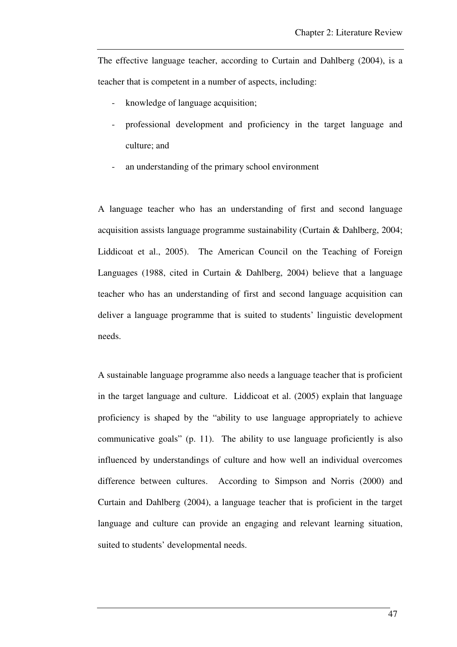The effective language teacher, according to Curtain and Dahlberg (2004), is a teacher that is competent in a number of aspects, including:

- knowledge of language acquisition;
- professional development and proficiency in the target language and culture; and
- an understanding of the primary school environment

A language teacher who has an understanding of first and second language acquisition assists language programme sustainability (Curtain & Dahlberg, 2004; Liddicoat et al., 2005). The American Council on the Teaching of Foreign Languages (1988, cited in Curtain & Dahlberg, 2004) believe that a language teacher who has an understanding of first and second language acquisition can deliver a language programme that is suited to students' linguistic development needs.

A sustainable language programme also needs a language teacher that is proficient in the target language and culture. Liddicoat et al. (2005) explain that language proficiency is shaped by the "ability to use language appropriately to achieve communicative goals" (p. 11). The ability to use language proficiently is also influenced by understandings of culture and how well an individual overcomes difference between cultures. According to Simpson and Norris (2000) and Curtain and Dahlberg (2004), a language teacher that is proficient in the target language and culture can provide an engaging and relevant learning situation, suited to students' developmental needs.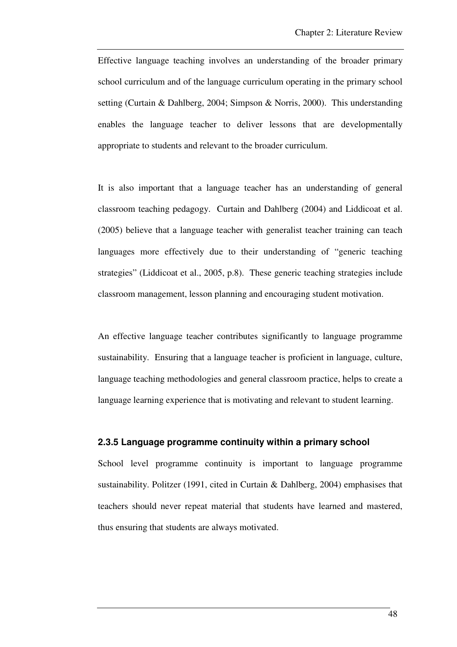Effective language teaching involves an understanding of the broader primary school curriculum and of the language curriculum operating in the primary school setting (Curtain & Dahlberg, 2004; Simpson & Norris, 2000). This understanding enables the language teacher to deliver lessons that are developmentally appropriate to students and relevant to the broader curriculum.

It is also important that a language teacher has an understanding of general classroom teaching pedagogy. Curtain and Dahlberg (2004) and Liddicoat et al. (2005) believe that a language teacher with generalist teacher training can teach languages more effectively due to their understanding of "generic teaching strategies" (Liddicoat et al., 2005, p.8). These generic teaching strategies include classroom management, lesson planning and encouraging student motivation.

An effective language teacher contributes significantly to language programme sustainability. Ensuring that a language teacher is proficient in language, culture, language teaching methodologies and general classroom practice, helps to create a language learning experience that is motivating and relevant to student learning.

#### **2.3.5 Language programme continuity within a primary school**

School level programme continuity is important to language programme sustainability. Politzer (1991, cited in Curtain & Dahlberg, 2004) emphasises that teachers should never repeat material that students have learned and mastered, thus ensuring that students are always motivated.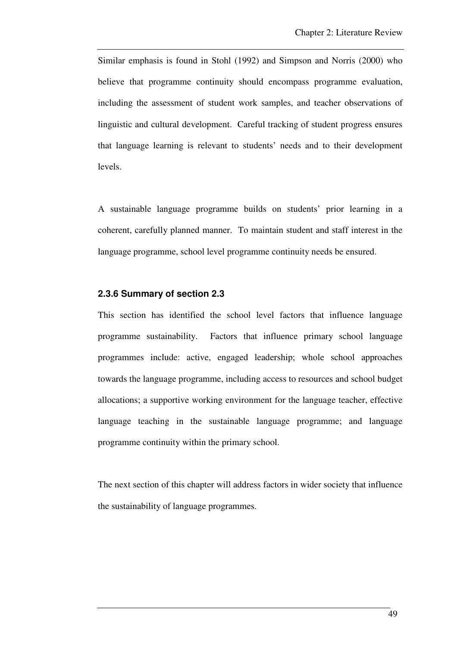Similar emphasis is found in Stohl (1992) and Simpson and Norris (2000) who believe that programme continuity should encompass programme evaluation, including the assessment of student work samples, and teacher observations of linguistic and cultural development. Careful tracking of student progress ensures that language learning is relevant to students' needs and to their development levels.

A sustainable language programme builds on students' prior learning in a coherent, carefully planned manner. To maintain student and staff interest in the language programme, school level programme continuity needs be ensured.

#### **2.3.6 Summary of section 2.3**

This section has identified the school level factors that influence language programme sustainability. Factors that influence primary school language programmes include: active, engaged leadership; whole school approaches towards the language programme, including access to resources and school budget allocations; a supportive working environment for the language teacher, effective language teaching in the sustainable language programme; and language programme continuity within the primary school.

The next section of this chapter will address factors in wider society that influence the sustainability of language programmes.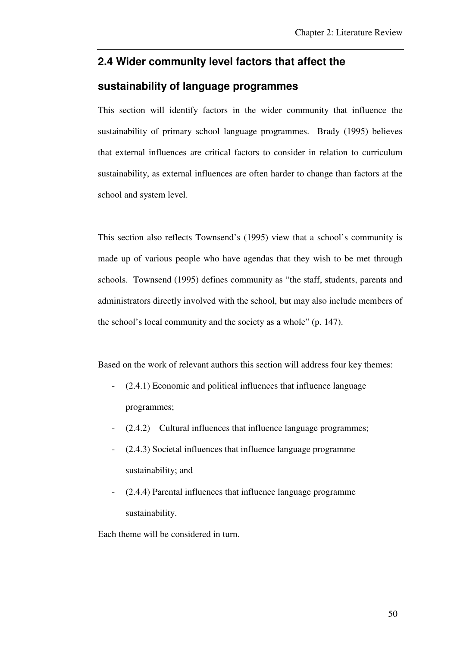# **2.4 Wider community level factors that affect the**

## **sustainability of language programmes**

This section will identify factors in the wider community that influence the sustainability of primary school language programmes. Brady (1995) believes that external influences are critical factors to consider in relation to curriculum sustainability, as external influences are often harder to change than factors at the school and system level.

This section also reflects Townsend's (1995) view that a school's community is made up of various people who have agendas that they wish to be met through schools. Townsend (1995) defines community as "the staff, students, parents and administrators directly involved with the school, but may also include members of the school's local community and the society as a whole" (p. 147).

Based on the work of relevant authors this section will address four key themes:

- $(2.4.1)$  Economic and political influences that influence language programmes;
- (2.4.2) Cultural influences that influence language programmes;
- (2.4.3) Societal influences that influence language programme sustainability; and
- (2.4.4) Parental influences that influence language programme sustainability.

Each theme will be considered in turn.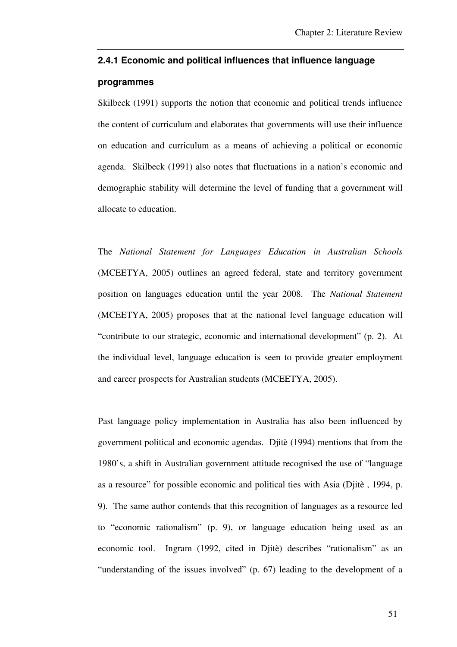#### **2.4.1 Economic and political influences that influence language**

#### **programmes**

Skilbeck (1991) supports the notion that economic and political trends influence the content of curriculum and elaborates that governments will use their influence on education and curriculum as a means of achieving a political or economic agenda. Skilbeck (1991) also notes that fluctuations in a nation's economic and demographic stability will determine the level of funding that a government will allocate to education.

The *National Statement for Languages Education in Australian Schools* (MCEETYA, 2005) outlines an agreed federal, state and territory government position on languages education until the year 2008. The *National Statement* (MCEETYA, 2005) proposes that at the national level language education will "contribute to our strategic, economic and international development" (p. 2). At the individual level, language education is seen to provide greater employment and career prospects for Australian students (MCEETYA, 2005).

Past language policy implementation in Australia has also been influenced by government political and economic agendas. Djitè (1994) mentions that from the 1980's, a shift in Australian government attitude recognised the use of "language as a resource" for possible economic and political ties with Asia (Djitè , 1994, p. 9). The same author contends that this recognition of languages as a resource led to "economic rationalism" (p. 9), or language education being used as an economic tool. Ingram (1992, cited in Djitè) describes "rationalism" as an "understanding of the issues involved" (p. 67) leading to the development of a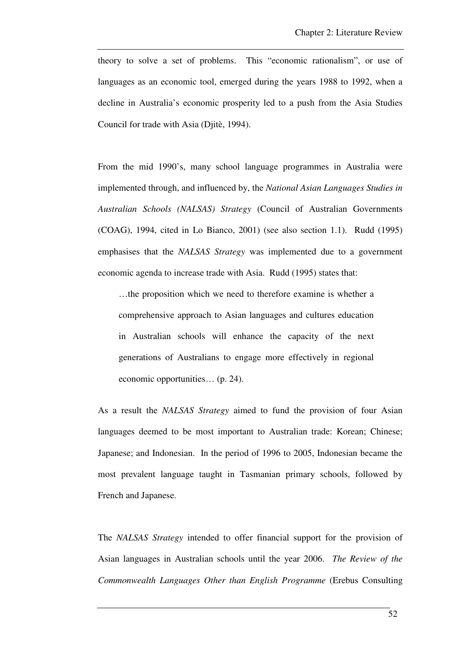theory to solve a set of problems. This "economic rationalism", or use of languages as an economic tool, emerged during the years 1988 to 1992, when a decline in Australia's economic prosperity led to a push from the Asia Studies Council for trade with Asia (Djitè, 1994).

From the mid 1990's, many school language programmes in Australia were implemented through, and influenced by, the *National Asian Languages Studies in Australian Schools (NALSAS) Strategy* (Council of Australian Governments (COAG), 1994, cited in Lo Bianco, 2001) (see also section 1.1). Rudd (1995) emphasises that the *NALSAS Strategy* was implemented due to a government economic agenda to increase trade with Asia. Rudd (1995) states that:

…the proposition which we need to therefore examine is whether a comprehensive approach to Asian languages and cultures education in Australian schools will enhance the capacity of the next generations of Australians to engage more effectively in regional economic opportunities… (p. 24).

As a result the *NALSAS Strategy* aimed to fund the provision of four Asian languages deemed to be most important to Australian trade: Korean; Chinese; Japanese; and Indonesian. In the period of 1996 to 2005, Indonesian became the most prevalent language taught in Tasmanian primary schools, followed by French and Japanese.

The *NALSAS Strategy* intended to offer financial support for the provision of Asian languages in Australian schools until the year 2006. *The Review of the Commonwealth Languages Other than English Programme* (Erebus Consulting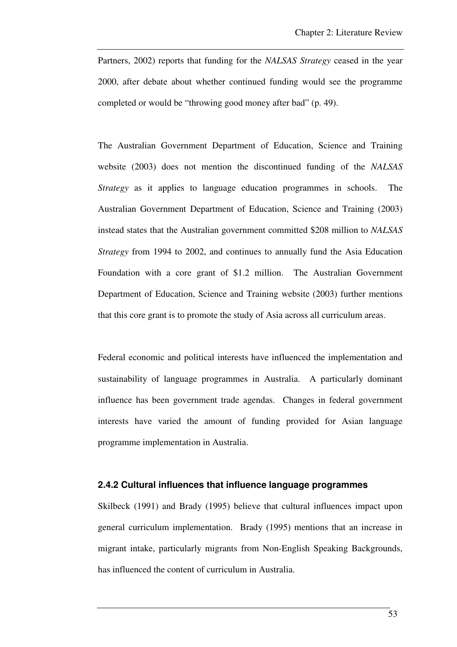Partners, 2002) reports that funding for the *NALSAS Strategy* ceased in the year 2000, after debate about whether continued funding would see the programme completed or would be "throwing good money after bad" (p. 49).

The Australian Government Department of Education, Science and Training website (2003) does not mention the discontinued funding of the *NALSAS Strategy* as it applies to language education programmes in schools. The Australian Government Department of Education, Science and Training (2003) instead states that the Australian government committed \$208 million to *NALSAS Strategy* from 1994 to 2002, and continues to annually fund the Asia Education Foundation with a core grant of \$1.2 million. The Australian Government Department of Education, Science and Training website (2003) further mentions that this core grant is to promote the study of Asia across all curriculum areas.

Federal economic and political interests have influenced the implementation and sustainability of language programmes in Australia. A particularly dominant influence has been government trade agendas. Changes in federal government interests have varied the amount of funding provided for Asian language programme implementation in Australia.

#### **2.4.2 Cultural influences that influence language programmes**

Skilbeck (1991) and Brady (1995) believe that cultural influences impact upon general curriculum implementation. Brady (1995) mentions that an increase in migrant intake, particularly migrants from Non-English Speaking Backgrounds, has influenced the content of curriculum in Australia.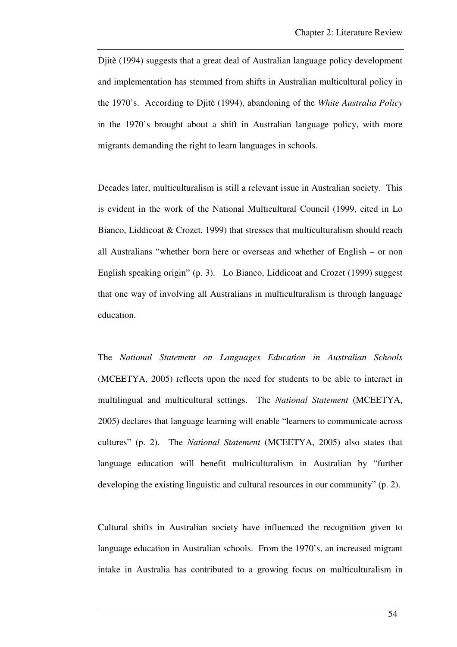Djitè (1994) suggests that a great deal of Australian language policy development and implementation has stemmed from shifts in Australian multicultural policy in the 1970's. According to Djitè (1994), abandoning of the *White Australia Policy* in the 1970's brought about a shift in Australian language policy, with more migrants demanding the right to learn languages in schools.

Decades later, multiculturalism is still a relevant issue in Australian society. This is evident in the work of the National Multicultural Council (1999, cited in Lo Bianco, Liddicoat & Crozet, 1999) that stresses that multiculturalism should reach all Australians "whether born here or overseas and whether of English – or non English speaking origin" (p. 3). Lo Bianco, Liddicoat and Crozet (1999) suggest that one way of involving all Australians in multiculturalism is through language education.

The *National Statement on Languages Education in Australian Schools* (MCEETYA, 2005) reflects upon the need for students to be able to interact in multilingual and multicultural settings. The *National Statement* (MCEETYA, 2005) declares that language learning will enable "learners to communicate across cultures" (p. 2). The *National Statement* (MCEETYA, 2005) also states that language education will benefit multiculturalism in Australian by "further developing the existing linguistic and cultural resources in our community" (p. 2).

Cultural shifts in Australian society have influenced the recognition given to language education in Australian schools. From the 1970's, an increased migrant intake in Australia has contributed to a growing focus on multiculturalism in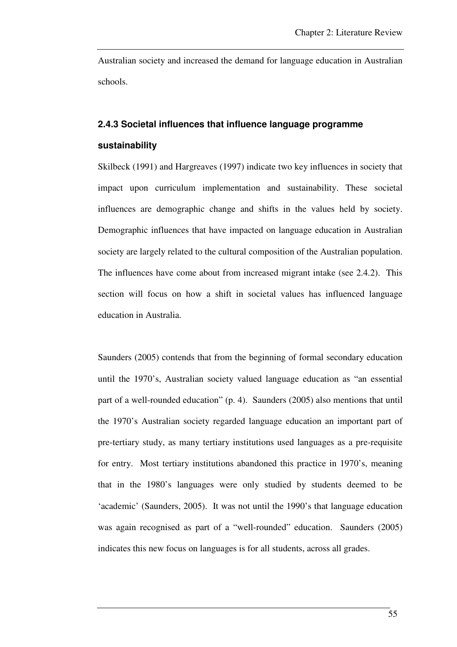Australian society and increased the demand for language education in Australian schools.

## **2.4.3 Societal influences that influence language programme**

#### **sustainability**

Skilbeck (1991) and Hargreaves (1997) indicate two key influences in society that impact upon curriculum implementation and sustainability. These societal influences are demographic change and shifts in the values held by society. Demographic influences that have impacted on language education in Australian society are largely related to the cultural composition of the Australian population. The influences have come about from increased migrant intake (see 2.4.2). This section will focus on how a shift in societal values has influenced language education in Australia.

Saunders (2005) contends that from the beginning of formal secondary education until the 1970's, Australian society valued language education as "an essential part of a well-rounded education" (p. 4). Saunders (2005) also mentions that until the 1970's Australian society regarded language education an important part of pre-tertiary study, as many tertiary institutions used languages as a pre-requisite for entry. Most tertiary institutions abandoned this practice in 1970's, meaning that in the 1980's languages were only studied by students deemed to be 'academic' (Saunders, 2005). It was not until the 1990's that language education was again recognised as part of a "well-rounded" education. Saunders (2005) indicates this new focus on languages is for all students, across all grades.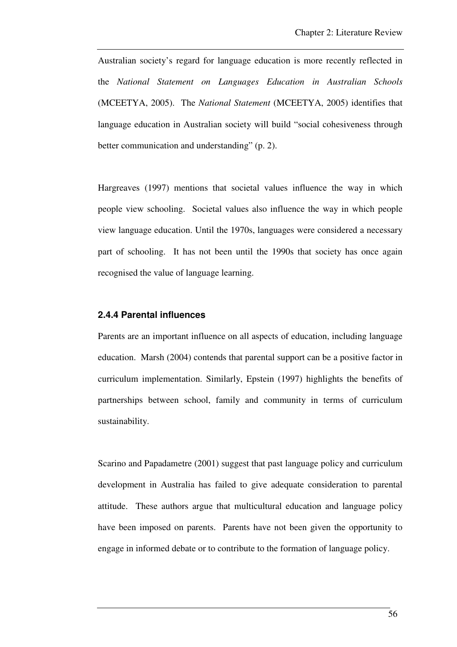Australian society's regard for language education is more recently reflected in the *National Statement on Languages Education in Australian Schools* (MCEETYA, 2005). The *National Statement* (MCEETYA, 2005) identifies that language education in Australian society will build "social cohesiveness through better communication and understanding" (p. 2).

Hargreaves (1997) mentions that societal values influence the way in which people view schooling. Societal values also influence the way in which people view language education. Until the 1970s, languages were considered a necessary part of schooling. It has not been until the 1990s that society has once again recognised the value of language learning.

#### **2.4.4 Parental influences**

Parents are an important influence on all aspects of education, including language education. Marsh (2004) contends that parental support can be a positive factor in curriculum implementation. Similarly, Epstein (1997) highlights the benefits of partnerships between school, family and community in terms of curriculum sustainability.

Scarino and Papadametre (2001) suggest that past language policy and curriculum development in Australia has failed to give adequate consideration to parental attitude. These authors argue that multicultural education and language policy have been imposed on parents. Parents have not been given the opportunity to engage in informed debate or to contribute to the formation of language policy.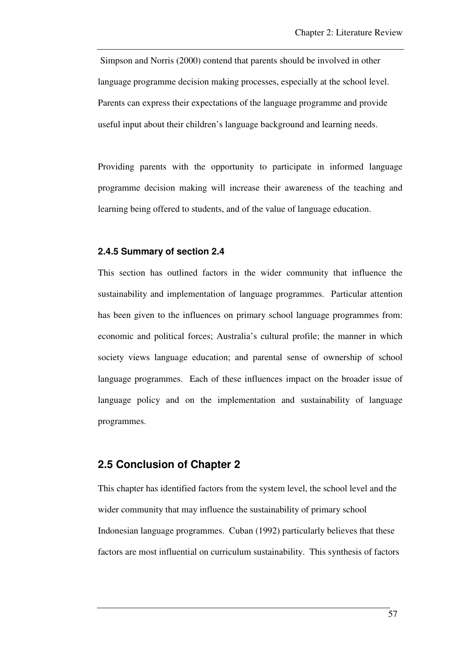Simpson and Norris (2000) contend that parents should be involved in other language programme decision making processes, especially at the school level. Parents can express their expectations of the language programme and provide useful input about their children's language background and learning needs.

Providing parents with the opportunity to participate in informed language programme decision making will increase their awareness of the teaching and learning being offered to students, and of the value of language education.

#### **2.4.5 Summary of section 2.4**

This section has outlined factors in the wider community that influence the sustainability and implementation of language programmes. Particular attention has been given to the influences on primary school language programmes from: economic and political forces; Australia's cultural profile; the manner in which society views language education; and parental sense of ownership of school language programmes. Each of these influences impact on the broader issue of language policy and on the implementation and sustainability of language programmes.

#### **2.5 Conclusion of Chapter 2**

This chapter has identified factors from the system level, the school level and the wider community that may influence the sustainability of primary school Indonesian language programmes. Cuban (1992) particularly believes that these factors are most influential on curriculum sustainability. This synthesis of factors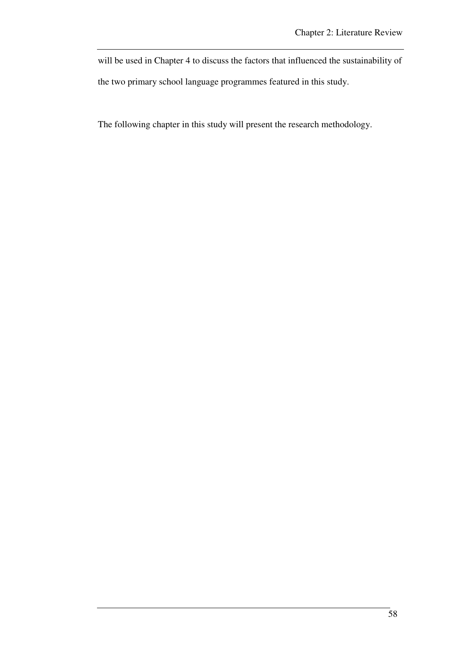will be used in Chapter 4 to discuss the factors that influenced the sustainability of the two primary school language programmes featured in this study.

The following chapter in this study will present the research methodology.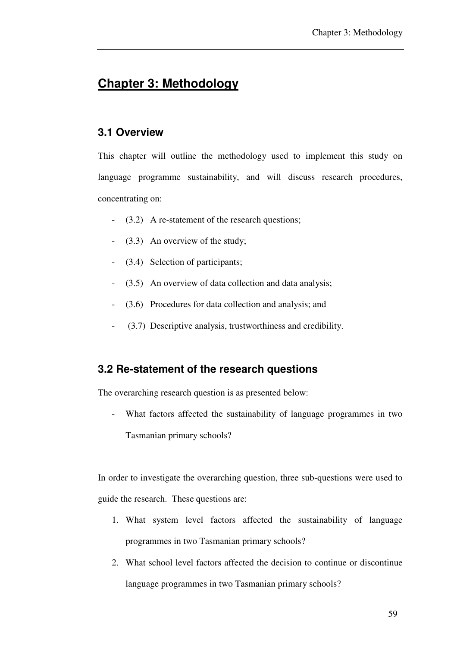# **Chapter 3: Methodology**

# **3.1 Overview**

This chapter will outline the methodology used to implement this study on language programme sustainability, and will discuss research procedures, concentrating on:

- (3.2) A re-statement of the research questions;
- (3.3) An overview of the study;
- (3.4) Selection of participants;
- (3.5) An overview of data collection and data analysis;
- (3.6) Procedures for data collection and analysis; and
- (3.7) Descriptive analysis, trustworthiness and credibility.

# **3.2 Re-statement of the research questions**

The overarching research question is as presented below:

What factors affected the sustainability of language programmes in two Tasmanian primary schools?

In order to investigate the overarching question, three sub-questions were used to guide the research. These questions are:

- 1. What system level factors affected the sustainability of language programmes in two Tasmanian primary schools?
- 2. What school level factors affected the decision to continue or discontinue language programmes in two Tasmanian primary schools?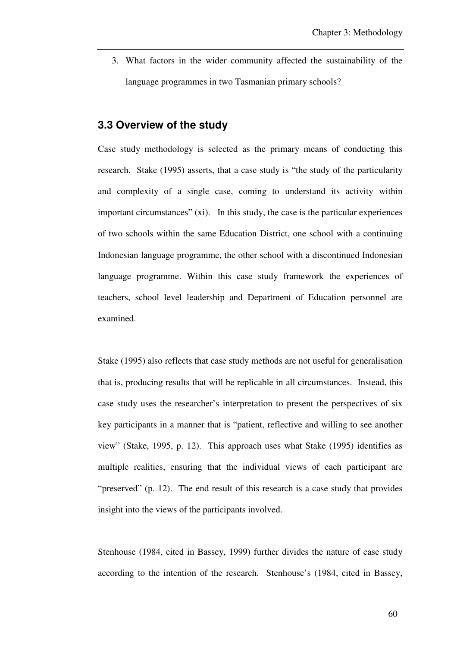3. What factors in the wider community affected the sustainability of the language programmes in two Tasmanian primary schools?

### **3.3 Overview of the study**

Case study methodology is selected as the primary means of conducting this research. Stake (1995) asserts, that a case study is "the study of the particularity and complexity of a single case, coming to understand its activity within important circumstances" (xi). In this study, the case is the particular experiences of two schools within the same Education District, one school with a continuing Indonesian language programme, the other school with a discontinued Indonesian language programme. Within this case study framework the experiences of teachers, school level leadership and Department of Education personnel are examined.

Stake (1995) also reflects that case study methods are not useful for generalisation that is, producing results that will be replicable in all circumstances. Instead, this case study uses the researcher's interpretation to present the perspectives of six key participants in a manner that is "patient, reflective and willing to see another view" (Stake, 1995, p. 12). This approach uses what Stake (1995) identifies as multiple realities, ensuring that the individual views of each participant are "preserved" (p. 12). The end result of this research is a case study that provides insight into the views of the participants involved.

Stenhouse (1984, cited in Bassey, 1999) further divides the nature of case study according to the intention of the research. Stenhouse's (1984, cited in Bassey,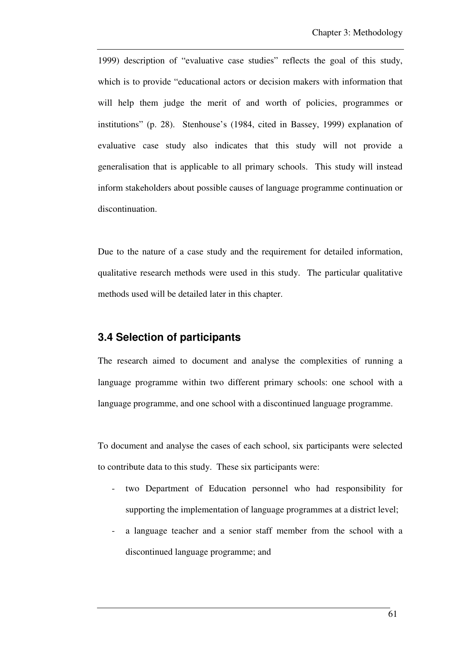1999) description of "evaluative case studies" reflects the goal of this study, which is to provide "educational actors or decision makers with information that will help them judge the merit of and worth of policies, programmes or institutions" (p. 28). Stenhouse's (1984, cited in Bassey, 1999) explanation of evaluative case study also indicates that this study will not provide a generalisation that is applicable to all primary schools. This study will instead inform stakeholders about possible causes of language programme continuation or discontinuation.

Due to the nature of a case study and the requirement for detailed information, qualitative research methods were used in this study. The particular qualitative methods used will be detailed later in this chapter.

## **3.4 Selection of participants**

The research aimed to document and analyse the complexities of running a language programme within two different primary schools: one school with a language programme, and one school with a discontinued language programme.

To document and analyse the cases of each school, six participants were selected to contribute data to this study. These six participants were:

- two Department of Education personnel who had responsibility for supporting the implementation of language programmes at a district level;
- a language teacher and a senior staff member from the school with a discontinued language programme; and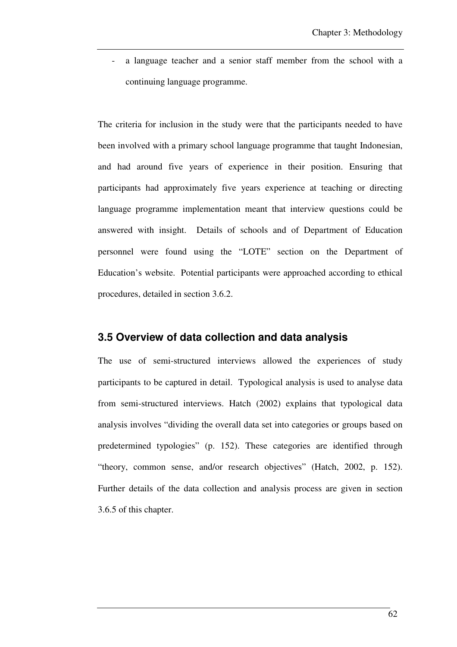a language teacher and a senior staff member from the school with a continuing language programme.

The criteria for inclusion in the study were that the participants needed to have been involved with a primary school language programme that taught Indonesian, and had around five years of experience in their position. Ensuring that participants had approximately five years experience at teaching or directing language programme implementation meant that interview questions could be answered with insight. Details of schools and of Department of Education personnel were found using the "LOTE" section on the Department of Education's website. Potential participants were approached according to ethical procedures, detailed in section 3.6.2.

#### **3.5 Overview of data collection and data analysis**

The use of semi-structured interviews allowed the experiences of study participants to be captured in detail. Typological analysis is used to analyse data from semi-structured interviews. Hatch (2002) explains that typological data analysis involves "dividing the overall data set into categories or groups based on predetermined typologies" (p. 152). These categories are identified through "theory, common sense, and/or research objectives" (Hatch, 2002, p. 152). Further details of the data collection and analysis process are given in section 3.6.5 of this chapter.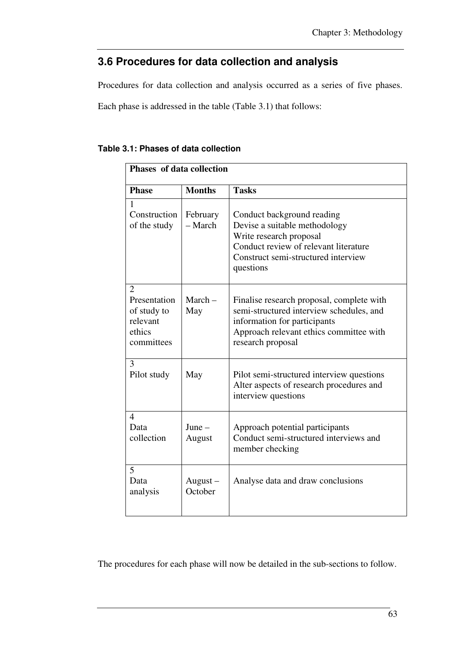# **3.6 Procedures for data collection and analysis**

Procedures for data collection and analysis occurred as a series of five phases.

Each phase is addressed in the table (Table 3.1) that follows:

| Table 3.1: Phases of data collection |  |
|--------------------------------------|--|
|--------------------------------------|--|

| Phases of data collection                                                         |                       |                                                                                                                                                                                       |
|-----------------------------------------------------------------------------------|-----------------------|---------------------------------------------------------------------------------------------------------------------------------------------------------------------------------------|
| <b>Phase</b>                                                                      | <b>Months</b>         | <b>Tasks</b>                                                                                                                                                                          |
| $\mathbf{1}$<br>Construction<br>of the study                                      | February<br>- March   | Conduct background reading<br>Devise a suitable methodology<br>Write research proposal<br>Conduct review of relevant literature<br>Construct semi-structured interview<br>questions   |
| $\overline{2}$<br>Presentation<br>of study to<br>relevant<br>ethics<br>committees | $March -$<br>May      | Finalise research proposal, complete with<br>semi-structured interview schedules, and<br>information for participants<br>Approach relevant ethics committee with<br>research proposal |
| 3<br>Pilot study                                                                  | May                   | Pilot semi-structured interview questions<br>Alter aspects of research procedures and<br>interview questions                                                                          |
| 4<br>Data<br>collection                                                           | $June -$<br>August    | Approach potential participants<br>Conduct semi-structured interviews and<br>member checking                                                                                          |
| 5<br>Data<br>analysis                                                             | $August -$<br>October | Analyse data and draw conclusions                                                                                                                                                     |

The procedures for each phase will now be detailed in the sub-sections to follow.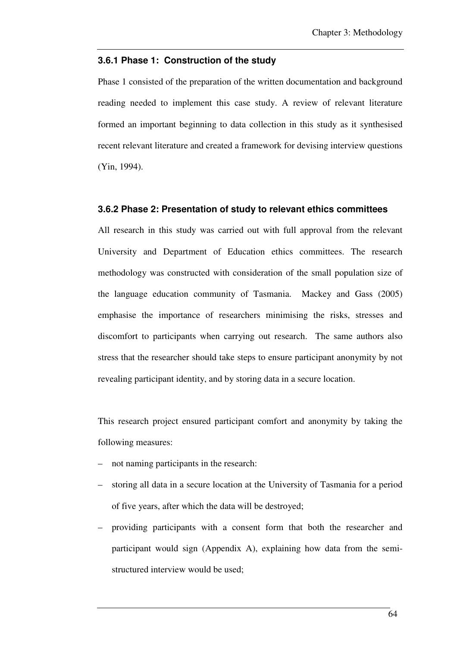### **3.6.1 Phase 1: Construction of the study**

Phase 1 consisted of the preparation of the written documentation and background reading needed to implement this case study. A review of relevant literature formed an important beginning to data collection in this study as it synthesised recent relevant literature and created a framework for devising interview questions (Yin, 1994).

### **3.6.2 Phase 2: Presentation of study to relevant ethics committees**

All research in this study was carried out with full approval from the relevant University and Department of Education ethics committees. The research methodology was constructed with consideration of the small population size of the language education community of Tasmania. Mackey and Gass (2005) emphasise the importance of researchers minimising the risks, stresses and discomfort to participants when carrying out research. The same authors also stress that the researcher should take steps to ensure participant anonymity by not revealing participant identity, and by storing data in a secure location.

This research project ensured participant comfort and anonymity by taking the following measures:

- not naming participants in the research:
- storing all data in a secure location at the University of Tasmania for a period of five years, after which the data will be destroyed;
- providing participants with a consent form that both the researcher and participant would sign (Appendix A), explaining how data from the semistructured interview would be used;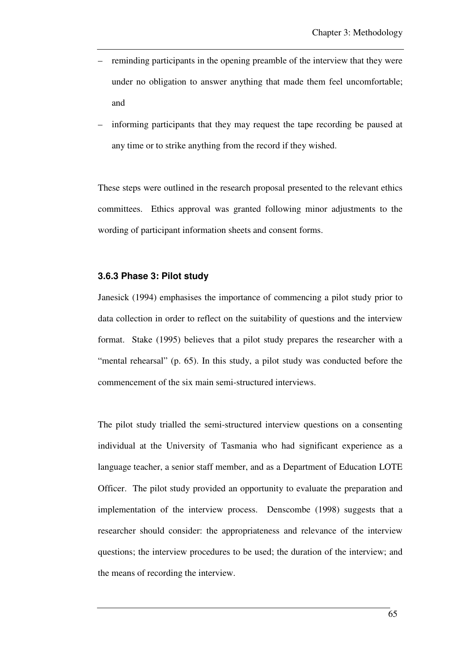- reminding participants in the opening preamble of the interview that they were under no obligation to answer anything that made them feel uncomfortable; and
- informing participants that they may request the tape recording be paused at any time or to strike anything from the record if they wished.

These steps were outlined in the research proposal presented to the relevant ethics committees. Ethics approval was granted following minor adjustments to the wording of participant information sheets and consent forms.

### **3.6.3 Phase 3: Pilot study**

Janesick (1994) emphasises the importance of commencing a pilot study prior to data collection in order to reflect on the suitability of questions and the interview format. Stake (1995) believes that a pilot study prepares the researcher with a "mental rehearsal" (p. 65). In this study, a pilot study was conducted before the commencement of the six main semi-structured interviews.

The pilot study trialled the semi-structured interview questions on a consenting individual at the University of Tasmania who had significant experience as a language teacher, a senior staff member, and as a Department of Education LOTE Officer. The pilot study provided an opportunity to evaluate the preparation and implementation of the interview process. Denscombe (1998) suggests that a researcher should consider: the appropriateness and relevance of the interview questions; the interview procedures to be used; the duration of the interview; and the means of recording the interview.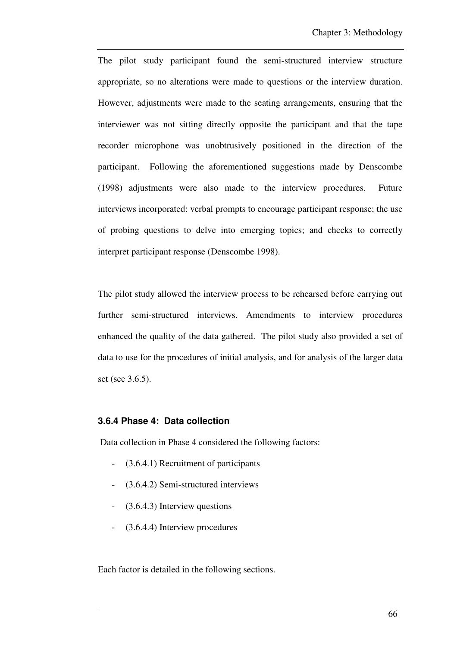The pilot study participant found the semi-structured interview structure appropriate, so no alterations were made to questions or the interview duration. However, adjustments were made to the seating arrangements, ensuring that the interviewer was not sitting directly opposite the participant and that the tape recorder microphone was unobtrusively positioned in the direction of the participant. Following the aforementioned suggestions made by Denscombe (1998) adjustments were also made to the interview procedures. Future interviews incorporated: verbal prompts to encourage participant response; the use of probing questions to delve into emerging topics; and checks to correctly interpret participant response (Denscombe 1998).

The pilot study allowed the interview process to be rehearsed before carrying out further semi-structured interviews. Amendments to interview procedures enhanced the quality of the data gathered. The pilot study also provided a set of data to use for the procedures of initial analysis, and for analysis of the larger data set (see 3.6.5).

### **3.6.4 Phase 4: Data collection**

Data collection in Phase 4 considered the following factors:

- (3.6.4.1) Recruitment of participants
- (3.6.4.2) Semi-structured interviews
- $(3.6.4.3)$  Interview questions
- (3.6.4.4) Interview procedures

Each factor is detailed in the following sections.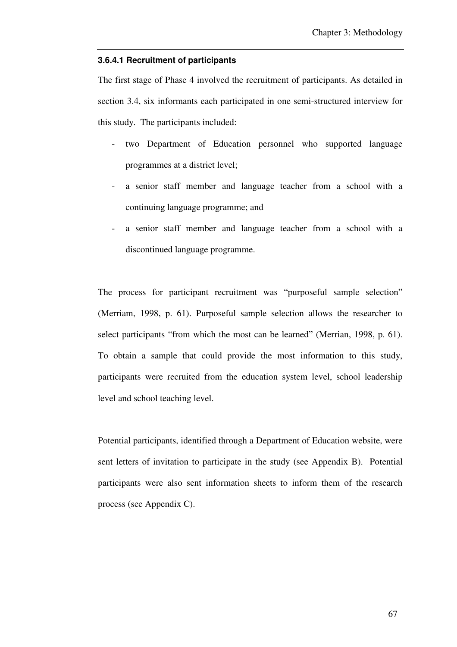#### **3.6.4.1 Recruitment of participants**

The first stage of Phase 4 involved the recruitment of participants. As detailed in section 3.4, six informants each participated in one semi-structured interview for this study. The participants included:

- two Department of Education personnel who supported language programmes at a district level;
- a senior staff member and language teacher from a school with a continuing language programme; and
- a senior staff member and language teacher from a school with a discontinued language programme.

The process for participant recruitment was "purposeful sample selection" (Merriam, 1998, p. 61). Purposeful sample selection allows the researcher to select participants "from which the most can be learned" (Merrian, 1998, p. 61). To obtain a sample that could provide the most information to this study, participants were recruited from the education system level, school leadership level and school teaching level.

Potential participants, identified through a Department of Education website, were sent letters of invitation to participate in the study (see Appendix B). Potential participants were also sent information sheets to inform them of the research process (see Appendix C).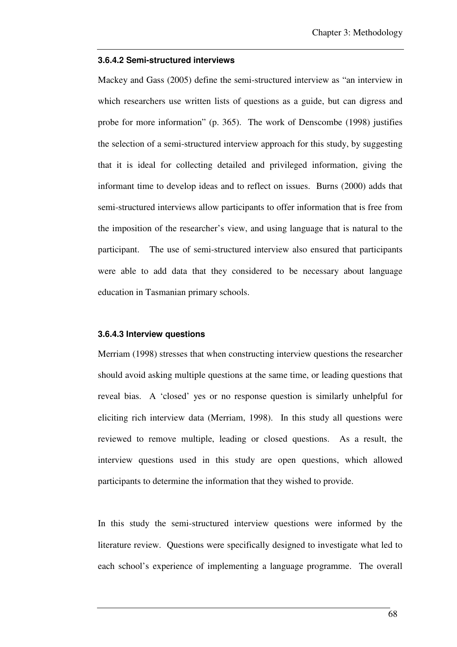#### **3.6.4.2 Semi-structured interviews**

Mackey and Gass (2005) define the semi-structured interview as "an interview in which researchers use written lists of questions as a guide, but can digress and probe for more information" (p. 365). The work of Denscombe (1998) justifies the selection of a semi-structured interview approach for this study, by suggesting that it is ideal for collecting detailed and privileged information, giving the informant time to develop ideas and to reflect on issues. Burns (2000) adds that semi-structured interviews allow participants to offer information that is free from the imposition of the researcher's view, and using language that is natural to the participant. The use of semi-structured interview also ensured that participants were able to add data that they considered to be necessary about language education in Tasmanian primary schools.

### **3.6.4.3 Interview questions**

Merriam (1998) stresses that when constructing interview questions the researcher should avoid asking multiple questions at the same time, or leading questions that reveal bias. A 'closed' yes or no response question is similarly unhelpful for eliciting rich interview data (Merriam, 1998). In this study all questions were reviewed to remove multiple, leading or closed questions. As a result, the interview questions used in this study are open questions, which allowed participants to determine the information that they wished to provide.

In this study the semi-structured interview questions were informed by the literature review. Questions were specifically designed to investigate what led to each school's experience of implementing a language programme. The overall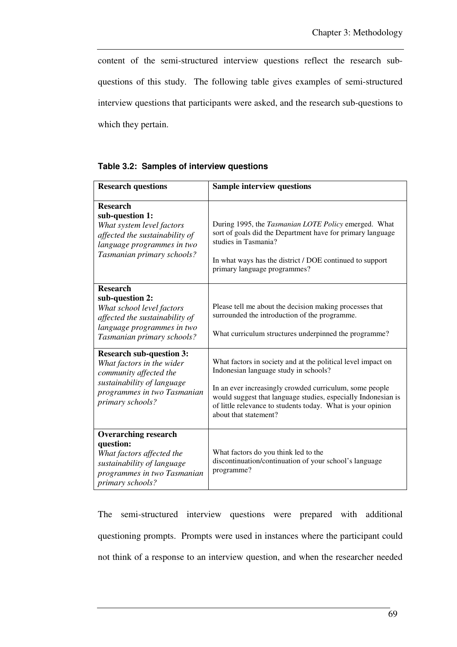content of the semi-structured interview questions reflect the research subquestions of this study. The following table gives examples of semi-structured interview questions that participants were asked, and the research sub-questions to which they pertain.

|  |  | Table 3.2: Samples of interview questions |  |
|--|--|-------------------------------------------|--|
|--|--|-------------------------------------------|--|

| <b>Research questions</b>                                                                                                                                               | <b>Sample interview questions</b>                                                                                                                                                                                                                                                                                         |
|-------------------------------------------------------------------------------------------------------------------------------------------------------------------------|---------------------------------------------------------------------------------------------------------------------------------------------------------------------------------------------------------------------------------------------------------------------------------------------------------------------------|
| <b>Research</b><br>sub-question 1:<br>What system level factors<br>affected the sustainability of<br>language programmes in two<br>Tasmanian primary schools?           | During 1995, the <i>Tasmanian LOTE Policy</i> emerged. What<br>sort of goals did the Department have for primary language<br>studies in Tasmania?<br>In what ways has the district / DOE continued to support<br>primary language programmes?                                                                             |
| <b>Research</b><br>sub-question 2:<br>What school level factors<br>affected the sustainability of<br>language programmes in two<br>Tasmanian primary schools?           | Please tell me about the decision making processes that<br>surrounded the introduction of the programme.<br>What curriculum structures underpinned the programme?                                                                                                                                                         |
| <b>Research sub-question 3:</b><br>What factors in the wider<br>community affected the<br>sustainability of language<br>programmes in two Tasmanian<br>primary schools? | What factors in society and at the political level impact on<br>Indonesian language study in schools?<br>In an ever increasingly crowded curriculum, some people<br>would suggest that language studies, especially Indonesian is<br>of little relevance to students today. What is your opinion<br>about that statement? |
| <b>Overarching research</b><br>question:<br>What factors affected the<br>sustainability of language<br>programmes in two Tasmanian<br>primary schools?                  | What factors do you think led to the<br>discontinuation/continuation of your school's language<br>programme?                                                                                                                                                                                                              |

The semi-structured interview questions were prepared with additional questioning prompts. Prompts were used in instances where the participant could not think of a response to an interview question, and when the researcher needed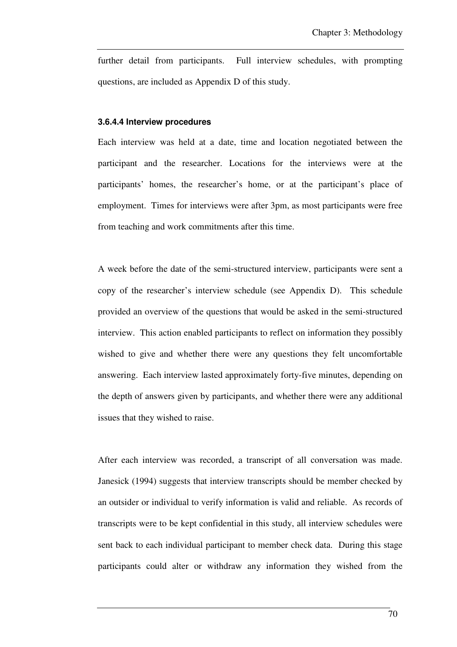further detail from participants. Full interview schedules, with prompting questions, are included as Appendix D of this study.

### **3.6.4.4 Interview procedures**

Each interview was held at a date, time and location negotiated between the participant and the researcher. Locations for the interviews were at the participants' homes, the researcher's home, or at the participant's place of employment. Times for interviews were after 3pm, as most participants were free from teaching and work commitments after this time.

A week before the date of the semi-structured interview, participants were sent a copy of the researcher's interview schedule (see Appendix D). This schedule provided an overview of the questions that would be asked in the semi-structured interview. This action enabled participants to reflect on information they possibly wished to give and whether there were any questions they felt uncomfortable answering. Each interview lasted approximately forty-five minutes, depending on the depth of answers given by participants, and whether there were any additional issues that they wished to raise.

After each interview was recorded, a transcript of all conversation was made. Janesick (1994) suggests that interview transcripts should be member checked by an outsider or individual to verify information is valid and reliable. As records of transcripts were to be kept confidential in this study, all interview schedules were sent back to each individual participant to member check data. During this stage participants could alter or withdraw any information they wished from the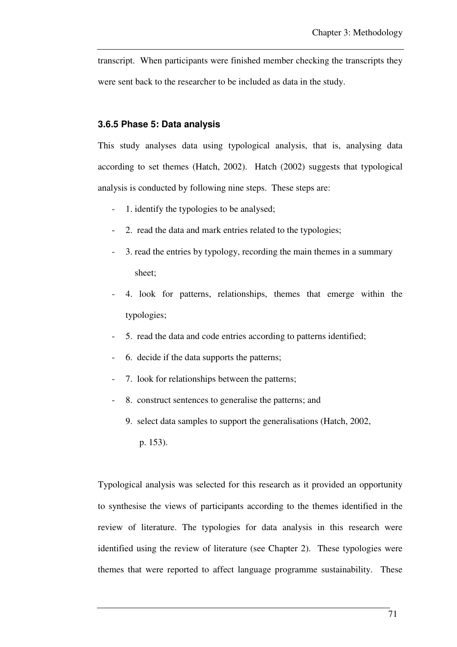transcript. When participants were finished member checking the transcripts they were sent back to the researcher to be included as data in the study.

### **3.6.5 Phase 5: Data analysis**

This study analyses data using typological analysis, that is, analysing data according to set themes (Hatch, 2002). Hatch (2002) suggests that typological analysis is conducted by following nine steps. These steps are:

- 1. identify the typologies to be analysed;
- 2. read the data and mark entries related to the typologies;
- 3. read the entries by typology, recording the main themes in a summary sheet;
- 4. look for patterns, relationships, themes that emerge within the typologies;
- 5. read the data and code entries according to patterns identified;
- 6. decide if the data supports the patterns;
- 7. look for relationships between the patterns;
- 8. construct sentences to generalise the patterns; and
	- 9. select data samples to support the generalisations (Hatch, 2002,
		- p. 153).

Typological analysis was selected for this research as it provided an opportunity to synthesise the views of participants according to the themes identified in the review of literature. The typologies for data analysis in this research were identified using the review of literature (see Chapter 2). These typologies were themes that were reported to affect language programme sustainability. These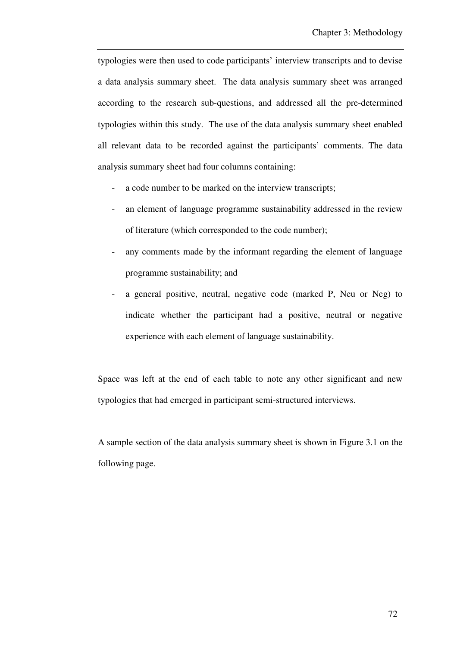typologies were then used to code participants' interview transcripts and to devise a data analysis summary sheet. The data analysis summary sheet was arranged according to the research sub-questions, and addressed all the pre-determined typologies within this study. The use of the data analysis summary sheet enabled all relevant data to be recorded against the participants' comments. The data analysis summary sheet had four columns containing:

- a code number to be marked on the interview transcripts;
- an element of language programme sustainability addressed in the review of literature (which corresponded to the code number);
- any comments made by the informant regarding the element of language programme sustainability; and
- a general positive, neutral, negative code (marked P, Neu or Neg) to indicate whether the participant had a positive, neutral or negative experience with each element of language sustainability.

Space was left at the end of each table to note any other significant and new typologies that had emerged in participant semi-structured interviews.

A sample section of the data analysis summary sheet is shown in Figure 3.1 on the following page.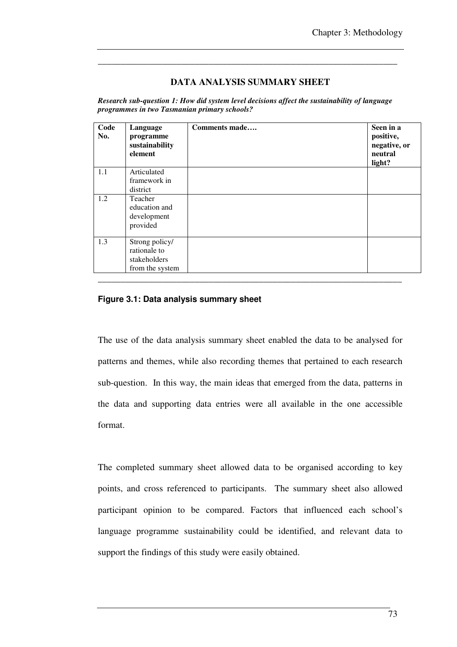### **DATA ANALYSIS SUMMARY SHEET**

\_\_\_\_\_\_\_\_\_\_\_\_\_\_\_\_\_\_\_\_\_\_\_\_\_\_\_\_\_\_\_\_\_\_\_\_\_\_\_\_\_\_\_\_\_\_\_\_\_\_\_\_\_\_\_\_\_\_\_\_\_\_\_\_\_

*Research sub-question 1: How did system level decisions affect the sustainability of language programmes in two Tasmanian primary schools?* 

| Code<br>No. | Language<br>programme<br>sustainability<br>element                | Comments made | Seen in a<br>positive,<br>negative, or<br>neutral<br>light? |
|-------------|-------------------------------------------------------------------|---------------|-------------------------------------------------------------|
| 1.1         | Articulated<br>framework in<br>district                           |               |                                                             |
| 1.2         | Teacher<br>education and<br>development<br>provided               |               |                                                             |
| 1.3         | Strong policy/<br>rationale to<br>stakeholders<br>from the system |               |                                                             |
|             |                                                                   |               |                                                             |

### **Figure 3.1: Data analysis summary sheet**

The use of the data analysis summary sheet enabled the data to be analysed for patterns and themes, while also recording themes that pertained to each research sub-question. In this way, the main ideas that emerged from the data, patterns in the data and supporting data entries were all available in the one accessible format.

The completed summary sheet allowed data to be organised according to key points, and cross referenced to participants. The summary sheet also allowed participant opinion to be compared. Factors that influenced each school's language programme sustainability could be identified, and relevant data to support the findings of this study were easily obtained.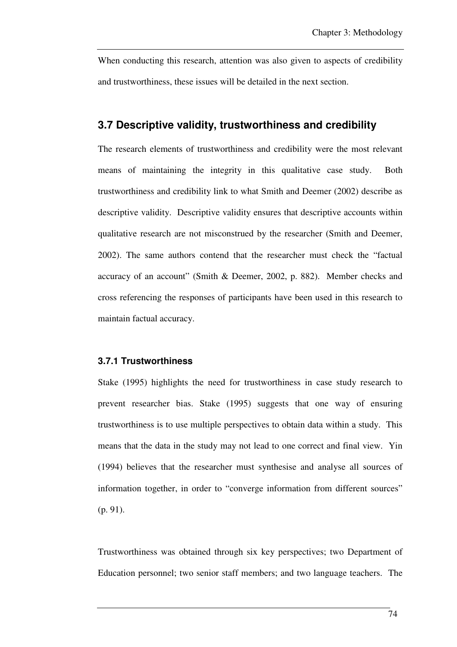When conducting this research, attention was also given to aspects of credibility and trustworthiness, these issues will be detailed in the next section.

# **3.7 Descriptive validity, trustworthiness and credibility**

The research elements of trustworthiness and credibility were the most relevant means of maintaining the integrity in this qualitative case study. Both trustworthiness and credibility link to what Smith and Deemer (2002) describe as descriptive validity. Descriptive validity ensures that descriptive accounts within qualitative research are not misconstrued by the researcher (Smith and Deemer, 2002). The same authors contend that the researcher must check the "factual accuracy of an account" (Smith & Deemer, 2002, p. 882). Member checks and cross referencing the responses of participants have been used in this research to maintain factual accuracy.

### **3.7.1 Trustworthiness**

Stake (1995) highlights the need for trustworthiness in case study research to prevent researcher bias. Stake (1995) suggests that one way of ensuring trustworthiness is to use multiple perspectives to obtain data within a study. This means that the data in the study may not lead to one correct and final view. Yin (1994) believes that the researcher must synthesise and analyse all sources of information together, in order to "converge information from different sources" (p. 91).

Trustworthiness was obtained through six key perspectives; two Department of Education personnel; two senior staff members; and two language teachers. The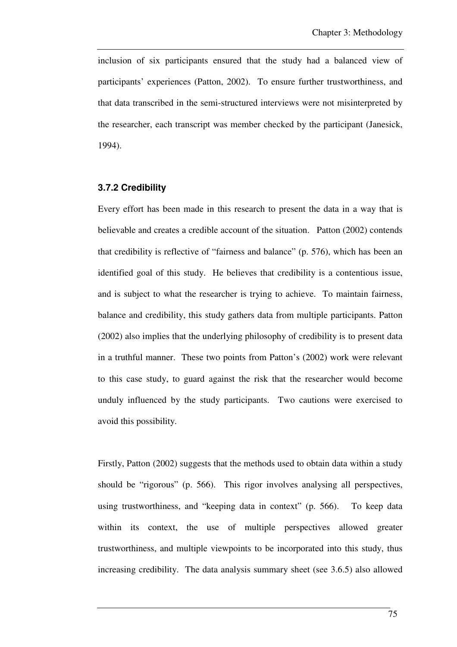inclusion of six participants ensured that the study had a balanced view of participants' experiences (Patton, 2002). To ensure further trustworthiness, and that data transcribed in the semi-structured interviews were not misinterpreted by the researcher, each transcript was member checked by the participant (Janesick, 1994).

### **3.7.2 Credibility**

Every effort has been made in this research to present the data in a way that is believable and creates a credible account of the situation. Patton (2002) contends that credibility is reflective of "fairness and balance" (p. 576), which has been an identified goal of this study. He believes that credibility is a contentious issue, and is subject to what the researcher is trying to achieve. To maintain fairness, balance and credibility, this study gathers data from multiple participants. Patton (2002) also implies that the underlying philosophy of credibility is to present data in a truthful manner. These two points from Patton's (2002) work were relevant to this case study, to guard against the risk that the researcher would become unduly influenced by the study participants. Two cautions were exercised to avoid this possibility.

Firstly, Patton (2002) suggests that the methods used to obtain data within a study should be "rigorous" (p. 566). This rigor involves analysing all perspectives, using trustworthiness, and "keeping data in context" (p. 566). To keep data within its context, the use of multiple perspectives allowed greater trustworthiness, and multiple viewpoints to be incorporated into this study, thus increasing credibility. The data analysis summary sheet (see 3.6.5) also allowed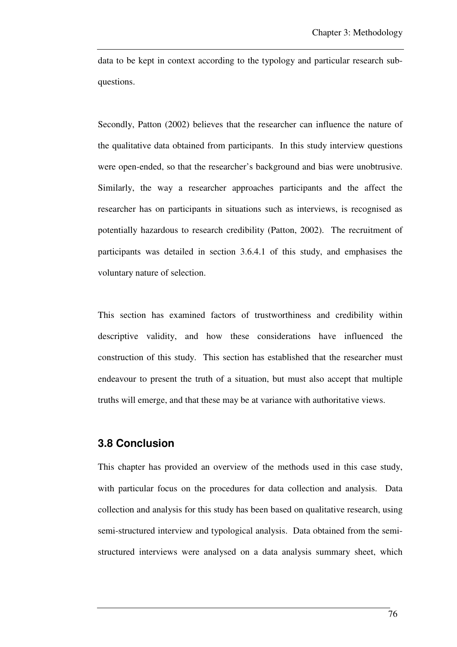data to be kept in context according to the typology and particular research subquestions.

Secondly, Patton (2002) believes that the researcher can influence the nature of the qualitative data obtained from participants. In this study interview questions were open-ended, so that the researcher's background and bias were unobtrusive. Similarly, the way a researcher approaches participants and the affect the researcher has on participants in situations such as interviews, is recognised as potentially hazardous to research credibility (Patton, 2002). The recruitment of participants was detailed in section 3.6.4.1 of this study, and emphasises the voluntary nature of selection.

This section has examined factors of trustworthiness and credibility within descriptive validity, and how these considerations have influenced the construction of this study. This section has established that the researcher must endeavour to present the truth of a situation, but must also accept that multiple truths will emerge, and that these may be at variance with authoritative views.

# **3.8 Conclusion**

This chapter has provided an overview of the methods used in this case study, with particular focus on the procedures for data collection and analysis. Data collection and analysis for this study has been based on qualitative research, using semi-structured interview and typological analysis. Data obtained from the semistructured interviews were analysed on a data analysis summary sheet, which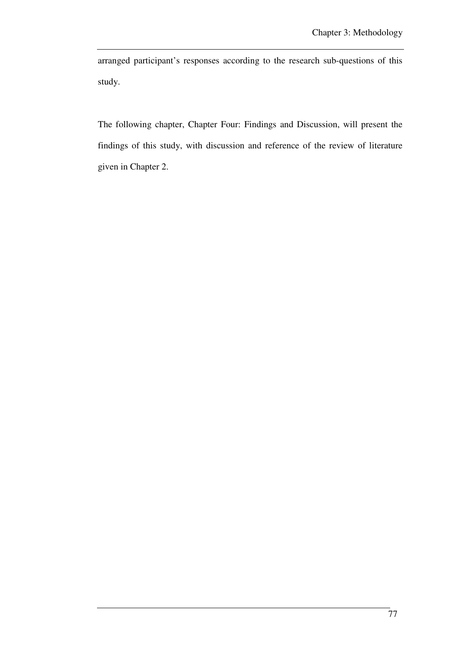arranged participant's responses according to the research sub-questions of this study.

The following chapter, Chapter Four: Findings and Discussion, will present the findings of this study, with discussion and reference of the review of literature given in Chapter 2.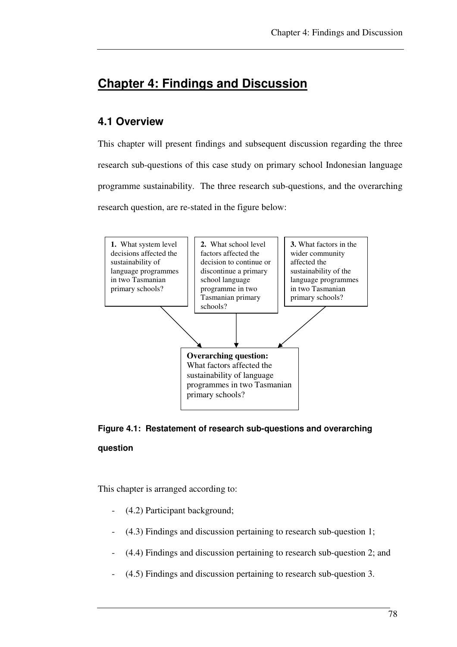# **Chapter 4: Findings and Discussion**

# **4.1 Overview**

This chapter will present findings and subsequent discussion regarding the three research sub-questions of this case study on primary school Indonesian language programme sustainability. The three research sub-questions, and the overarching research question, are re-stated in the figure below:





This chapter is arranged according to:

- (4.2) Participant background;
- (4.3) Findings and discussion pertaining to research sub-question 1;
- (4.4) Findings and discussion pertaining to research sub-question 2; and
- (4.5) Findings and discussion pertaining to research sub-question 3.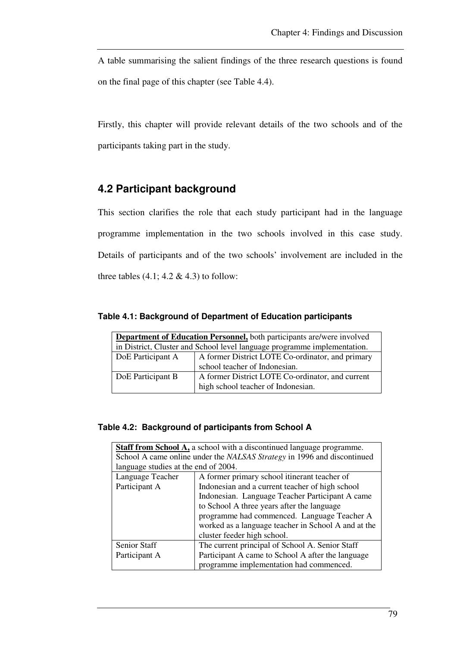A table summarising the salient findings of the three research questions is found on the final page of this chapter (see Table 4.4).

Firstly, this chapter will provide relevant details of the two schools and of the participants taking part in the study.

# **4.2 Participant background**

This section clarifies the role that each study participant had in the language programme implementation in the two schools involved in this case study. Details of participants and of the two schools' involvement are included in the three tables  $(4.1; 4.2 \& 4.3)$  to follow:

| Table 4.1: Background of Department of Education participants |  |
|---------------------------------------------------------------|--|
|---------------------------------------------------------------|--|

| <b>Department of Education Personnel,</b> both participants are/were involved |                                                                                        |
|-------------------------------------------------------------------------------|----------------------------------------------------------------------------------------|
| in District, Cluster and School level language programme implementation.      |                                                                                        |
| DoE Participant A                                                             | A former District LOTE Co-ordinator, and primary                                       |
|                                                                               | school teacher of Indonesian.                                                          |
| DoE Participant B                                                             | A former District LOTE Co-ordinator, and current<br>high school teacher of Indonesian. |

### **Table 4.2: Background of participants from School A**

| <b>Staff from School A, a school with a discontinued language programme.</b> |                                                     |  |
|------------------------------------------------------------------------------|-----------------------------------------------------|--|
| School A came online under the NALSAS Strategy in 1996 and discontinued      |                                                     |  |
| language studies at the end of 2004.                                         |                                                     |  |
| Language Teacher                                                             | A former primary school itinerant teacher of        |  |
| Participant A                                                                | Indonesian and a current teacher of high school     |  |
|                                                                              | Indonesian. Language Teacher Participant A came     |  |
|                                                                              | to School A three years after the language          |  |
|                                                                              | programme had commenced. Language Teacher A         |  |
|                                                                              | worked as a language teacher in School A and at the |  |
|                                                                              | cluster feeder high school.                         |  |
| Senior Staff                                                                 | The current principal of School A. Senior Staff     |  |
| Participant A                                                                | Participant A came to School A after the language   |  |
|                                                                              | programme implementation had commenced.             |  |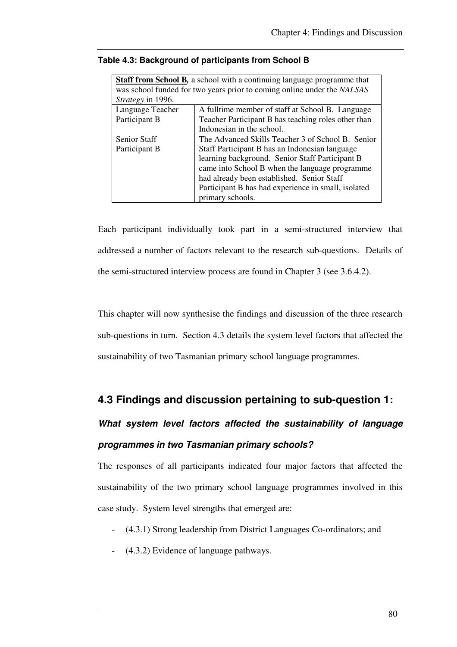| <b>Staff from School B,</b> a school with a continuing language programme that |                                                     |  |
|--------------------------------------------------------------------------------|-----------------------------------------------------|--|
| was school funded for two years prior to coming online under the NALSAS        |                                                     |  |
| Strategy in 1996.                                                              |                                                     |  |
| Language Teacher                                                               | A fulltime member of staff at School B. Language    |  |
| Participant B                                                                  | Teacher Participant B has teaching roles other than |  |
|                                                                                | Indonesian in the school.                           |  |
| <b>Senior Staff</b>                                                            | The Advanced Skills Teacher 3 of School B. Senior   |  |
| Participant B                                                                  | Staff Participant B has an Indonesian language      |  |
|                                                                                | learning background. Senior Staff Participant B     |  |
|                                                                                | came into School B when the language programme      |  |
|                                                                                | had already been established. Senior Staff          |  |
|                                                                                | Participant B has had experience in small, isolated |  |
|                                                                                | primary schools.                                    |  |

### **Table 4.3: Background of participants from School B**

Each participant individually took part in a semi-structured interview that addressed a number of factors relevant to the research sub-questions. Details of the semi-structured interview process are found in Chapter 3 (see 3.6.4.2).

This chapter will now synthesise the findings and discussion of the three research sub-questions in turn. Section 4.3 details the system level factors that affected the sustainability of two Tasmanian primary school language programmes.

# **4.3 Findings and discussion pertaining to sub-question 1:**

# **What system level factors affected the sustainability of language programmes in two Tasmanian primary schools?**

The responses of all participants indicated four major factors that affected the sustainability of the two primary school language programmes involved in this case study. System level strengths that emerged are:

- (4.3.1) Strong leadership from District Languages Co-ordinators; and
- (4.3.2) Evidence of language pathways.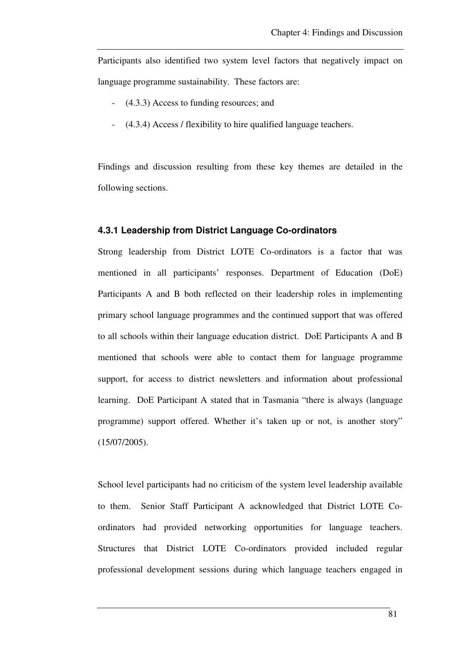Participants also identified two system level factors that negatively impact on language programme sustainability. These factors are:

- (4.3.3) Access to funding resources; and
- (4.3.4) Access / flexibility to hire qualified language teachers.

Findings and discussion resulting from these key themes are detailed in the following sections.

#### **4.3.1 Leadership from District Language Co-ordinators**

Strong leadership from District LOTE Co-ordinators is a factor that was mentioned in all participants' responses. Department of Education (DoE) Participants A and B both reflected on their leadership roles in implementing primary school language programmes and the continued support that was offered to all schools within their language education district. DoE Participants A and B mentioned that schools were able to contact them for language programme support, for access to district newsletters and information about professional learning. DoE Participant A stated that in Tasmania "there is always (language programme) support offered. Whether it's taken up or not, is another story" (15/07/2005).

School level participants had no criticism of the system level leadership available to them. Senior Staff Participant A acknowledged that District LOTE Coordinators had provided networking opportunities for language teachers. Structures that District LOTE Co-ordinators provided included regular professional development sessions during which language teachers engaged in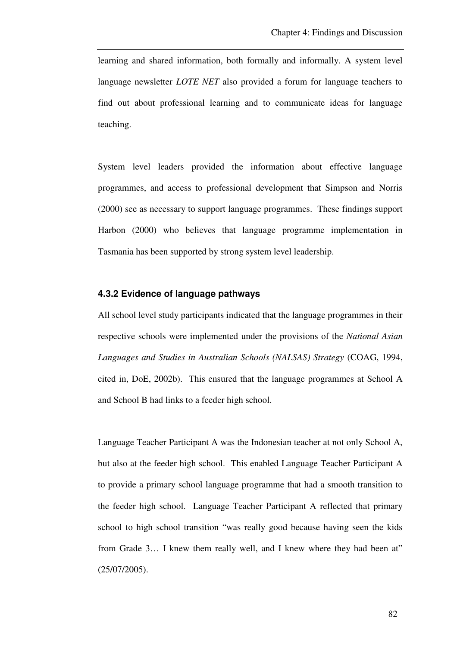learning and shared information, both formally and informally. A system level language newsletter *LOTE NET* also provided a forum for language teachers to find out about professional learning and to communicate ideas for language teaching.

System level leaders provided the information about effective language programmes, and access to professional development that Simpson and Norris (2000) see as necessary to support language programmes. These findings support Harbon (2000) who believes that language programme implementation in Tasmania has been supported by strong system level leadership.

### **4.3.2 Evidence of language pathways**

All school level study participants indicated that the language programmes in their respective schools were implemented under the provisions of the *National Asian Languages and Studies in Australian Schools (NALSAS) Strategy* (COAG, 1994, cited in, DoE, 2002b). This ensured that the language programmes at School A and School B had links to a feeder high school.

Language Teacher Participant A was the Indonesian teacher at not only School A, but also at the feeder high school. This enabled Language Teacher Participant A to provide a primary school language programme that had a smooth transition to the feeder high school. Language Teacher Participant A reflected that primary school to high school transition "was really good because having seen the kids from Grade 3… I knew them really well, and I knew where they had been at" (25/07/2005).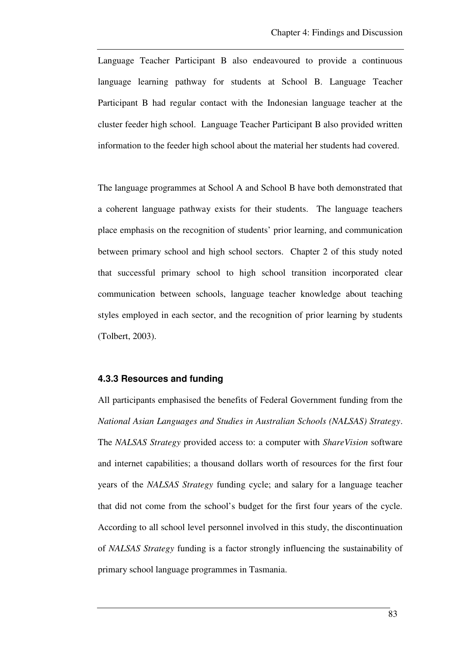Language Teacher Participant B also endeavoured to provide a continuous language learning pathway for students at School B. Language Teacher Participant B had regular contact with the Indonesian language teacher at the cluster feeder high school. Language Teacher Participant B also provided written information to the feeder high school about the material her students had covered.

The language programmes at School A and School B have both demonstrated that a coherent language pathway exists for their students. The language teachers place emphasis on the recognition of students' prior learning, and communication between primary school and high school sectors. Chapter 2 of this study noted that successful primary school to high school transition incorporated clear communication between schools, language teacher knowledge about teaching styles employed in each sector, and the recognition of prior learning by students (Tolbert, 2003).

### **4.3.3 Resources and funding**

All participants emphasised the benefits of Federal Government funding from the *National Asian Languages and Studies in Australian Schools (NALSAS) Strategy*. The *NALSAS Strategy* provided access to: a computer with *ShareVision* software and internet capabilities; a thousand dollars worth of resources for the first four years of the *NALSAS Strategy* funding cycle; and salary for a language teacher that did not come from the school's budget for the first four years of the cycle. According to all school level personnel involved in this study, the discontinuation of *NALSAS Strategy* funding is a factor strongly influencing the sustainability of primary school language programmes in Tasmania.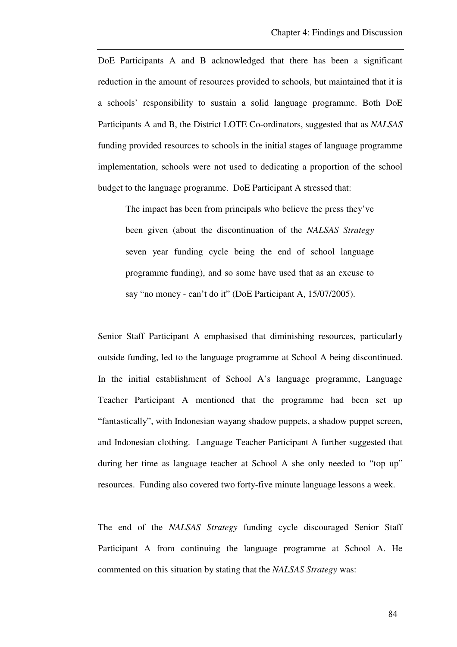DoE Participants A and B acknowledged that there has been a significant reduction in the amount of resources provided to schools, but maintained that it is a schools' responsibility to sustain a solid language programme. Both DoE Participants A and B, the District LOTE Co-ordinators, suggested that as *NALSAS*  funding provided resources to schools in the initial stages of language programme implementation, schools were not used to dedicating a proportion of the school budget to the language programme. DoE Participant A stressed that:

The impact has been from principals who believe the press they've been given (about the discontinuation of the *NALSAS Strategy* seven year funding cycle being the end of school language programme funding), and so some have used that as an excuse to say "no money - can't do it" (DoE Participant A, 15/07/2005).

Senior Staff Participant A emphasised that diminishing resources, particularly outside funding, led to the language programme at School A being discontinued. In the initial establishment of School A's language programme, Language Teacher Participant A mentioned that the programme had been set up "fantastically", with Indonesian wayang shadow puppets, a shadow puppet screen, and Indonesian clothing. Language Teacher Participant A further suggested that during her time as language teacher at School A she only needed to "top up" resources. Funding also covered two forty-five minute language lessons a week.

The end of the *NALSAS Strategy* funding cycle discouraged Senior Staff Participant A from continuing the language programme at School A. He commented on this situation by stating that the *NALSAS Strategy* was: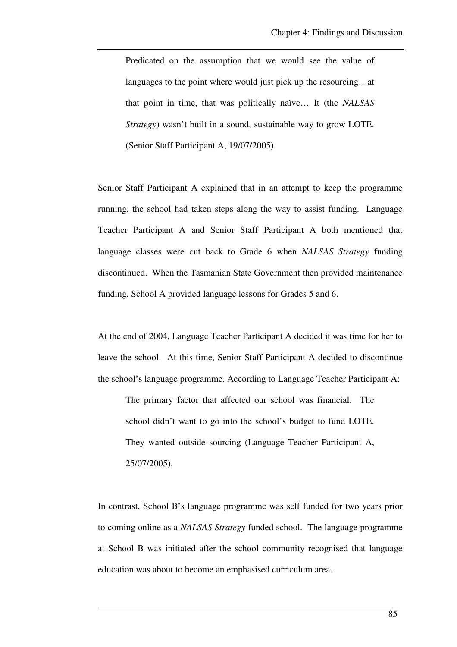Predicated on the assumption that we would see the value of languages to the point where would just pick up the resourcing…at that point in time, that was politically naïve… It (the *NALSAS Strategy*) wasn't built in a sound, sustainable way to grow LOTE. (Senior Staff Participant A, 19/07/2005).

Senior Staff Participant A explained that in an attempt to keep the programme running, the school had taken steps along the way to assist funding. Language Teacher Participant A and Senior Staff Participant A both mentioned that language classes were cut back to Grade 6 when *NALSAS Strategy* funding discontinued. When the Tasmanian State Government then provided maintenance funding, School A provided language lessons for Grades 5 and 6.

At the end of 2004, Language Teacher Participant A decided it was time for her to leave the school. At this time, Senior Staff Participant A decided to discontinue the school's language programme. According to Language Teacher Participant A:

The primary factor that affected our school was financial. The school didn't want to go into the school's budget to fund LOTE. They wanted outside sourcing (Language Teacher Participant A, 25/07/2005).

In contrast, School B's language programme was self funded for two years prior to coming online as a *NALSAS Strategy* funded school. The language programme at School B was initiated after the school community recognised that language education was about to become an emphasised curriculum area.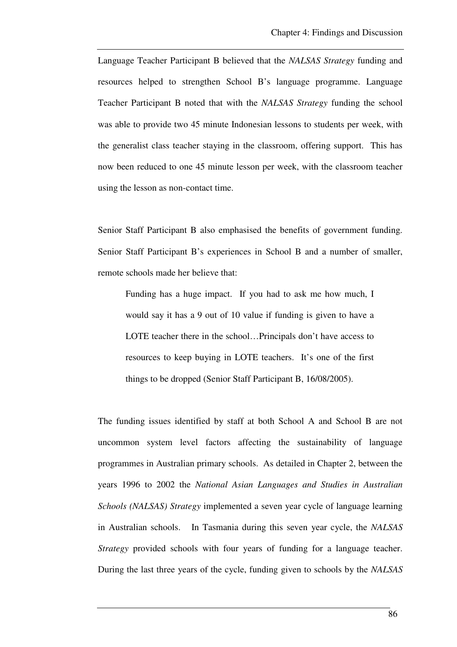Language Teacher Participant B believed that the *NALSAS Strategy* funding and resources helped to strengthen School B's language programme. Language Teacher Participant B noted that with the *NALSAS Strategy* funding the school was able to provide two 45 minute Indonesian lessons to students per week, with the generalist class teacher staying in the classroom, offering support. This has now been reduced to one 45 minute lesson per week, with the classroom teacher using the lesson as non-contact time.

Senior Staff Participant B also emphasised the benefits of government funding. Senior Staff Participant B's experiences in School B and a number of smaller, remote schools made her believe that:

Funding has a huge impact. If you had to ask me how much, I would say it has a 9 out of 10 value if funding is given to have a LOTE teacher there in the school…Principals don't have access to resources to keep buying in LOTE teachers. It's one of the first things to be dropped (Senior Staff Participant B, 16/08/2005).

The funding issues identified by staff at both School A and School B are not uncommon system level factors affecting the sustainability of language programmes in Australian primary schools. As detailed in Chapter 2, between the years 1996 to 2002 the *National Asian Languages and Studies in Australian Schools (NALSAS) Strategy* implemented a seven year cycle of language learning in Australian schools. In Tasmania during this seven year cycle, the *NALSAS Strategy* provided schools with four years of funding for a language teacher. During the last three years of the cycle, funding given to schools by the *NALSAS*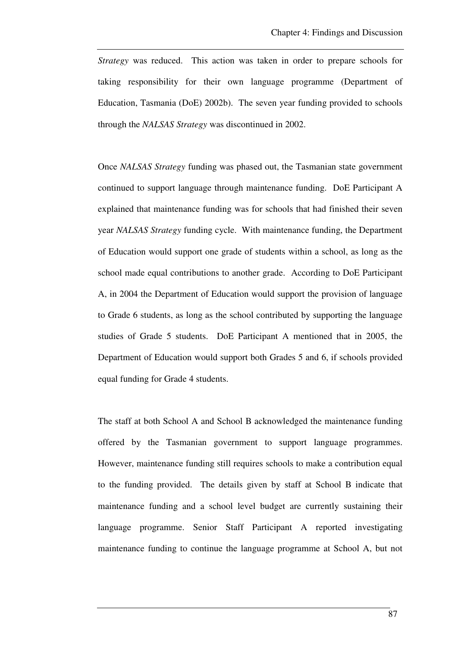*Strategy* was reduced. This action was taken in order to prepare schools for taking responsibility for their own language programme (Department of Education, Tasmania (DoE) 2002b). The seven year funding provided to schools through the *NALSAS Strategy* was discontinued in 2002.

Once *NALSAS Strategy* funding was phased out, the Tasmanian state government continued to support language through maintenance funding. DoE Participant A explained that maintenance funding was for schools that had finished their seven year *NALSAS Strategy* funding cycle. With maintenance funding, the Department of Education would support one grade of students within a school, as long as the school made equal contributions to another grade. According to DoE Participant A, in 2004 the Department of Education would support the provision of language to Grade 6 students, as long as the school contributed by supporting the language studies of Grade 5 students. DoE Participant A mentioned that in 2005, the Department of Education would support both Grades 5 and 6, if schools provided equal funding for Grade 4 students.

The staff at both School A and School B acknowledged the maintenance funding offered by the Tasmanian government to support language programmes. However, maintenance funding still requires schools to make a contribution equal to the funding provided. The details given by staff at School B indicate that maintenance funding and a school level budget are currently sustaining their language programme. Senior Staff Participant A reported investigating maintenance funding to continue the language programme at School A, but not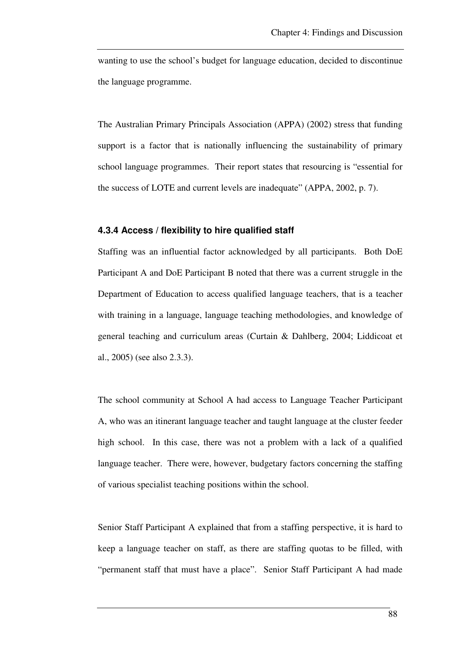wanting to use the school's budget for language education, decided to discontinue the language programme.

The Australian Primary Principals Association (APPA) (2002) stress that funding support is a factor that is nationally influencing the sustainability of primary school language programmes. Their report states that resourcing is "essential for the success of LOTE and current levels are inadequate" (APPA, 2002, p. 7).

### **4.3.4 Access / flexibility to hire qualified staff**

Staffing was an influential factor acknowledged by all participants. Both DoE Participant A and DoE Participant B noted that there was a current struggle in the Department of Education to access qualified language teachers, that is a teacher with training in a language, language teaching methodologies, and knowledge of general teaching and curriculum areas (Curtain & Dahlberg, 2004; Liddicoat et al., 2005) (see also 2.3.3).

The school community at School A had access to Language Teacher Participant A, who was an itinerant language teacher and taught language at the cluster feeder high school. In this case, there was not a problem with a lack of a qualified language teacher. There were, however, budgetary factors concerning the staffing of various specialist teaching positions within the school.

Senior Staff Participant A explained that from a staffing perspective, it is hard to keep a language teacher on staff, as there are staffing quotas to be filled, with "permanent staff that must have a place". Senior Staff Participant A had made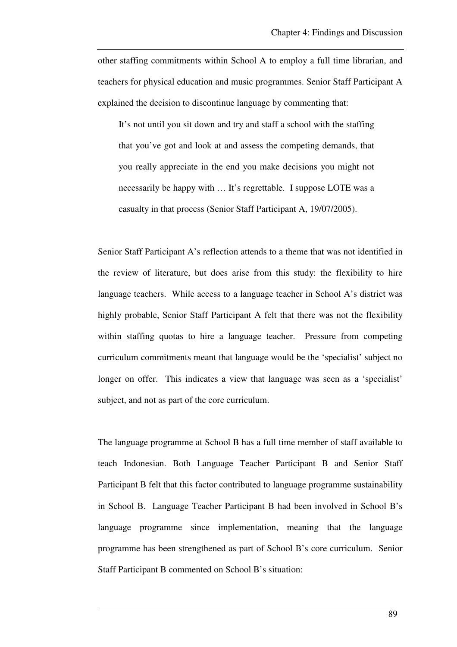other staffing commitments within School A to employ a full time librarian, and teachers for physical education and music programmes. Senior Staff Participant A explained the decision to discontinue language by commenting that:

It's not until you sit down and try and staff a school with the staffing that you've got and look at and assess the competing demands, that you really appreciate in the end you make decisions you might not necessarily be happy with … It's regrettable. I suppose LOTE was a casualty in that process (Senior Staff Participant A, 19/07/2005).

Senior Staff Participant A's reflection attends to a theme that was not identified in the review of literature, but does arise from this study: the flexibility to hire language teachers. While access to a language teacher in School A's district was highly probable, Senior Staff Participant A felt that there was not the flexibility within staffing quotas to hire a language teacher. Pressure from competing curriculum commitments meant that language would be the 'specialist' subject no longer on offer. This indicates a view that language was seen as a 'specialist' subject, and not as part of the core curriculum.

The language programme at School B has a full time member of staff available to teach Indonesian. Both Language Teacher Participant B and Senior Staff Participant B felt that this factor contributed to language programme sustainability in School B. Language Teacher Participant B had been involved in School B's language programme since implementation, meaning that the language programme has been strengthened as part of School B's core curriculum. Senior Staff Participant B commented on School B's situation: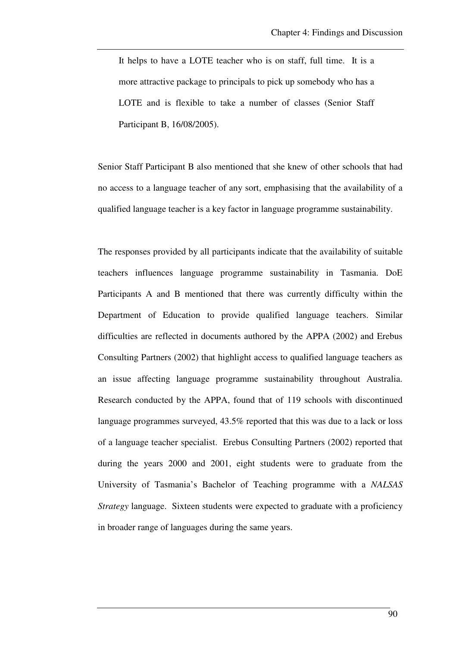It helps to have a LOTE teacher who is on staff, full time. It is a more attractive package to principals to pick up somebody who has a LOTE and is flexible to take a number of classes (Senior Staff Participant B, 16/08/2005).

Senior Staff Participant B also mentioned that she knew of other schools that had no access to a language teacher of any sort, emphasising that the availability of a qualified language teacher is a key factor in language programme sustainability.

The responses provided by all participants indicate that the availability of suitable teachers influences language programme sustainability in Tasmania. DoE Participants A and B mentioned that there was currently difficulty within the Department of Education to provide qualified language teachers. Similar difficulties are reflected in documents authored by the APPA (2002) and Erebus Consulting Partners (2002) that highlight access to qualified language teachers as an issue affecting language programme sustainability throughout Australia. Research conducted by the APPA, found that of 119 schools with discontinued language programmes surveyed, 43.5% reported that this was due to a lack or loss of a language teacher specialist. Erebus Consulting Partners (2002) reported that during the years 2000 and 2001, eight students were to graduate from the University of Tasmania's Bachelor of Teaching programme with a *NALSAS Strategy* language. Sixteen students were expected to graduate with a proficiency in broader range of languages during the same years.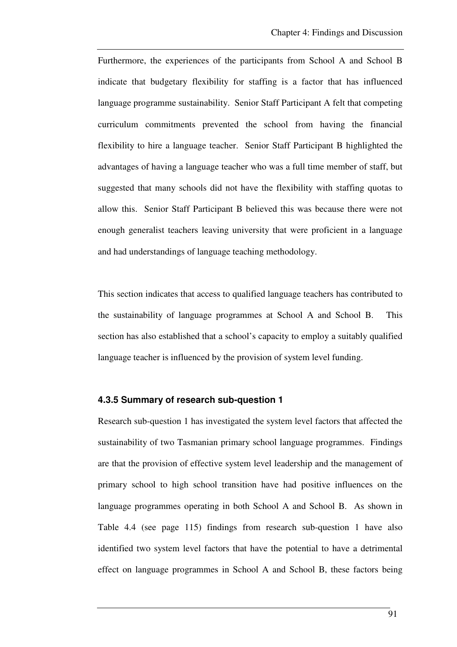Furthermore, the experiences of the participants from School A and School B indicate that budgetary flexibility for staffing is a factor that has influenced language programme sustainability. Senior Staff Participant A felt that competing curriculum commitments prevented the school from having the financial flexibility to hire a language teacher. Senior Staff Participant B highlighted the advantages of having a language teacher who was a full time member of staff, but suggested that many schools did not have the flexibility with staffing quotas to allow this. Senior Staff Participant B believed this was because there were not enough generalist teachers leaving university that were proficient in a language and had understandings of language teaching methodology.

This section indicates that access to qualified language teachers has contributed to the sustainability of language programmes at School A and School B. This section has also established that a school's capacity to employ a suitably qualified language teacher is influenced by the provision of system level funding.

### **4.3.5 Summary of research sub-question 1**

Research sub-question 1 has investigated the system level factors that affected the sustainability of two Tasmanian primary school language programmes. Findings are that the provision of effective system level leadership and the management of primary school to high school transition have had positive influences on the language programmes operating in both School A and School B. As shown in Table 4.4 (see page 115) findings from research sub-question 1 have also identified two system level factors that have the potential to have a detrimental effect on language programmes in School A and School B, these factors being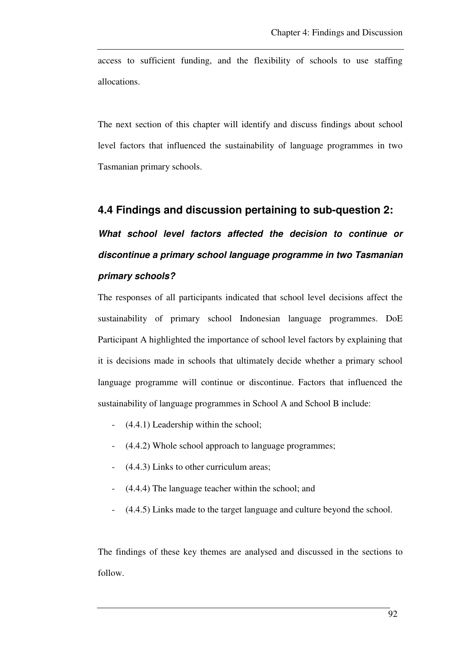access to sufficient funding, and the flexibility of schools to use staffing allocations.

The next section of this chapter will identify and discuss findings about school level factors that influenced the sustainability of language programmes in two Tasmanian primary schools.

## **4.4 Findings and discussion pertaining to sub-question 2:**

**What school level factors affected the decision to continue or discontinue a primary school language programme in two Tasmanian primary schools?** 

The responses of all participants indicated that school level decisions affect the sustainability of primary school Indonesian language programmes. DoE Participant A highlighted the importance of school level factors by explaining that it is decisions made in schools that ultimately decide whether a primary school language programme will continue or discontinue. Factors that influenced the sustainability of language programmes in School A and School B include:

- (4.4.1) Leadership within the school;
- (4.4.2) Whole school approach to language programmes;
- (4.4.3) Links to other curriculum areas;
- (4.4.4) The language teacher within the school; and
- (4.4.5) Links made to the target language and culture beyond the school.

The findings of these key themes are analysed and discussed in the sections to follow.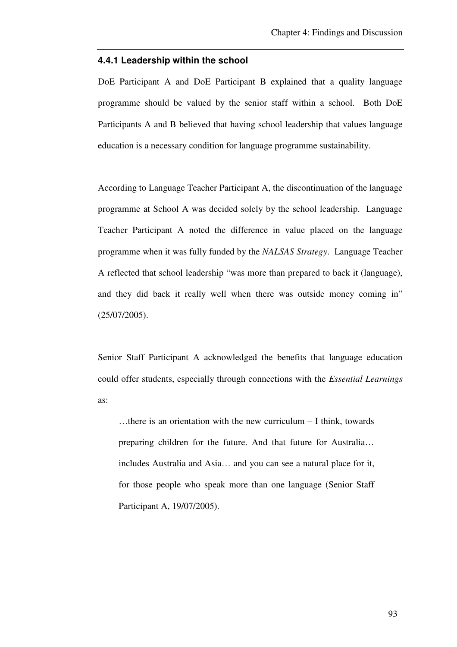#### **4.4.1 Leadership within the school**

DoE Participant A and DoE Participant B explained that a quality language programme should be valued by the senior staff within a school. Both DoE Participants A and B believed that having school leadership that values language education is a necessary condition for language programme sustainability.

According to Language Teacher Participant A, the discontinuation of the language programme at School A was decided solely by the school leadership. Language Teacher Participant A noted the difference in value placed on the language programme when it was fully funded by the *NALSAS Strategy*. Language Teacher A reflected that school leadership "was more than prepared to back it (language), and they did back it really well when there was outside money coming in" (25/07/2005).

Senior Staff Participant A acknowledged the benefits that language education could offer students, especially through connections with the *Essential Learnings* as:

…there is an orientation with the new curriculum – I think, towards preparing children for the future. And that future for Australia… includes Australia and Asia… and you can see a natural place for it, for those people who speak more than one language (Senior Staff Participant A, 19/07/2005).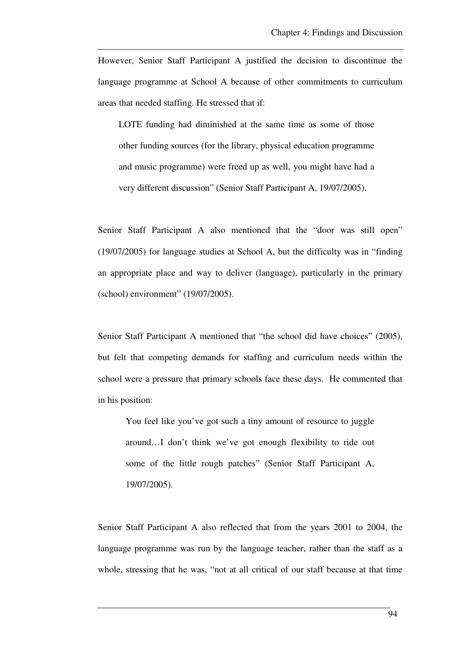However, Senior Staff Participant A justified the decision to discontinue the language programme at School A because of other commitments to curriculum areas that needed staffing. He stressed that if:

LOTE funding had diminished at the same time as some of those other funding sources (for the library, physical education programme and music programme) were freed up as well, you might have had a very different discussion" (Senior Staff Participant A, 19/07/2005).

Senior Staff Participant A also mentioned that the "door was still open" (19/07/2005) for language studies at School A, but the difficulty was in "finding an appropriate place and way to deliver (language), particularly in the primary (school) environment" (19/07/2005).

Senior Staff Participant A mentioned that "the school did have choices" (2005), but felt that competing demands for staffing and curriculum needs within the school were a pressure that primary schools face these days. He commented that in his position:

You feel like you've got such a tiny amount of resource to juggle around…I don't think we've got enough flexibility to ride out some of the little rough patches" (Senior Staff Participant A, 19/07/2005).

Senior Staff Participant A also reflected that from the years 2001 to 2004, the language programme was run by the language teacher, rather than the staff as a whole, stressing that he was, "not at all critical of our staff because at that time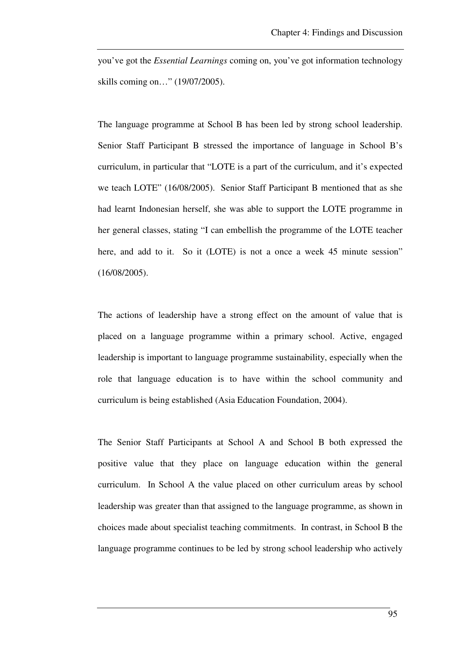you've got the *Essential Learnings* coming on, you've got information technology skills coming on…" (19/07/2005).

The language programme at School B has been led by strong school leadership. Senior Staff Participant B stressed the importance of language in School B's curriculum, in particular that "LOTE is a part of the curriculum, and it's expected we teach LOTE" (16/08/2005). Senior Staff Participant B mentioned that as she had learnt Indonesian herself, she was able to support the LOTE programme in her general classes, stating "I can embellish the programme of the LOTE teacher here, and add to it. So it (LOTE) is not a once a week 45 minute session" (16/08/2005).

The actions of leadership have a strong effect on the amount of value that is placed on a language programme within a primary school. Active, engaged leadership is important to language programme sustainability, especially when the role that language education is to have within the school community and curriculum is being established (Asia Education Foundation, 2004).

The Senior Staff Participants at School A and School B both expressed the positive value that they place on language education within the general curriculum. In School A the value placed on other curriculum areas by school leadership was greater than that assigned to the language programme, as shown in choices made about specialist teaching commitments. In contrast, in School B the language programme continues to be led by strong school leadership who actively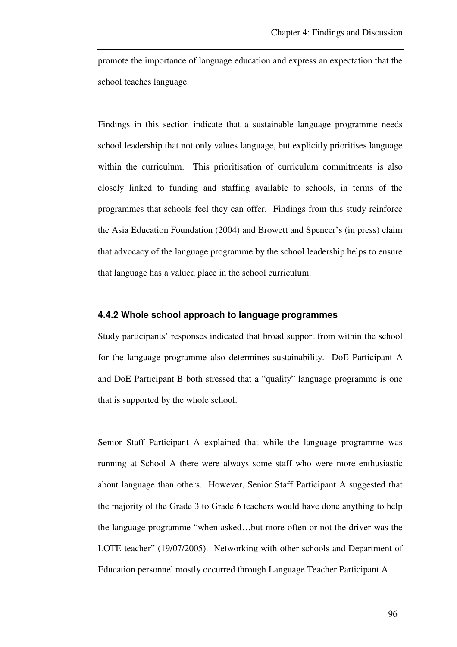promote the importance of language education and express an expectation that the school teaches language.

Findings in this section indicate that a sustainable language programme needs school leadership that not only values language, but explicitly prioritises language within the curriculum. This prioritisation of curriculum commitments is also closely linked to funding and staffing available to schools, in terms of the programmes that schools feel they can offer. Findings from this study reinforce the Asia Education Foundation (2004) and Browett and Spencer's (in press) claim that advocacy of the language programme by the school leadership helps to ensure that language has a valued place in the school curriculum.

### **4.4.2 Whole school approach to language programmes**

Study participants' responses indicated that broad support from within the school for the language programme also determines sustainability. DoE Participant A and DoE Participant B both stressed that a "quality" language programme is one that is supported by the whole school.

Senior Staff Participant A explained that while the language programme was running at School A there were always some staff who were more enthusiastic about language than others. However, Senior Staff Participant A suggested that the majority of the Grade 3 to Grade 6 teachers would have done anything to help the language programme "when asked…but more often or not the driver was the LOTE teacher" (19/07/2005). Networking with other schools and Department of Education personnel mostly occurred through Language Teacher Participant A.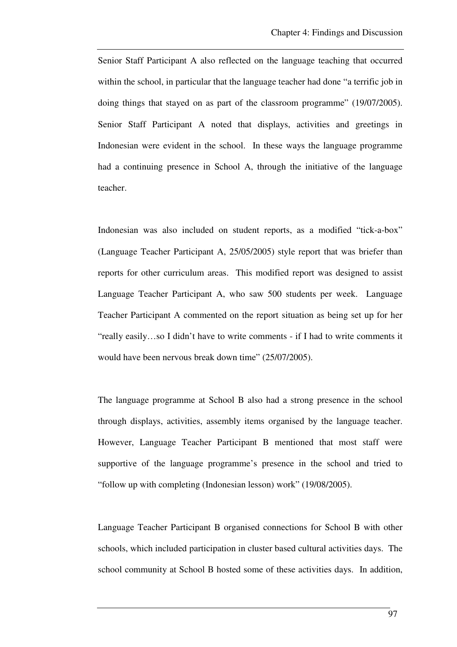Senior Staff Participant A also reflected on the language teaching that occurred within the school, in particular that the language teacher had done "a terrific job in doing things that stayed on as part of the classroom programme" (19/07/2005). Senior Staff Participant A noted that displays, activities and greetings in Indonesian were evident in the school. In these ways the language programme had a continuing presence in School A, through the initiative of the language teacher.

Indonesian was also included on student reports, as a modified "tick-a-box" (Language Teacher Participant A, 25/05/2005) style report that was briefer than reports for other curriculum areas. This modified report was designed to assist Language Teacher Participant A, who saw 500 students per week. Language Teacher Participant A commented on the report situation as being set up for her "really easily…so I didn't have to write comments - if I had to write comments it would have been nervous break down time" (25/07/2005).

The language programme at School B also had a strong presence in the school through displays, activities, assembly items organised by the language teacher. However, Language Teacher Participant B mentioned that most staff were supportive of the language programme's presence in the school and tried to "follow up with completing (Indonesian lesson) work" (19/08/2005).

Language Teacher Participant B organised connections for School B with other schools, which included participation in cluster based cultural activities days. The school community at School B hosted some of these activities days. In addition,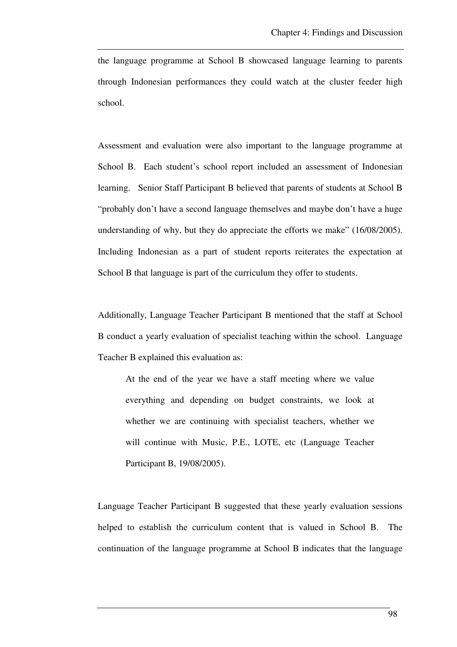the language programme at School B showcased language learning to parents through Indonesian performances they could watch at the cluster feeder high school.

Assessment and evaluation were also important to the language programme at School B. Each student's school report included an assessment of Indonesian learning. Senior Staff Participant B believed that parents of students at School B "probably don't have a second language themselves and maybe don't have a huge understanding of why, but they do appreciate the efforts we make" (16/08/2005). Including Indonesian as a part of student reports reiterates the expectation at School B that language is part of the curriculum they offer to students.

Additionally, Language Teacher Participant B mentioned that the staff at School B conduct a yearly evaluation of specialist teaching within the school. Language Teacher B explained this evaluation as:

At the end of the year we have a staff meeting where we value everything and depending on budget constraints, we look at whether we are continuing with specialist teachers, whether we will continue with Music, P.E., LOTE, etc (Language Teacher Participant B, 19/08/2005).

Language Teacher Participant B suggested that these yearly evaluation sessions helped to establish the curriculum content that is valued in School B. The continuation of the language programme at School B indicates that the language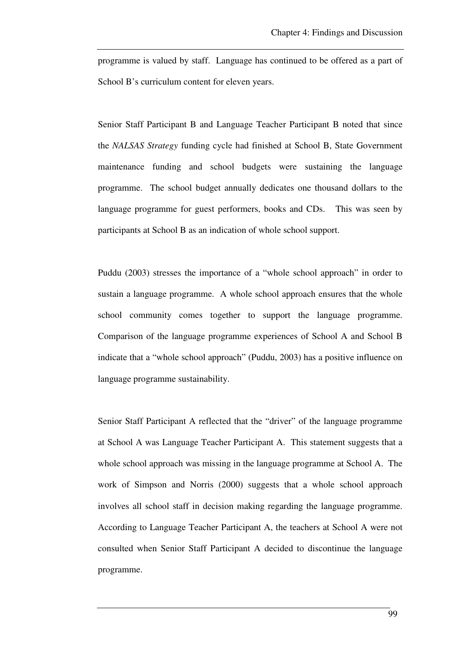programme is valued by staff. Language has continued to be offered as a part of School B's curriculum content for eleven years.

Senior Staff Participant B and Language Teacher Participant B noted that since the *NALSAS Strategy* funding cycle had finished at School B, State Government maintenance funding and school budgets were sustaining the language programme. The school budget annually dedicates one thousand dollars to the language programme for guest performers, books and CDs. This was seen by participants at School B as an indication of whole school support.

Puddu (2003) stresses the importance of a "whole school approach" in order to sustain a language programme. A whole school approach ensures that the whole school community comes together to support the language programme. Comparison of the language programme experiences of School A and School B indicate that a "whole school approach" (Puddu, 2003) has a positive influence on language programme sustainability.

Senior Staff Participant A reflected that the "driver" of the language programme at School A was Language Teacher Participant A. This statement suggests that a whole school approach was missing in the language programme at School A. The work of Simpson and Norris (2000) suggests that a whole school approach involves all school staff in decision making regarding the language programme. According to Language Teacher Participant A, the teachers at School A were not consulted when Senior Staff Participant A decided to discontinue the language programme.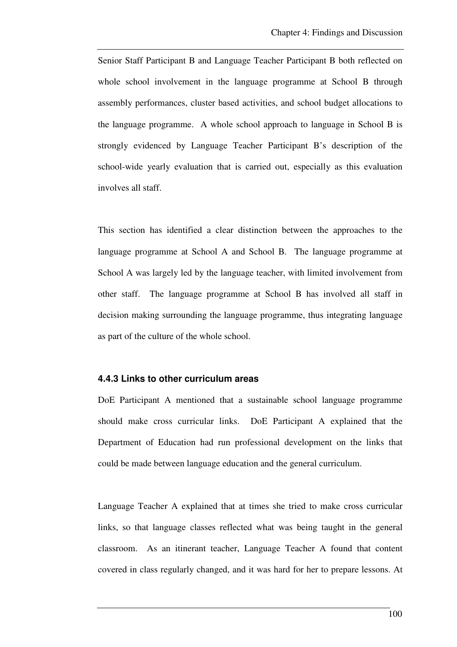Senior Staff Participant B and Language Teacher Participant B both reflected on whole school involvement in the language programme at School B through assembly performances, cluster based activities, and school budget allocations to the language programme. A whole school approach to language in School B is strongly evidenced by Language Teacher Participant B's description of the school-wide yearly evaluation that is carried out, especially as this evaluation involves all staff.

This section has identified a clear distinction between the approaches to the language programme at School A and School B. The language programme at School A was largely led by the language teacher, with limited involvement from other staff. The language programme at School B has involved all staff in decision making surrounding the language programme, thus integrating language as part of the culture of the whole school.

#### **4.4.3 Links to other curriculum areas**

DoE Participant A mentioned that a sustainable school language programme should make cross curricular links. DoE Participant A explained that the Department of Education had run professional development on the links that could be made between language education and the general curriculum.

Language Teacher A explained that at times she tried to make cross curricular links, so that language classes reflected what was being taught in the general classroom. As an itinerant teacher, Language Teacher A found that content covered in class regularly changed, and it was hard for her to prepare lessons. At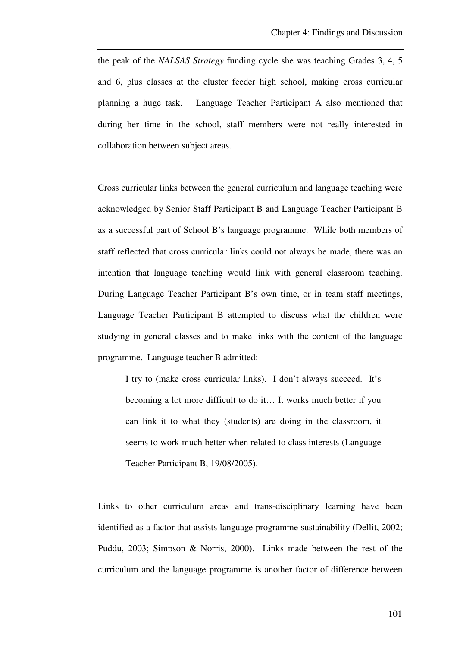the peak of the *NALSAS Strategy* funding cycle she was teaching Grades 3, 4, 5 and 6, plus classes at the cluster feeder high school, making cross curricular planning a huge task. Language Teacher Participant A also mentioned that during her time in the school, staff members were not really interested in collaboration between subject areas.

Cross curricular links between the general curriculum and language teaching were acknowledged by Senior Staff Participant B and Language Teacher Participant B as a successful part of School B's language programme. While both members of staff reflected that cross curricular links could not always be made, there was an intention that language teaching would link with general classroom teaching. During Language Teacher Participant B's own time, or in team staff meetings, Language Teacher Participant B attempted to discuss what the children were studying in general classes and to make links with the content of the language programme. Language teacher B admitted:

I try to (make cross curricular links). I don't always succeed. It's becoming a lot more difficult to do it… It works much better if you can link it to what they (students) are doing in the classroom, it seems to work much better when related to class interests (Language Teacher Participant B, 19/08/2005).

Links to other curriculum areas and trans-disciplinary learning have been identified as a factor that assists language programme sustainability (Dellit, 2002; Puddu, 2003; Simpson & Norris, 2000). Links made between the rest of the curriculum and the language programme is another factor of difference between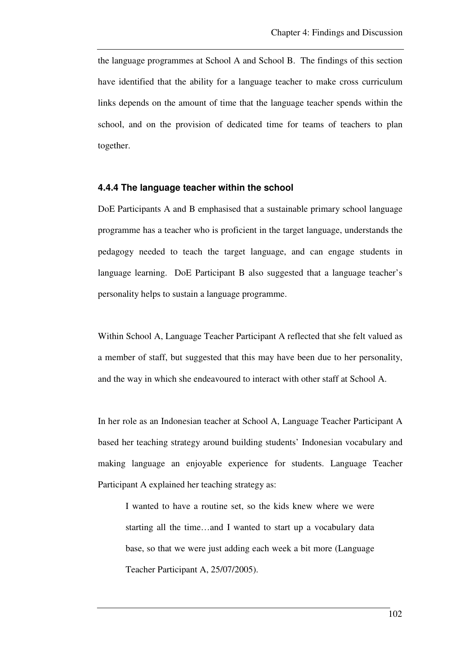the language programmes at School A and School B. The findings of this section have identified that the ability for a language teacher to make cross curriculum links depends on the amount of time that the language teacher spends within the school, and on the provision of dedicated time for teams of teachers to plan together.

#### **4.4.4 The language teacher within the school**

DoE Participants A and B emphasised that a sustainable primary school language programme has a teacher who is proficient in the target language, understands the pedagogy needed to teach the target language, and can engage students in language learning. DoE Participant B also suggested that a language teacher's personality helps to sustain a language programme.

Within School A, Language Teacher Participant A reflected that she felt valued as a member of staff, but suggested that this may have been due to her personality, and the way in which she endeavoured to interact with other staff at School A.

In her role as an Indonesian teacher at School A, Language Teacher Participant A based her teaching strategy around building students' Indonesian vocabulary and making language an enjoyable experience for students. Language Teacher Participant A explained her teaching strategy as:

I wanted to have a routine set, so the kids knew where we were starting all the time…and I wanted to start up a vocabulary data base, so that we were just adding each week a bit more (Language Teacher Participant A, 25/07/2005).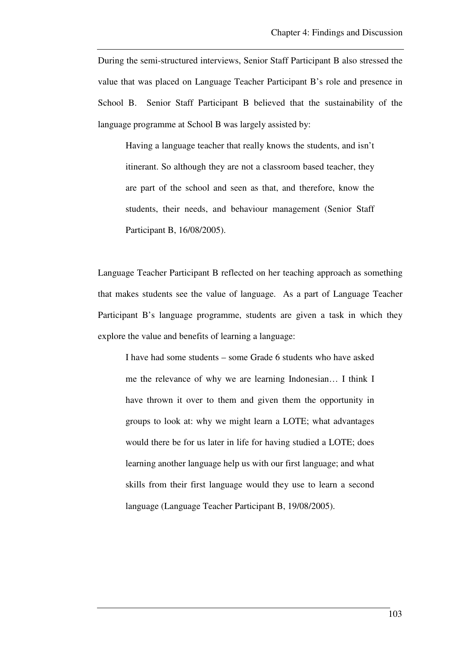During the semi-structured interviews, Senior Staff Participant B also stressed the value that was placed on Language Teacher Participant B's role and presence in School B. Senior Staff Participant B believed that the sustainability of the language programme at School B was largely assisted by:

Having a language teacher that really knows the students, and isn't itinerant. So although they are not a classroom based teacher, they are part of the school and seen as that, and therefore, know the students, their needs, and behaviour management (Senior Staff Participant B, 16/08/2005).

Language Teacher Participant B reflected on her teaching approach as something that makes students see the value of language. As a part of Language Teacher Participant B's language programme, students are given a task in which they explore the value and benefits of learning a language:

I have had some students – some Grade 6 students who have asked me the relevance of why we are learning Indonesian… I think I have thrown it over to them and given them the opportunity in groups to look at: why we might learn a LOTE; what advantages would there be for us later in life for having studied a LOTE; does learning another language help us with our first language; and what skills from their first language would they use to learn a second language (Language Teacher Participant B, 19/08/2005).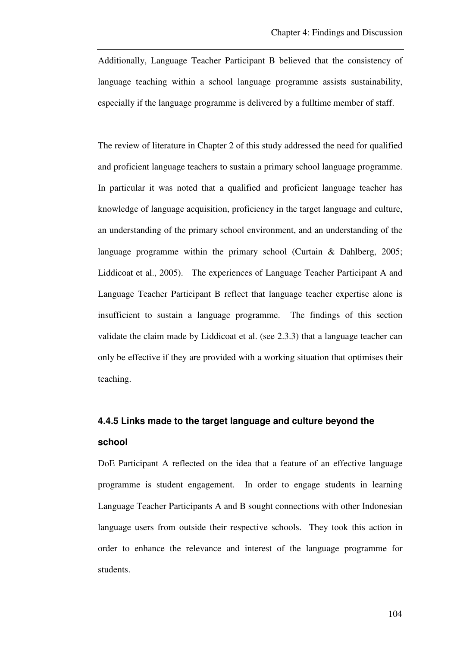Additionally, Language Teacher Participant B believed that the consistency of language teaching within a school language programme assists sustainability, especially if the language programme is delivered by a fulltime member of staff.

The review of literature in Chapter 2 of this study addressed the need for qualified and proficient language teachers to sustain a primary school language programme. In particular it was noted that a qualified and proficient language teacher has knowledge of language acquisition, proficiency in the target language and culture, an understanding of the primary school environment, and an understanding of the language programme within the primary school (Curtain & Dahlberg, 2005; Liddicoat et al., 2005). The experiences of Language Teacher Participant A and Language Teacher Participant B reflect that language teacher expertise alone is insufficient to sustain a language programme. The findings of this section validate the claim made by Liddicoat et al. (see 2.3.3) that a language teacher can only be effective if they are provided with a working situation that optimises their teaching.

# **4.4.5 Links made to the target language and culture beyond the school**

DoE Participant A reflected on the idea that a feature of an effective language programme is student engagement. In order to engage students in learning Language Teacher Participants A and B sought connections with other Indonesian language users from outside their respective schools. They took this action in order to enhance the relevance and interest of the language programme for students.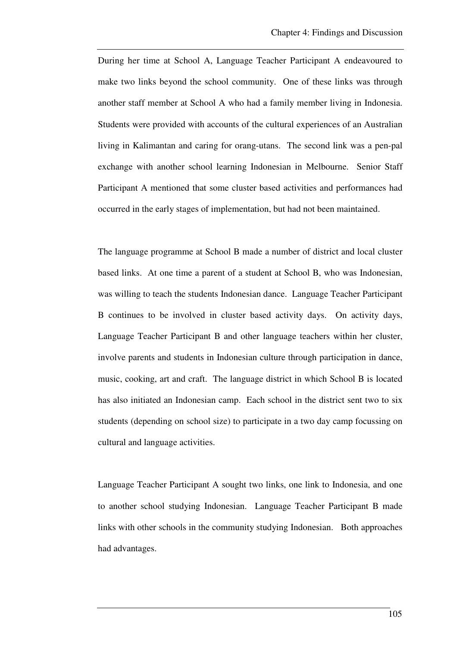During her time at School A, Language Teacher Participant A endeavoured to make two links beyond the school community. One of these links was through another staff member at School A who had a family member living in Indonesia. Students were provided with accounts of the cultural experiences of an Australian living in Kalimantan and caring for orang-utans. The second link was a pen-pal exchange with another school learning Indonesian in Melbourne. Senior Staff Participant A mentioned that some cluster based activities and performances had occurred in the early stages of implementation, but had not been maintained.

The language programme at School B made a number of district and local cluster based links. At one time a parent of a student at School B, who was Indonesian, was willing to teach the students Indonesian dance. Language Teacher Participant B continues to be involved in cluster based activity days. On activity days, Language Teacher Participant B and other language teachers within her cluster, involve parents and students in Indonesian culture through participation in dance, music, cooking, art and craft. The language district in which School B is located has also initiated an Indonesian camp. Each school in the district sent two to six students (depending on school size) to participate in a two day camp focussing on cultural and language activities.

Language Teacher Participant A sought two links, one link to Indonesia, and one to another school studying Indonesian. Language Teacher Participant B made links with other schools in the community studying Indonesian. Both approaches had advantages.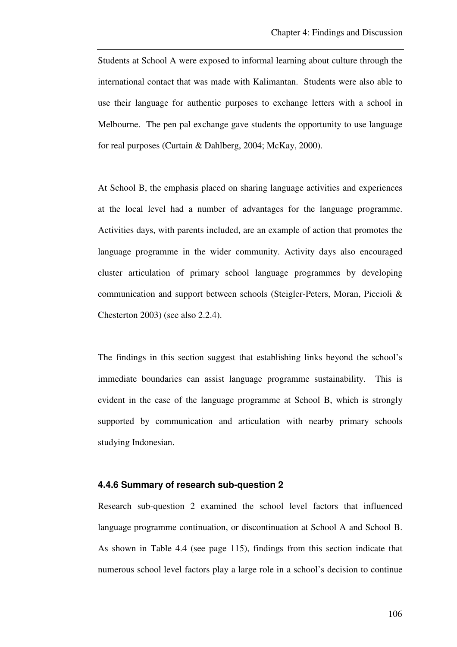Students at School A were exposed to informal learning about culture through the international contact that was made with Kalimantan. Students were also able to use their language for authentic purposes to exchange letters with a school in Melbourne. The pen pal exchange gave students the opportunity to use language for real purposes (Curtain & Dahlberg, 2004; McKay, 2000).

At School B, the emphasis placed on sharing language activities and experiences at the local level had a number of advantages for the language programme. Activities days, with parents included, are an example of action that promotes the language programme in the wider community. Activity days also encouraged cluster articulation of primary school language programmes by developing communication and support between schools (Steigler-Peters, Moran, Piccioli & Chesterton 2003) (see also 2.2.4).

The findings in this section suggest that establishing links beyond the school's immediate boundaries can assist language programme sustainability. This is evident in the case of the language programme at School B, which is strongly supported by communication and articulation with nearby primary schools studying Indonesian.

### **4.4.6 Summary of research sub-question 2**

Research sub-question 2 examined the school level factors that influenced language programme continuation, or discontinuation at School A and School B. As shown in Table 4.4 (see page 115), findings from this section indicate that numerous school level factors play a large role in a school's decision to continue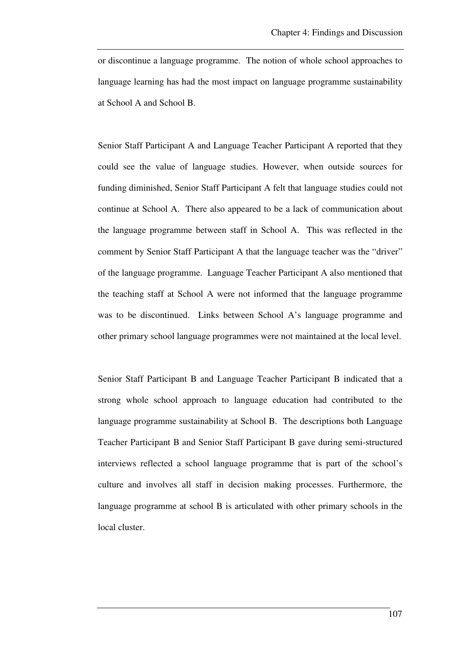or discontinue a language programme. The notion of whole school approaches to language learning has had the most impact on language programme sustainability at School A and School B.

Senior Staff Participant A and Language Teacher Participant A reported that they could see the value of language studies. However, when outside sources for funding diminished, Senior Staff Participant A felt that language studies could not continue at School A. There also appeared to be a lack of communication about the language programme between staff in School A. This was reflected in the comment by Senior Staff Participant A that the language teacher was the "driver" of the language programme. Language Teacher Participant A also mentioned that the teaching staff at School A were not informed that the language programme was to be discontinued. Links between School A's language programme and other primary school language programmes were not maintained at the local level.

Senior Staff Participant B and Language Teacher Participant B indicated that a strong whole school approach to language education had contributed to the language programme sustainability at School B. The descriptions both Language Teacher Participant B and Senior Staff Participant B gave during semi-structured interviews reflected a school language programme that is part of the school's culture and involves all staff in decision making processes. Furthermore, the language programme at school B is articulated with other primary schools in the local cluster.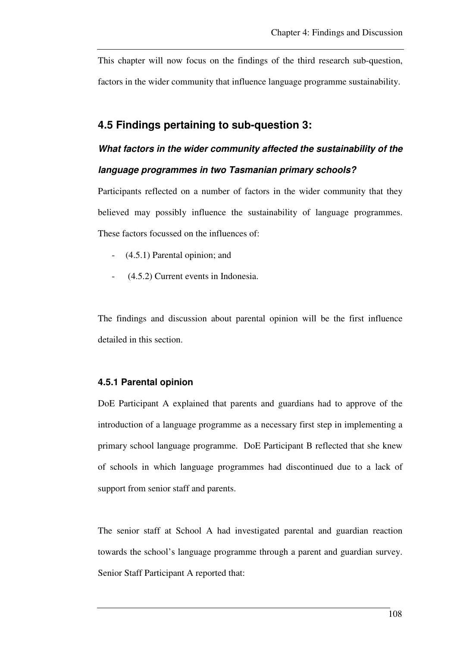This chapter will now focus on the findings of the third research sub-question, factors in the wider community that influence language programme sustainability.

### **4.5 Findings pertaining to sub-question 3:**

# **What factors in the wider community affected the sustainability of the language programmes in two Tasmanian primary schools?**

Participants reflected on a number of factors in the wider community that they believed may possibly influence the sustainability of language programmes. These factors focussed on the influences of:

- (4.5.1) Parental opinion; and
- (4.5.2) Current events in Indonesia.

The findings and discussion about parental opinion will be the first influence detailed in this section.

### **4.5.1 Parental opinion**

DoE Participant A explained that parents and guardians had to approve of the introduction of a language programme as a necessary first step in implementing a primary school language programme. DoE Participant B reflected that she knew of schools in which language programmes had discontinued due to a lack of support from senior staff and parents.

The senior staff at School A had investigated parental and guardian reaction towards the school's language programme through a parent and guardian survey. Senior Staff Participant A reported that: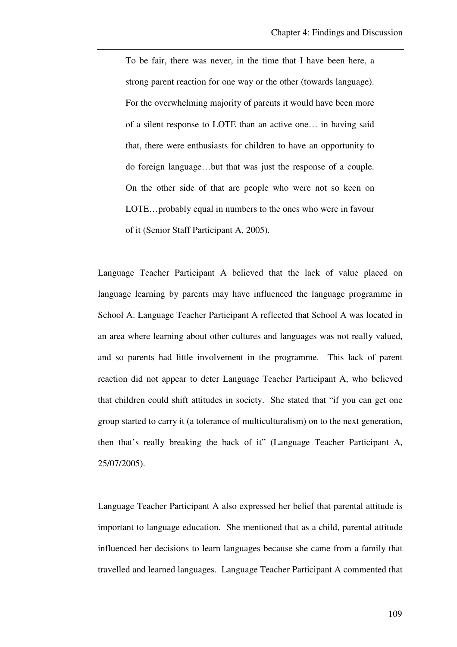To be fair, there was never, in the time that I have been here, a strong parent reaction for one way or the other (towards language). For the overwhelming majority of parents it would have been more of a silent response to LOTE than an active one… in having said that, there were enthusiasts for children to have an opportunity to do foreign language…but that was just the response of a couple. On the other side of that are people who were not so keen on LOTE…probably equal in numbers to the ones who were in favour of it (Senior Staff Participant A, 2005).

Language Teacher Participant A believed that the lack of value placed on language learning by parents may have influenced the language programme in School A. Language Teacher Participant A reflected that School A was located in an area where learning about other cultures and languages was not really valued, and so parents had little involvement in the programme. This lack of parent reaction did not appear to deter Language Teacher Participant A, who believed that children could shift attitudes in society. She stated that "if you can get one group started to carry it (a tolerance of multiculturalism) on to the next generation, then that's really breaking the back of it" (Language Teacher Participant A, 25/07/2005).

Language Teacher Participant A also expressed her belief that parental attitude is important to language education. She mentioned that as a child, parental attitude influenced her decisions to learn languages because she came from a family that travelled and learned languages. Language Teacher Participant A commented that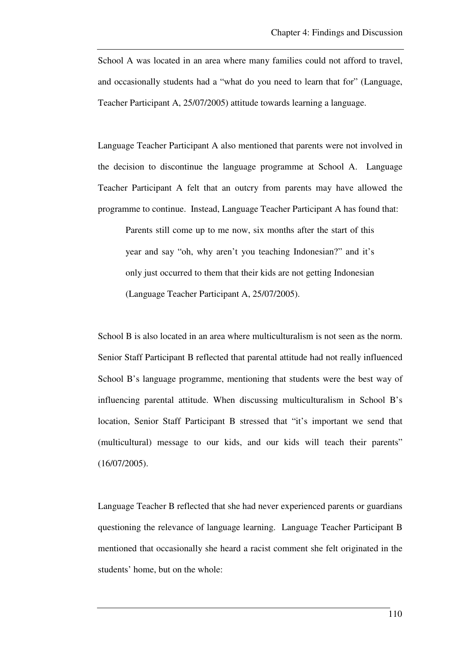School A was located in an area where many families could not afford to travel, and occasionally students had a "what do you need to learn that for" (Language, Teacher Participant A, 25/07/2005) attitude towards learning a language.

Language Teacher Participant A also mentioned that parents were not involved in the decision to discontinue the language programme at School A. Language Teacher Participant A felt that an outcry from parents may have allowed the programme to continue. Instead, Language Teacher Participant A has found that:

Parents still come up to me now, six months after the start of this year and say "oh, why aren't you teaching Indonesian?" and it's only just occurred to them that their kids are not getting Indonesian (Language Teacher Participant A, 25/07/2005).

School B is also located in an area where multiculturalism is not seen as the norm. Senior Staff Participant B reflected that parental attitude had not really influenced School B's language programme, mentioning that students were the best way of influencing parental attitude. When discussing multiculturalism in School B's location, Senior Staff Participant B stressed that "it's important we send that (multicultural) message to our kids, and our kids will teach their parents" (16/07/2005).

Language Teacher B reflected that she had never experienced parents or guardians questioning the relevance of language learning. Language Teacher Participant B mentioned that occasionally she heard a racist comment she felt originated in the students' home, but on the whole: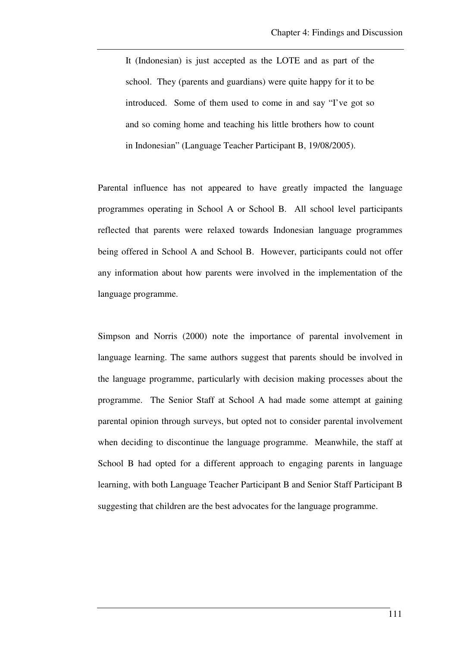It (Indonesian) is just accepted as the LOTE and as part of the school. They (parents and guardians) were quite happy for it to be introduced. Some of them used to come in and say "I've got so and so coming home and teaching his little brothers how to count in Indonesian" (Language Teacher Participant B, 19/08/2005).

Parental influence has not appeared to have greatly impacted the language programmes operating in School A or School B. All school level participants reflected that parents were relaxed towards Indonesian language programmes being offered in School A and School B. However, participants could not offer any information about how parents were involved in the implementation of the language programme.

Simpson and Norris (2000) note the importance of parental involvement in language learning. The same authors suggest that parents should be involved in the language programme, particularly with decision making processes about the programme. The Senior Staff at School A had made some attempt at gaining parental opinion through surveys, but opted not to consider parental involvement when deciding to discontinue the language programme. Meanwhile, the staff at School B had opted for a different approach to engaging parents in language learning, with both Language Teacher Participant B and Senior Staff Participant B suggesting that children are the best advocates for the language programme.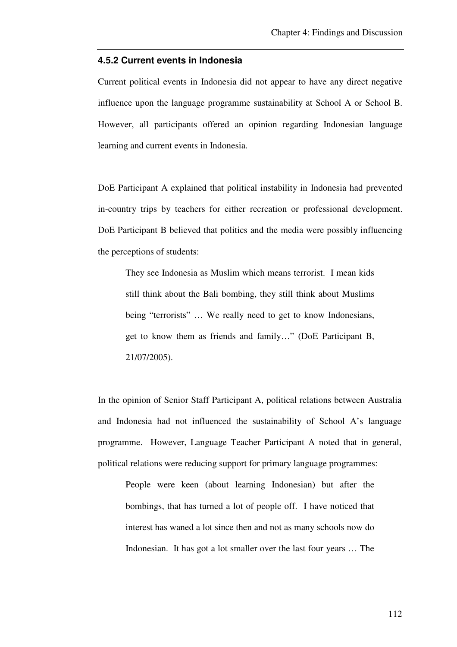#### **4.5.2 Current events in Indonesia**

Current political events in Indonesia did not appear to have any direct negative influence upon the language programme sustainability at School A or School B. However, all participants offered an opinion regarding Indonesian language learning and current events in Indonesia.

DoE Participant A explained that political instability in Indonesia had prevented in-country trips by teachers for either recreation or professional development. DoE Participant B believed that politics and the media were possibly influencing the perceptions of students:

They see Indonesia as Muslim which means terrorist. I mean kids still think about the Bali bombing, they still think about Muslims being "terrorists" ... We really need to get to know Indonesians, get to know them as friends and family…" (DoE Participant B, 21/07/2005).

In the opinion of Senior Staff Participant A, political relations between Australia and Indonesia had not influenced the sustainability of School A's language programme. However, Language Teacher Participant A noted that in general, political relations were reducing support for primary language programmes:

People were keen (about learning Indonesian) but after the bombings, that has turned a lot of people off. I have noticed that interest has waned a lot since then and not as many schools now do Indonesian. It has got a lot smaller over the last four years … The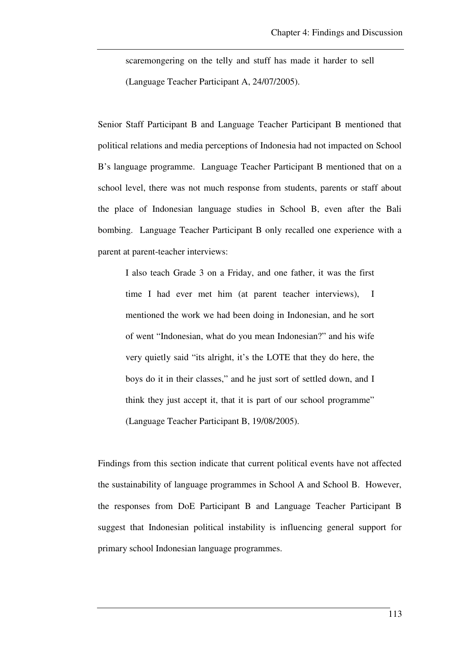scaremongering on the telly and stuff has made it harder to sell (Language Teacher Participant A, 24/07/2005).

Senior Staff Participant B and Language Teacher Participant B mentioned that political relations and media perceptions of Indonesia had not impacted on School B's language programme. Language Teacher Participant B mentioned that on a school level, there was not much response from students, parents or staff about the place of Indonesian language studies in School B, even after the Bali bombing. Language Teacher Participant B only recalled one experience with a parent at parent-teacher interviews:

I also teach Grade 3 on a Friday, and one father, it was the first time I had ever met him (at parent teacher interviews), I mentioned the work we had been doing in Indonesian, and he sort of went "Indonesian, what do you mean Indonesian?" and his wife very quietly said "its alright, it's the LOTE that they do here, the boys do it in their classes," and he just sort of settled down, and I think they just accept it, that it is part of our school programme" (Language Teacher Participant B, 19/08/2005).

Findings from this section indicate that current political events have not affected the sustainability of language programmes in School A and School B. However, the responses from DoE Participant B and Language Teacher Participant B suggest that Indonesian political instability is influencing general support for primary school Indonesian language programmes.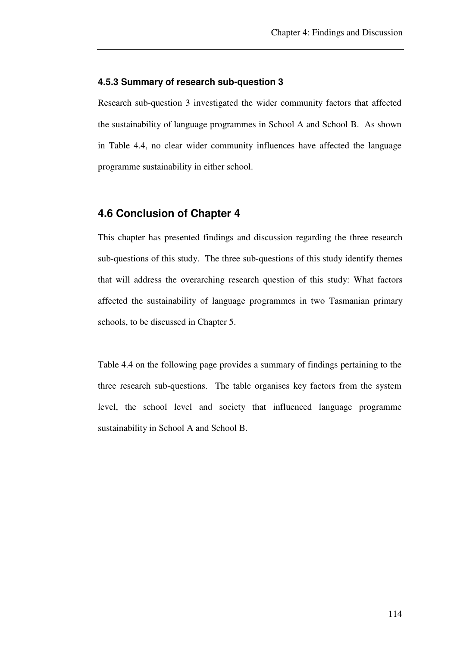### **4.5.3 Summary of research sub-question 3**

Research sub-question 3 investigated the wider community factors that affected the sustainability of language programmes in School A and School B. As shown in Table 4.4, no clear wider community influences have affected the language programme sustainability in either school.

### **4.6 Conclusion of Chapter 4**

This chapter has presented findings and discussion regarding the three research sub-questions of this study. The three sub-questions of this study identify themes that will address the overarching research question of this study: What factors affected the sustainability of language programmes in two Tasmanian primary schools, to be discussed in Chapter 5.

Table 4.4 on the following page provides a summary of findings pertaining to the three research sub-questions. The table organises key factors from the system level, the school level and society that influenced language programme sustainability in School A and School B.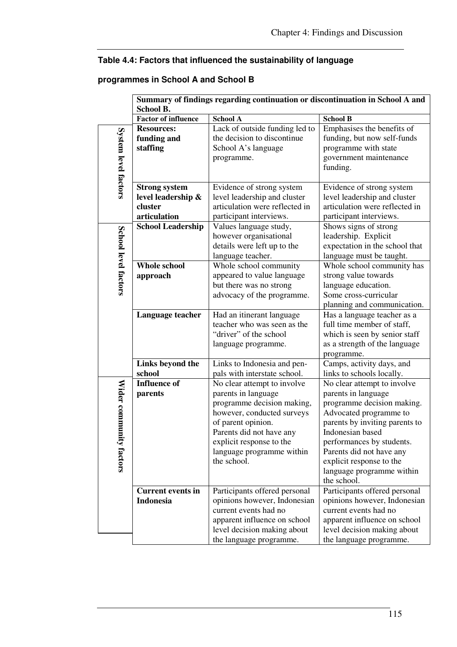## **Table 4.4: Factors that influenced the sustainability of language**

### **programmes in School A and School B**

|                      | Summary of findings regarding continuation or discontinuation in School A and |                                          |                                |
|----------------------|-------------------------------------------------------------------------------|------------------------------------------|--------------------------------|
|                      | <b>School B.</b>                                                              |                                          |                                |
|                      | <b>Factor of influence</b>                                                    | <b>School A</b>                          | <b>School B</b>                |
| System level factors | <b>Resources:</b>                                                             | Lack of outside funding led to           | Emphasises the benefits of     |
|                      | funding and                                                                   | the decision to discontinue              | funding, but now self-funds    |
|                      | staffing                                                                      | School A's language                      | programme with state           |
|                      |                                                                               | programme.                               | government maintenance         |
|                      |                                                                               |                                          | funding.                       |
|                      |                                                                               |                                          |                                |
|                      | <b>Strong system</b>                                                          | Evidence of strong system                | Evidence of strong system      |
|                      | level leadership &                                                            | level leadership and cluster             | level leadership and cluster   |
|                      | cluster                                                                       | articulation were reflected in           | articulation were reflected in |
|                      | articulation                                                                  | participant interviews.                  | participant interviews.        |
|                      | <b>School Leadership</b>                                                      | Values language study,                   | Shows signs of strong          |
|                      |                                                                               | however organisational                   | leadership. Explicit           |
|                      |                                                                               | details were left up to the              | expectation in the school that |
| School level factors |                                                                               | language teacher.                        | language must be taught.       |
|                      | <b>Whole school</b>                                                           | Whole school community                   | Whole school community has     |
|                      | approach                                                                      | appeared to value language               | strong value towards           |
|                      |                                                                               | but there was no strong                  | language education.            |
|                      |                                                                               | advocacy of the programme.               | Some cross-curricular          |
|                      |                                                                               |                                          | planning and communication.    |
|                      | Language teacher                                                              | Had an itinerant language                | Has a language teacher as a    |
|                      |                                                                               | teacher who was seen as the              | full time member of staff,     |
|                      |                                                                               | "driver" of the school                   | which is seen by senior staff  |
|                      |                                                                               | language programme.                      | as a strength of the language  |
|                      |                                                                               |                                          | programme.                     |
|                      | Links beyond the                                                              | Links to Indonesia and pen-              | Camps, activity days, and      |
|                      | school                                                                        | pals with interstate school.             | links to schools locally.      |
|                      | <b>Influence of</b>                                                           | No clear attempt to involve              | No clear attempt to involve    |
| Wider communi        | parents                                                                       | parents in language                      | parents in language            |
|                      |                                                                               | programme decision making,               | programme decision making.     |
|                      |                                                                               | however, conducted surveys               | Advocated programme to         |
|                      |                                                                               | of parent opinion.                       | parents by inviting parents to |
|                      |                                                                               | Parents did not have any                 | Indonesian based               |
|                      |                                                                               |                                          |                                |
| ty factors           |                                                                               | explicit response to the                 | performances by students.      |
|                      |                                                                               | language programme within<br>the school. | Parents did not have any       |
|                      |                                                                               |                                          | explicit response to the       |
|                      |                                                                               |                                          | language programme within      |
|                      |                                                                               |                                          | the school.                    |
|                      | <b>Current events in</b>                                                      | Participants offered personal            | Participants offered personal  |
|                      | <b>Indonesia</b>                                                              | opinions however, Indonesian             | opinions however, Indonesian   |
|                      |                                                                               | current events had no                    | current events had no          |
|                      |                                                                               | apparent influence on school             | apparent influence on school   |
|                      |                                                                               | level decision making about              | level decision making about    |
|                      |                                                                               | the language programme.                  | the language programme.        |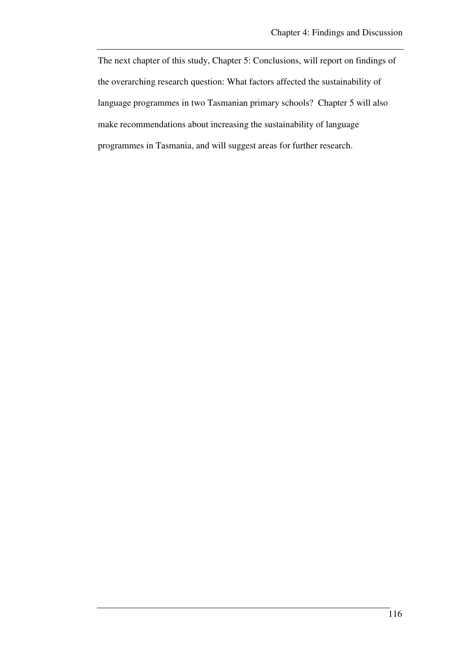The next chapter of this study, Chapter 5: Conclusions, will report on findings of the overarching research question: What factors affected the sustainability of language programmes in two Tasmanian primary schools? Chapter 5 will also make recommendations about increasing the sustainability of language programmes in Tasmania, and will suggest areas for further research.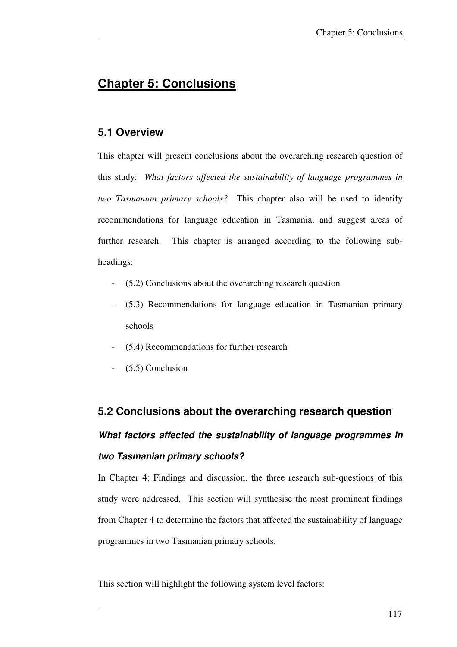# **Chapter 5: Conclusions**

### **5.1 Overview**

This chapter will present conclusions about the overarching research question of this study: *What factors affected the sustainability of language programmes in two Tasmanian primary schools?* This chapter also will be used to identify recommendations for language education in Tasmania, and suggest areas of further research. This chapter is arranged according to the following subheadings:

- (5.2) Conclusions about the overarching research question
- (5.3) Recommendations for language education in Tasmanian primary schools
- (5.4) Recommendations for further research
- $(5.5)$  Conclusion

## **5.2 Conclusions about the overarching research question**

# **What factors affected the sustainability of language programmes in two Tasmanian primary schools?**

In Chapter 4: Findings and discussion, the three research sub-questions of this study were addressed. This section will synthesise the most prominent findings from Chapter 4 to determine the factors that affected the sustainability of language programmes in two Tasmanian primary schools.

This section will highlight the following system level factors: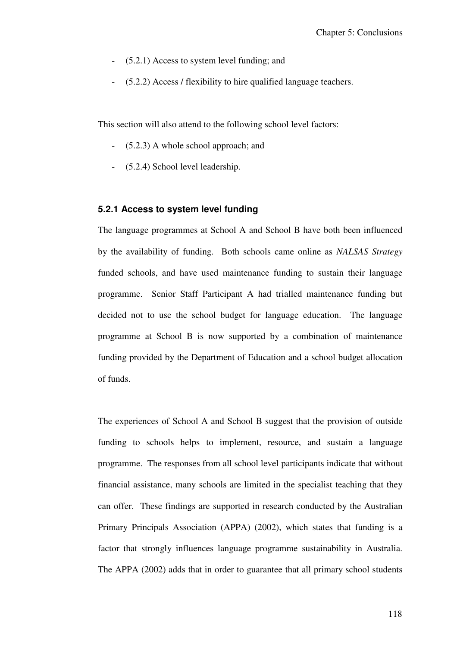- $(5.2.1)$  Access to system level funding; and
- (5.2.2) Access / flexibility to hire qualified language teachers.

This section will also attend to the following school level factors:

- (5.2.3) A whole school approach; and
- (5.2.4) School level leadership.

### **5.2.1 Access to system level funding**

The language programmes at School A and School B have both been influenced by the availability of funding. Both schools came online as *NALSAS Strategy* funded schools, and have used maintenance funding to sustain their language programme. Senior Staff Participant A had trialled maintenance funding but decided not to use the school budget for language education. The language programme at School B is now supported by a combination of maintenance funding provided by the Department of Education and a school budget allocation of funds.

The experiences of School A and School B suggest that the provision of outside funding to schools helps to implement, resource, and sustain a language programme. The responses from all school level participants indicate that without financial assistance, many schools are limited in the specialist teaching that they can offer. These findings are supported in research conducted by the Australian Primary Principals Association (APPA) (2002), which states that funding is a factor that strongly influences language programme sustainability in Australia. The APPA (2002) adds that in order to guarantee that all primary school students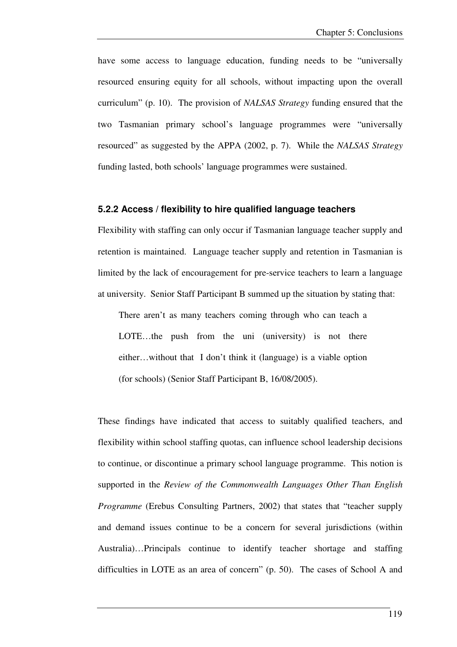have some access to language education, funding needs to be "universally resourced ensuring equity for all schools, without impacting upon the overall curriculum" (p. 10). The provision of *NALSAS Strategy* funding ensured that the two Tasmanian primary school's language programmes were "universally resourced" as suggested by the APPA (2002, p. 7). While the *NALSAS Strategy* funding lasted, both schools' language programmes were sustained.

#### **5.2.2 Access / flexibility to hire qualified language teachers**

Flexibility with staffing can only occur if Tasmanian language teacher supply and retention is maintained. Language teacher supply and retention in Tasmanian is limited by the lack of encouragement for pre-service teachers to learn a language at university. Senior Staff Participant B summed up the situation by stating that:

There aren't as many teachers coming through who can teach a LOTE...the push from the uni (university) is not there either…without that I don't think it (language) is a viable option (for schools) (Senior Staff Participant B, 16/08/2005).

These findings have indicated that access to suitably qualified teachers, and flexibility within school staffing quotas, can influence school leadership decisions to continue, or discontinue a primary school language programme. This notion is supported in the *Review of the Commonwealth Languages Other Than English Programme* (Erebus Consulting Partners, 2002) that states that "teacher supply and demand issues continue to be a concern for several jurisdictions (within Australia)…Principals continue to identify teacher shortage and staffing difficulties in LOTE as an area of concern" (p. 50). The cases of School A and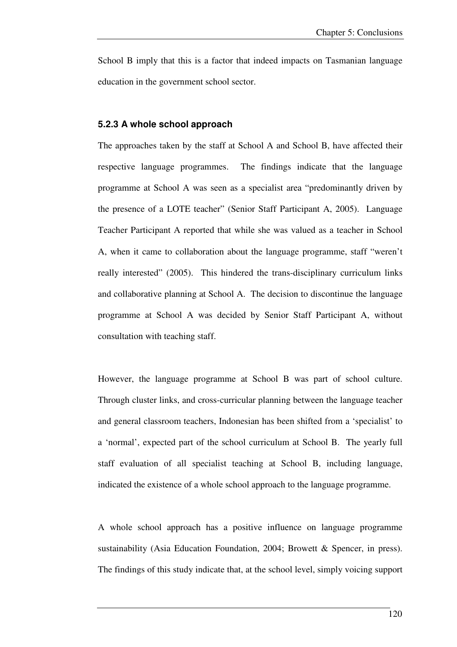School B imply that this is a factor that indeed impacts on Tasmanian language education in the government school sector.

### **5.2.3 A whole school approach**

The approaches taken by the staff at School A and School B, have affected their respective language programmes. The findings indicate that the language programme at School A was seen as a specialist area "predominantly driven by the presence of a LOTE teacher" (Senior Staff Participant A, 2005). Language Teacher Participant A reported that while she was valued as a teacher in School A, when it came to collaboration about the language programme, staff "weren't really interested" (2005). This hindered the trans-disciplinary curriculum links and collaborative planning at School A. The decision to discontinue the language programme at School A was decided by Senior Staff Participant A, without consultation with teaching staff.

However, the language programme at School B was part of school culture. Through cluster links, and cross-curricular planning between the language teacher and general classroom teachers, Indonesian has been shifted from a 'specialist' to a 'normal', expected part of the school curriculum at School B. The yearly full staff evaluation of all specialist teaching at School B, including language, indicated the existence of a whole school approach to the language programme.

A whole school approach has a positive influence on language programme sustainability (Asia Education Foundation, 2004; Browett & Spencer, in press). The findings of this study indicate that, at the school level, simply voicing support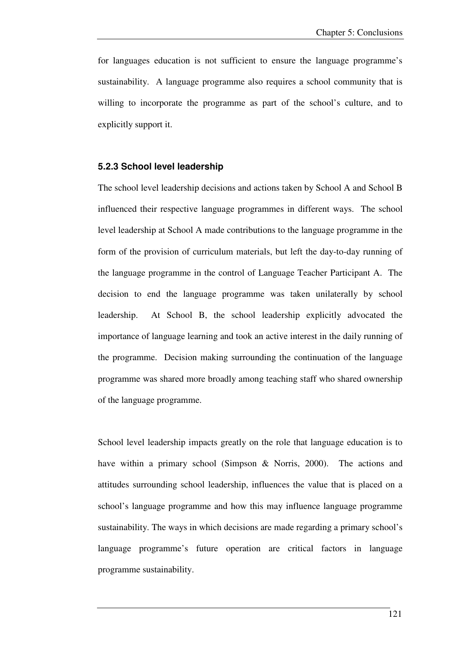for languages education is not sufficient to ensure the language programme's sustainability. A language programme also requires a school community that is willing to incorporate the programme as part of the school's culture, and to explicitly support it.

### **5.2.3 School level leadership**

The school level leadership decisions and actions taken by School A and School B influenced their respective language programmes in different ways. The school level leadership at School A made contributions to the language programme in the form of the provision of curriculum materials, but left the day-to-day running of the language programme in the control of Language Teacher Participant A. The decision to end the language programme was taken unilaterally by school leadership. At School B, the school leadership explicitly advocated the importance of language learning and took an active interest in the daily running of the programme. Decision making surrounding the continuation of the language programme was shared more broadly among teaching staff who shared ownership of the language programme.

School level leadership impacts greatly on the role that language education is to have within a primary school (Simpson & Norris, 2000). The actions and attitudes surrounding school leadership, influences the value that is placed on a school's language programme and how this may influence language programme sustainability. The ways in which decisions are made regarding a primary school's language programme's future operation are critical factors in language programme sustainability.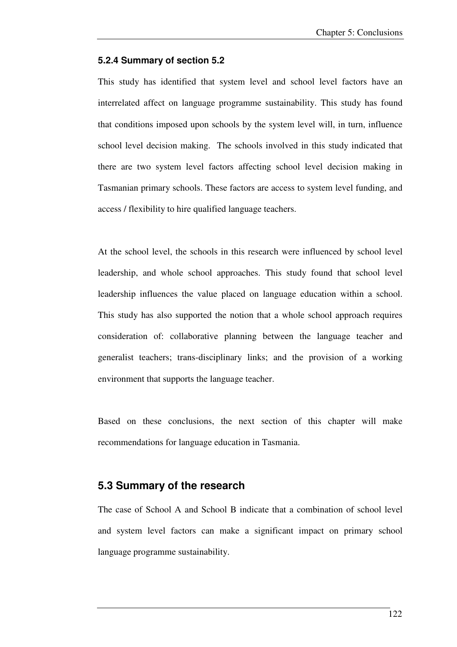#### **5.2.4 Summary of section 5.2**

This study has identified that system level and school level factors have an interrelated affect on language programme sustainability. This study has found that conditions imposed upon schools by the system level will, in turn, influence school level decision making. The schools involved in this study indicated that there are two system level factors affecting school level decision making in Tasmanian primary schools. These factors are access to system level funding, and access / flexibility to hire qualified language teachers.

At the school level, the schools in this research were influenced by school level leadership, and whole school approaches. This study found that school level leadership influences the value placed on language education within a school. This study has also supported the notion that a whole school approach requires consideration of: collaborative planning between the language teacher and generalist teachers; trans-disciplinary links; and the provision of a working environment that supports the language teacher.

Based on these conclusions, the next section of this chapter will make recommendations for language education in Tasmania.

### **5.3 Summary of the research**

The case of School A and School B indicate that a combination of school level and system level factors can make a significant impact on primary school language programme sustainability.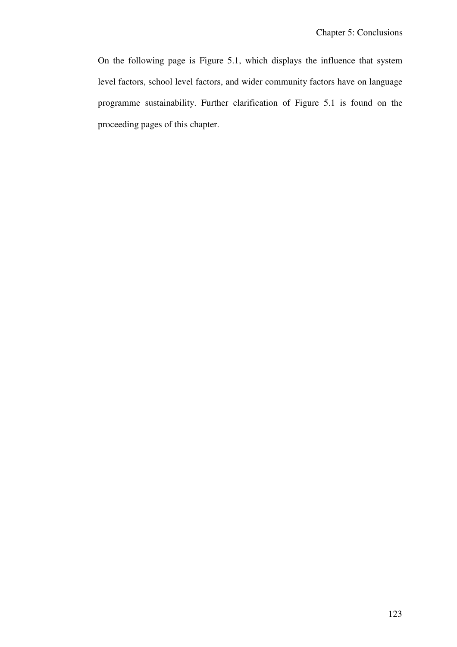On the following page is Figure 5.1, which displays the influence that system level factors, school level factors, and wider community factors have on language programme sustainability. Further clarification of Figure 5.1 is found on the proceeding pages of this chapter.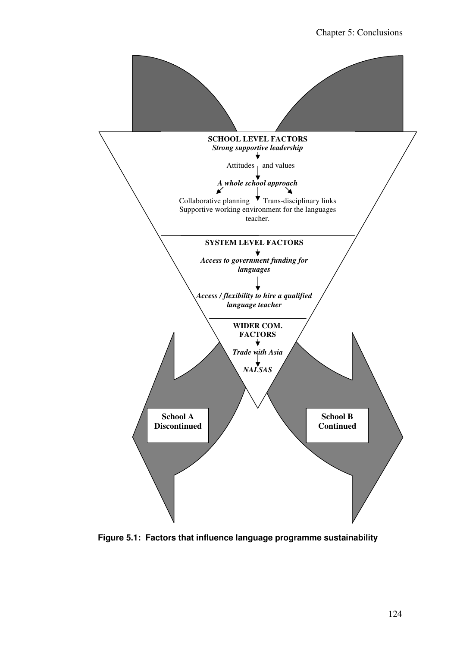

**Figure 5.1: Factors that influence language programme sustainability**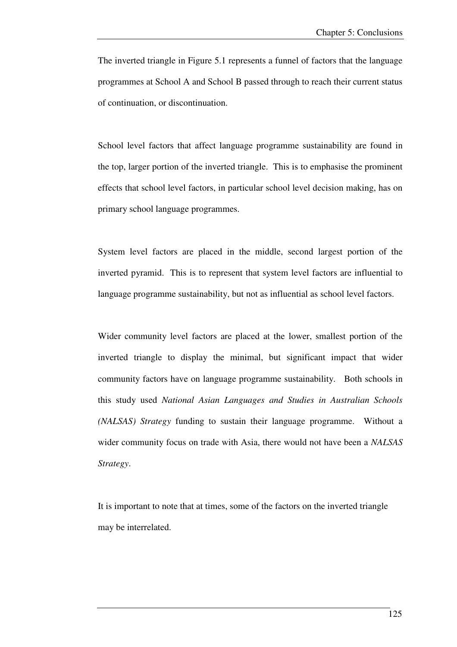The inverted triangle in Figure 5.1 represents a funnel of factors that the language programmes at School A and School B passed through to reach their current status of continuation, or discontinuation.

School level factors that affect language programme sustainability are found in the top, larger portion of the inverted triangle. This is to emphasise the prominent effects that school level factors, in particular school level decision making, has on primary school language programmes.

System level factors are placed in the middle, second largest portion of the inverted pyramid. This is to represent that system level factors are influential to language programme sustainability, but not as influential as school level factors.

Wider community level factors are placed at the lower, smallest portion of the inverted triangle to display the minimal, but significant impact that wider community factors have on language programme sustainability. Both schools in this study used *National Asian Languages and Studies in Australian Schools (NALSAS) Strategy* funding to sustain their language programme. Without a wider community focus on trade with Asia, there would not have been a *NALSAS Strategy*.

It is important to note that at times, some of the factors on the inverted triangle may be interrelated.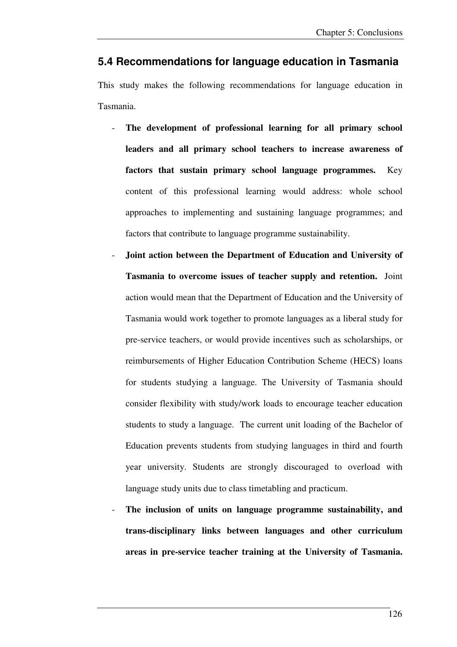## **5.4 Recommendations for language education in Tasmania**

This study makes the following recommendations for language education in Tasmania.

- **The development of professional learning for all primary school leaders and all primary school teachers to increase awareness of factors that sustain primary school language programmes.** Key content of this professional learning would address: whole school approaches to implementing and sustaining language programmes; and factors that contribute to language programme sustainability.
- **Joint action between the Department of Education and University of Tasmania to overcome issues of teacher supply and retention.** Joint action would mean that the Department of Education and the University of Tasmania would work together to promote languages as a liberal study for pre-service teachers, or would provide incentives such as scholarships, or reimbursements of Higher Education Contribution Scheme (HECS) loans for students studying a language. The University of Tasmania should consider flexibility with study/work loads to encourage teacher education students to study a language. The current unit loading of the Bachelor of Education prevents students from studying languages in third and fourth year university. Students are strongly discouraged to overload with language study units due to class timetabling and practicum.
- **The inclusion of units on language programme sustainability, and trans-disciplinary links between languages and other curriculum areas in pre-service teacher training at the University of Tasmania.**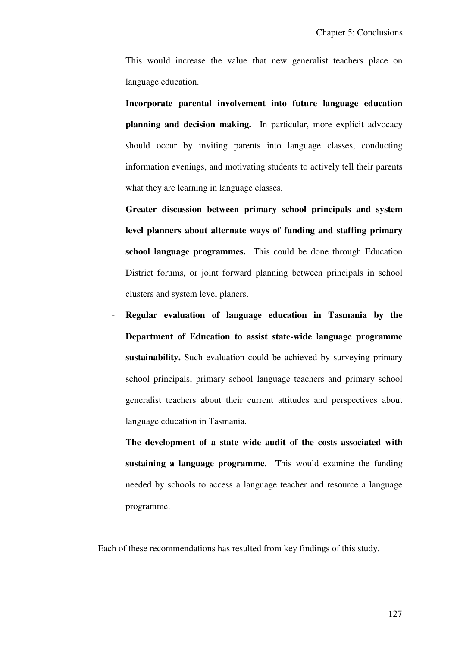This would increase the value that new generalist teachers place on language education.

- **Incorporate parental involvement into future language education planning and decision making.** In particular, more explicit advocacy should occur by inviting parents into language classes, conducting information evenings, and motivating students to actively tell their parents what they are learning in language classes.
- **Greater discussion between primary school principals and system level planners about alternate ways of funding and staffing primary school language programmes.** This could be done through Education District forums, or joint forward planning between principals in school clusters and system level planers.
- **Regular evaluation of language education in Tasmania by the Department of Education to assist state-wide language programme sustainability.** Such evaluation could be achieved by surveying primary school principals, primary school language teachers and primary school generalist teachers about their current attitudes and perspectives about language education in Tasmania.
- **The development of a state wide audit of the costs associated with sustaining a language programme.** This would examine the funding needed by schools to access a language teacher and resource a language programme.

Each of these recommendations has resulted from key findings of this study.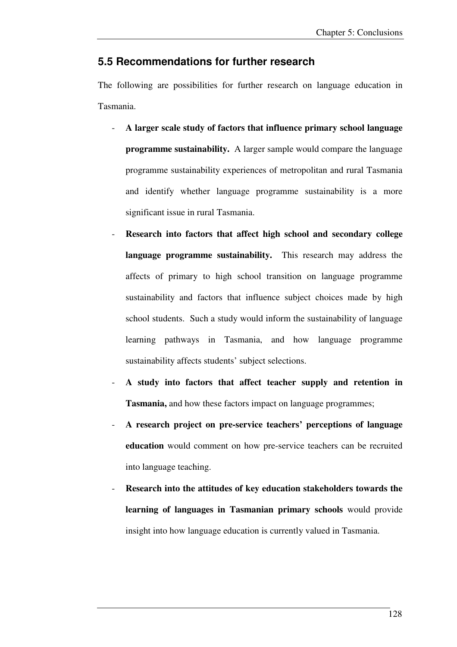## **5.5 Recommendations for further research**

The following are possibilities for further research on language education in Tasmania.

- **A larger scale study of factors that influence primary school language programme sustainability.** A larger sample would compare the language programme sustainability experiences of metropolitan and rural Tasmania and identify whether language programme sustainability is a more significant issue in rural Tasmania.
- **Research into factors that affect high school and secondary college language programme sustainability.** This research may address the affects of primary to high school transition on language programme sustainability and factors that influence subject choices made by high school students. Such a study would inform the sustainability of language learning pathways in Tasmania, and how language programme sustainability affects students' subject selections.
- **A study into factors that affect teacher supply and retention in Tasmania,** and how these factors impact on language programmes;
- **A research project on pre-service teachers' perceptions of language education** would comment on how pre-service teachers can be recruited into language teaching.
- **Research into the attitudes of key education stakeholders towards the learning of languages in Tasmanian primary schools** would provide insight into how language education is currently valued in Tasmania.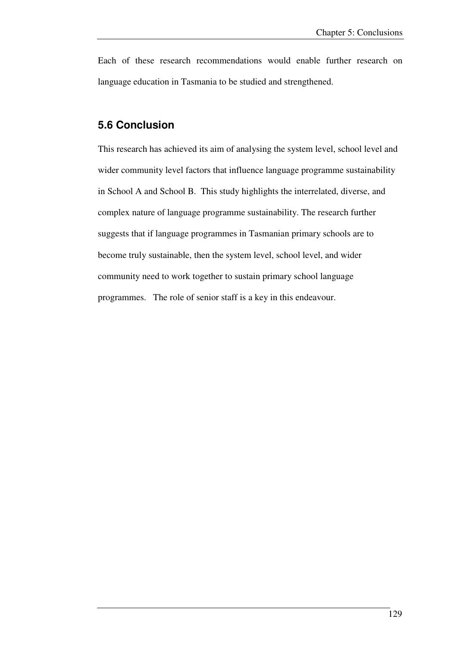Each of these research recommendations would enable further research on language education in Tasmania to be studied and strengthened.

### **5.6 Conclusion**

This research has achieved its aim of analysing the system level, school level and wider community level factors that influence language programme sustainability in School A and School B. This study highlights the interrelated, diverse, and complex nature of language programme sustainability. The research further suggests that if language programmes in Tasmanian primary schools are to become truly sustainable, then the system level, school level, and wider community need to work together to sustain primary school language programmes. The role of senior staff is a key in this endeavour.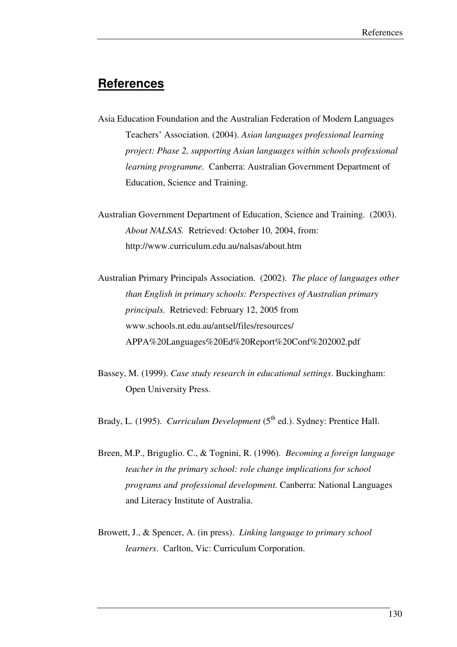## **References**

- Asia Education Foundation and the Australian Federation of Modern Languages Teachers' Association. (2004). *Asian languages professional learning project: Phase 2, supporting Asian languages within schools professional learning programme.* Canberra: Australian Government Department of Education, Science and Training.
- Australian Government Department of Education, Science and Training. (2003). *About NALSAS.* Retrieved: October 10, 2004, from: http://www.curriculum.edu.au/nalsas/about.htm
- Australian Primary Principals Association. (2002). *The place of languages other than English in primary schools: Perspectives of Australian primary principals.* Retrieved: February 12, 2005 from www.schools.nt.edu.au/antsel/files/resources/ APPA%20Languages%20Ed%20Report%20Conf%202002.pdf
- Bassey, M. (1999). *Case study research in educational settings*. Buckingham: Open University Press.
- Brady, L. (1995). *Curriculum Development* (5<sup>th</sup> ed.). Sydney: Prentice Hall.
- Breen, M.P., Briguglio. C., & Tognini, R. (1996). *Becoming a foreign language teacher in the primary school: role change implications for school programs and professional development.* Canberra: National Languages and Literacy Institute of Australia.
- Browett, J., & Spencer, A. (in press). *Linking language to primary school learners*. Carlton, Vic: Curriculum Corporation.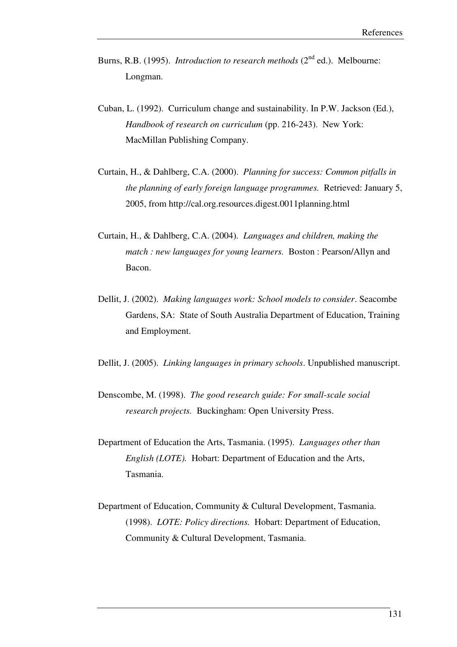- Burns, R.B. (1995). *Introduction to research methods* (2<sup>nd</sup> ed.). Melbourne: Longman.
- Cuban, L. (1992). Curriculum change and sustainability. In P.W. Jackson (Ed.), *Handbook of research on curriculum (pp. 216-243).* New York: MacMillan Publishing Company.
- Curtain, H., & Dahlberg, C.A. (2000). *Planning for success: Common pitfalls in the planning of early foreign language programmes.* Retrieved: January 5, 2005, from http://cal.org.resources.digest.0011planning.html
- Curtain, H., & Dahlberg, C.A. (2004)*. Languages and children, making the match : new languages for young learners.* Boston : Pearson/Allyn and Bacon.
- Dellit, J. (2002). *Making languages work: School models to consider*. Seacombe Gardens, SA: State of South Australia Department of Education, Training and Employment.

Dellit, J. (2005). *Linking languages in primary schools*. Unpublished manuscript.

- Denscombe, M. (1998). *The good research guide: For small-scale social research projects.* Buckingham: Open University Press.
- Department of Education the Arts, Tasmania. (1995). *Languages other than English (LOTE).* Hobart: Department of Education and the Arts, Tasmania.
- Department of Education, Community & Cultural Development, Tasmania. (1998). *LOTE: Policy directions.* Hobart: Department of Education, Community & Cultural Development, Tasmania.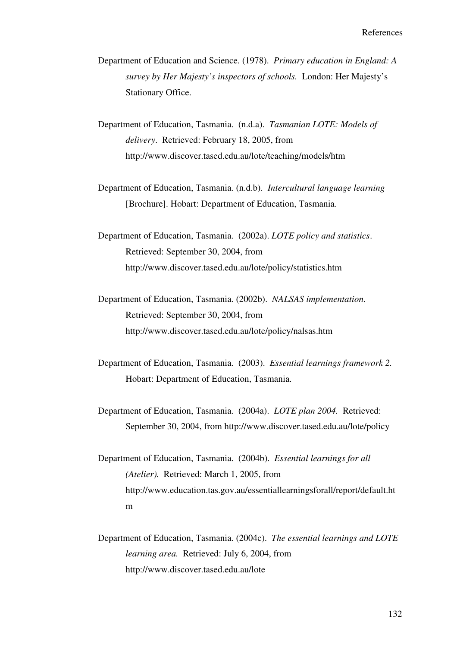- Department of Education and Science. (1978). *Primary education in England: A survey by Her Majesty's inspectors of schools.* London: Her Majesty's Stationary Office.
- Department of Education, Tasmania. (n.d.a). *Tasmanian LOTE: Models of delivery*. Retrieved: February 18, 2005, from http://www.discover.tased.edu.au/lote/teaching/models/htm
- Department of Education, Tasmania. (n.d.b). *Intercultural language learning* [Brochure]. Hobart: Department of Education, Tasmania.
- Department of Education, Tasmania. (2002a). *LOTE policy and statistics*. Retrieved: September 30, 2004, from http://www.discover.tased.edu.au/lote/policy/statistics.htm
- Department of Education, Tasmania. (2002b). *NALSAS implementation*. Retrieved: September 30, 2004, from http://www.discover.tased.edu.au/lote/policy/nalsas.htm
- Department of Education, Tasmania. (2003). *Essential learnings framework 2.* Hobart: Department of Education, Tasmania.
- Department of Education, Tasmania. (2004a). *LOTE plan 2004.* Retrieved: September 30, 2004, from http://www.discover.tased.edu.au/lote/policy
- Department of Education, Tasmania. (2004b). *Essential learnings for all (Atelier).* Retrieved: March 1, 2005, from http://www.education.tas.gov.au/essentiallearningsforall/report/default.ht m
- Department of Education, Tasmania. (2004c). *The essential learnings and LOTE learning area.* Retrieved: July 6, 2004, from http://www.discover.tased.edu.au/lote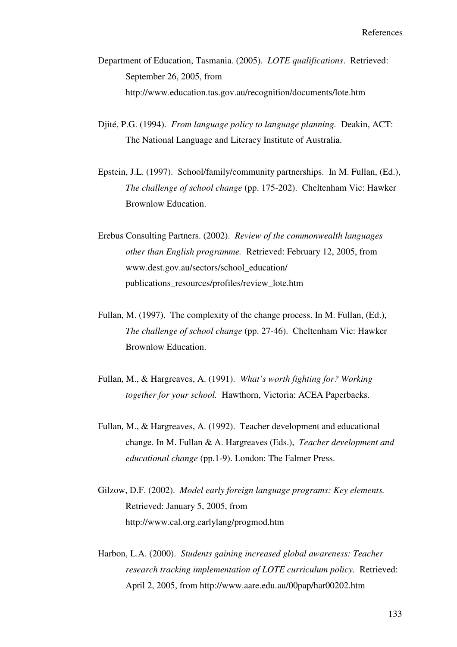- Department of Education, Tasmania. (2005). *LOTE qualifications*. Retrieved: September 26, 2005, from http://www.education.tas.gov.au/recognition/documents/lote.htm
- Djité, P.G. (1994). *From language policy to language planning.* Deakin, ACT: The National Language and Literacy Institute of Australia.
- Epstein, J.L. (1997). School/family/community partnerships. In M. Fullan, (Ed.), *The challenge of school change* (pp. 175-202). Cheltenham Vic: Hawker Brownlow Education.
- Erebus Consulting Partners. (2002). *Review of the commonwealth languages other than English programme.* Retrieved: February 12, 2005, from www.dest.gov.au/sectors/school\_education/ publications\_resources/profiles/review\_lote.htm
- Fullan, M. (1997). The complexity of the change process. In M. Fullan, (Ed.), *The challenge of school change* (pp. 27-46). Cheltenham Vic: Hawker Brownlow Education.
- Fullan, M., & Hargreaves, A. (1991). *What's worth fighting for? Working together for your school.* Hawthorn, Victoria: ACEA Paperbacks.
- Fullan, M., & Hargreaves, A. (1992). Teacher development and educational change. In M. Fullan & A. Hargreaves (Eds.), *Teacher development and educational change* (pp.1-9). London: The Falmer Press.
- Gilzow, D.F. (2002). *Model early foreign language programs: Key elements.* Retrieved: January 5, 2005, from http://www.cal.org.earlylang/progmod.htm
- Harbon, L.A. (2000). *Students gaining increased global awareness: Teacher research tracking implementation of LOTE curriculum policy.* Retrieved: April 2, 2005, from http://www.aare.edu.au/00pap/har00202.htm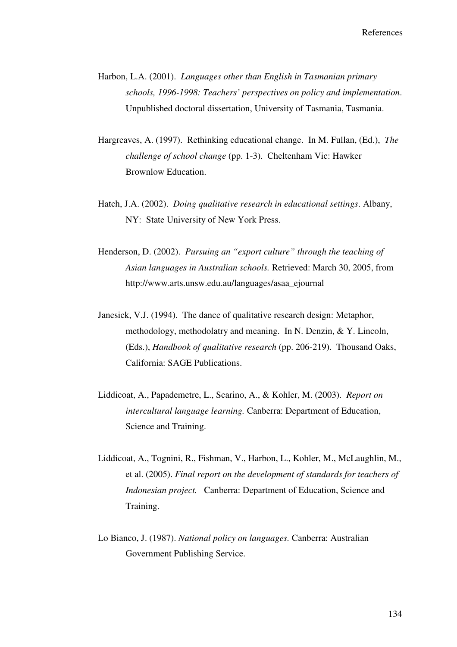- Harbon, L.A. (2001). *Languages other than English in Tasmanian primary schools, 1996-1998: Teachers' perspectives on policy and implementation*. Unpublished doctoral dissertation, University of Tasmania, Tasmania.
- Hargreaves, A. (1997). Rethinking educational change. In M. Fullan, (Ed.), *The challenge of school change* (pp. 1-3). Cheltenham Vic: Hawker Brownlow Education.
- Hatch, J.A. (2002). *Doing qualitative research in educational settings*. Albany, NY: State University of New York Press.
- Henderson, D. (2002). *Pursuing an "export culture" through the teaching of Asian languages in Australian schools.* Retrieved: March 30, 2005, from http://www.arts.unsw.edu.au/languages/asaa\_ejournal
- Janesick, V.J. (1994). The dance of qualitative research design: Metaphor, methodology, methodolatry and meaning. In N. Denzin, & Y. Lincoln, (Eds.), *Handbook of qualitative research* (pp. 206-219). Thousand Oaks, California: SAGE Publications.
- Liddicoat, A., Papademetre, L., Scarino, A., & Kohler, M. (2003). *Report on intercultural language learning.* Canberra: Department of Education, Science and Training.
- Liddicoat, A., Tognini, R., Fishman, V., Harbon, L., Kohler, M., McLaughlin, M., et al. (2005). *Final report on the development of standards for teachers of Indonesian project.* Canberra: Department of Education, Science and Training.
- Lo Bianco, J. (1987). *National policy on languages.* Canberra: Australian Government Publishing Service.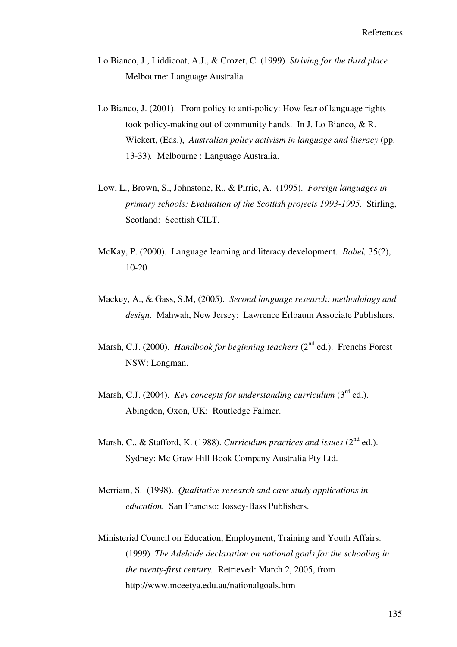- Lo Bianco, J., Liddicoat, A.J., & Crozet, C. (1999). *Striving for the third place*. Melbourne: Language Australia.
- Lo Bianco, J. (2001). From policy to anti-policy: How fear of language rights took policy-making out of community hands. In J. Lo Bianco, & R. Wickert, (Eds.), *Australian policy activism in language and literacy* (pp. 13-33)*.* Melbourne : Language Australia.
- Low, L., Brown, S., Johnstone, R., & Pirrie, A. (1995). *Foreign languages in primary schools: Evaluation of the Scottish projects 1993-1995.* Stirling, Scotland: Scottish CILT.
- McKay, P. (2000). Language learning and literacy development. *Babel,* 35(2), 10-20.
- Mackey, A., & Gass, S.M, (2005). *Second language research: methodology and design*. Mahwah, New Jersey: Lawrence Erlbaum Associate Publishers.
- Marsh, C.J. (2000). *Handbook for beginning teachers* (2<sup>nd</sup> ed.). Frenchs Forest NSW: Longman.
- Marsh, C.J. (2004). *Key concepts for understanding curriculum* (3<sup>rd</sup> ed.). Abingdon, Oxon, UK: Routledge Falmer.
- Marsh, C., & Stafford, K. (1988). *Curriculum practices and issues* (2<sup>nd</sup> ed.). Sydney: Mc Graw Hill Book Company Australia Pty Ltd.
- Merriam, S. (1998). *Qualitative research and case study applications in education.* San Franciso: Jossey-Bass Publishers.
- Ministerial Council on Education, Employment, Training and Youth Affairs. (1999). *The Adelaide declaration on national goals for the schooling in the twenty-first century.* Retrieved: March 2, 2005, from http://www.mceetya.edu.au/nationalgoals.htm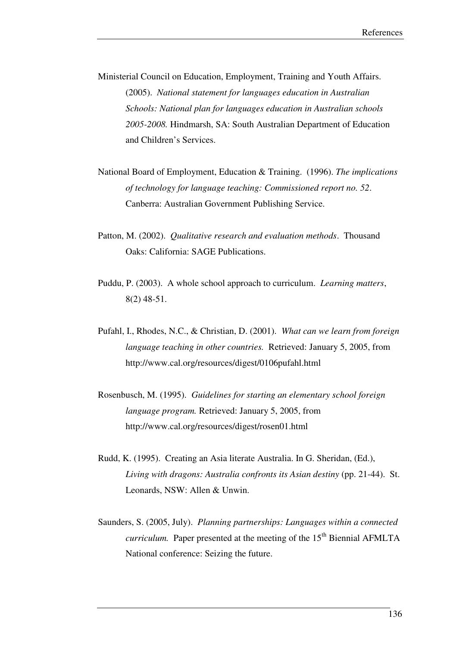Ministerial Council on Education, Employment, Training and Youth Affairs. (2005). *National statement for languages education in Australian Schools: National plan for languages education in Australian schools 2005-2008.* Hindmarsh, SA: South Australian Department of Education and Children's Services.

- National Board of Employment, Education & Training. (1996). *The implications of technology for language teaching: Commissioned report no. 52*. Canberra: Australian Government Publishing Service.
- Patton, M. (2002). *Qualitative research and evaluation methods*. Thousand Oaks: California: SAGE Publications.
- Puddu, P. (2003). A whole school approach to curriculum. *Learning matters*, 8(2) 48-51.
- Pufahl, I., Rhodes, N.C., & Christian, D. (2001). *What can we learn from foreign language teaching in other countries.* Retrieved: January 5, 2005, from http://www.cal.org/resources/digest/0106pufahl.html
- Rosenbusch, M. (1995). *Guidelines for starting an elementary school foreign language program.* Retrieved: January 5, 2005, from http://www.cal.org/resources/digest/rosen01.html
- Rudd, K. (1995). Creating an Asia literate Australia. In G. Sheridan, (Ed.), Living with dragons: Australia confronts its Asian destiny (pp. 21-44). St. Leonards, NSW: Allen & Unwin.
- Saunders, S. (2005, July). *Planning partnerships: Languages within a connected curriculum.* Paper presented at the meeting of the 15<sup>th</sup> Biennial AFMLTA National conference: Seizing the future.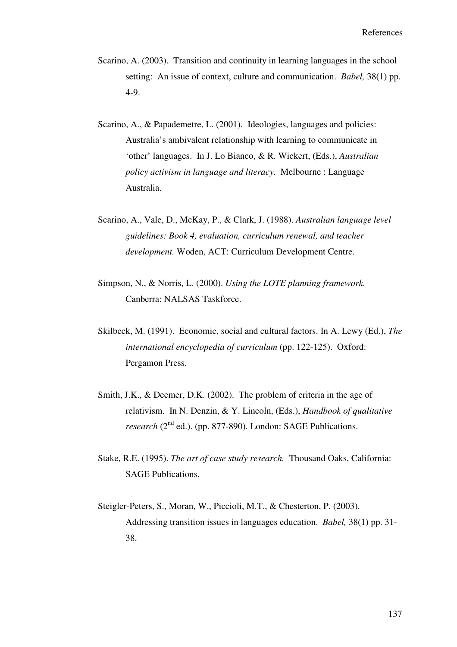- Scarino, A. (2003). Transition and continuity in learning languages in the school setting: An issue of context, culture and communication. *Babel,* 38(1) pp. 4-9.
- Scarino, A., & Papademetre, L. (2001). Ideologies, languages and policies: Australia's ambivalent relationship with learning to communicate in 'other' languages. In J. Lo Bianco, & R. Wickert, (Eds.), *Australian policy activism in language and literacy.* Melbourne : Language Australia.
- Scarino, A., Vale, D., McKay, P., & Clark, J. (1988). *Australian language level guidelines: Book 4, evaluation, curriculum renewal, and teacher development.* Woden, ACT: Curriculum Development Centre.
- Simpson, N., & Norris, L. (2000). *Using the LOTE planning framework.*  Canberra: NALSAS Taskforce.
- Skilbeck, M. (1991). Economic, social and cultural factors. In A. Lewy (Ed.), *The international encyclopedia of curriculum* (pp. 122-125). Oxford: Pergamon Press.
- Smith, J.K., & Deemer, D.K. (2002). The problem of criteria in the age of relativism. In N. Denzin, & Y. Lincoln, (Eds.), *Handbook of qualitative research* (2<sup>nd</sup> ed.). (pp. 877-890). London: SAGE Publications.
- Stake, R.E. (1995). *The art of case study research.* Thousand Oaks, California: SAGE Publications.
- Steigler-Peters, S., Moran, W., Piccioli, M.T., & Chesterton, P. (2003). Addressing transition issues in languages education. *Babel,* 38(1) pp. 31- 38.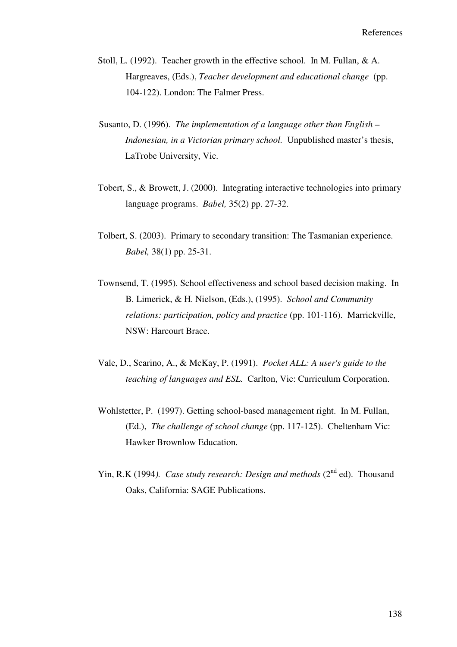- Stoll, L. (1992). Teacher growth in the effective school. In M. Fullan, & A. Hargreaves, (Eds.), *Teacher development and educational change* (pp. 104-122). London: The Falmer Press.
- Susanto, D. (1996). *The implementation of a language other than English Indonesian, in a Victorian primary school.* Unpublished master's thesis, LaTrobe University, Vic.
- Tobert, S., & Browett, J. (2000). Integrating interactive technologies into primary language programs. *Babel,* 35(2) pp. 27-32.
- Tolbert, S. (2003). Primary to secondary transition: The Tasmanian experience. *Babel,* 38(1) pp. 25-31.
- Townsend, T. (1995). School effectiveness and school based decision making. In B. Limerick, & H. Nielson, (Eds.), (1995). *School and Community relations: participation, policy and practice* (pp. 101-116). Marrickville, NSW: Harcourt Brace.
- Vale, D., Scarino, A., & McKay, P. (1991). *Pocket ALL: A user's guide to the teaching of languages and ESL.* Carlton, Vic: Curriculum Corporation.
- Wohlstetter, P. (1997). Getting school-based management right. In M. Fullan, (Ed.), *The challenge of school change* (pp. 117-125). Cheltenham Vic: Hawker Brownlow Education.
- Yin, R.K (1994). *Case study research: Design and methods* (2<sup>nd</sup> ed). Thousand Oaks, California: SAGE Publications.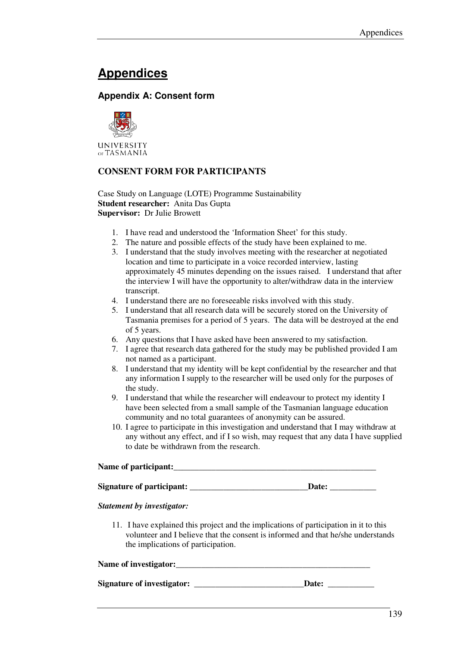# **Appendices**

# **Appendix A: Consent form**



### **CONSENT FORM FOR PARTICIPANTS**

Case Study on Language (LOTE) Programme Sustainability **Student researcher:** Anita Das Gupta **Supervisor:** Dr Julie Browett

- 1. I have read and understood the 'Information Sheet' for this study.
- 2. The nature and possible effects of the study have been explained to me.
- 3. I understand that the study involves meeting with the researcher at negotiated location and time to participate in a voice recorded interview, lasting approximately 45 minutes depending on the issues raised. I understand that after the interview I will have the opportunity to alter/withdraw data in the interview transcript.
- 4. I understand there are no foreseeable risks involved with this study.
- 5. I understand that all research data will be securely stored on the University of Tasmania premises for a period of 5 years. The data will be destroyed at the end of 5 years.
- 6. Any questions that I have asked have been answered to my satisfaction.
- 7. I agree that research data gathered for the study may be published provided I am not named as a participant.
- 8. I understand that my identity will be kept confidential by the researcher and that any information I supply to the researcher will be used only for the purposes of the study.
- 9. I understand that while the researcher will endeavour to protect my identity I have been selected from a small sample of the Tasmanian language education community and no total guarantees of anonymity can be assured.
- 10. I agree to participate in this investigation and understand that I may withdraw at any without any effect, and if I so wish, may request that any data I have supplied to date be withdrawn from the research.

| Name of participant:             |       |
|----------------------------------|-------|
| <b>Signature of participant:</b> | Date: |

#### *Statement by investigator:*

11. I have explained this project and the implications of participation in it to this volunteer and I believe that the consent is informed and that he/she understands the implications of participation.

#### Name of investigator:

**Signature of investigator: \_\_\_\_\_\_\_\_\_\_\_\_\_\_\_\_\_\_\_\_\_\_\_\_\_\_Date: \_\_\_\_\_\_\_\_\_\_\_**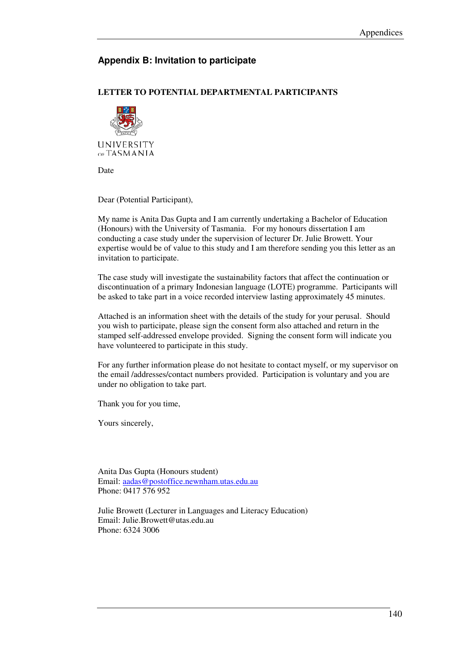# **Appendix B: Invitation to participate**

# **LETTER TO POTENTIAL DEPARTMENTAL PARTICIPANTS**



Date

Dear (Potential Participant),

My name is Anita Das Gupta and I am currently undertaking a Bachelor of Education (Honours) with the University of Tasmania. For my honours dissertation I am conducting a case study under the supervision of lecturer Dr. Julie Browett. Your expertise would be of value to this study and I am therefore sending you this letter as an invitation to participate.

The case study will investigate the sustainability factors that affect the continuation or discontinuation of a primary Indonesian language (LOTE) programme. Participants will be asked to take part in a voice recorded interview lasting approximately 45 minutes.

Attached is an information sheet with the details of the study for your perusal. Should you wish to participate, please sign the consent form also attached and return in the stamped self-addressed envelope provided. Signing the consent form will indicate you have volunteered to participate in this study.

For any further information please do not hesitate to contact myself, or my supervisor on the email /addresses/contact numbers provided. Participation is voluntary and you are under no obligation to take part.

Thank you for you time,

Yours sincerely,

Anita Das Gupta (Honours student) Email: aadas@postoffice.newnham.utas.edu.au Phone: 0417 576 952

Julie Browett (Lecturer in Languages and Literacy Education) Email: Julie.Browett@utas.edu.au Phone: 6324 3006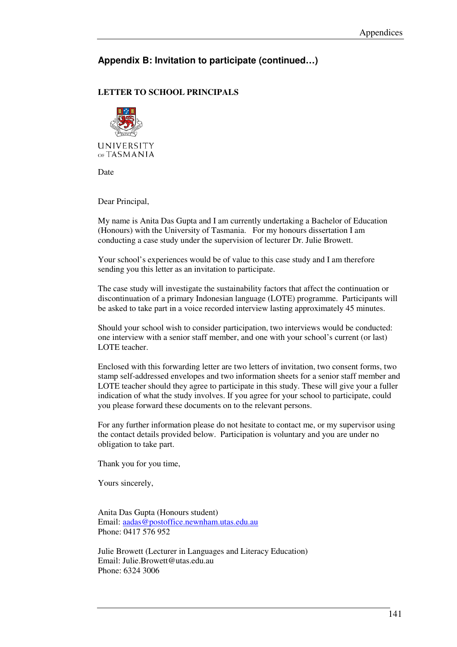# **Appendix B: Invitation to participate (continued…)**

### **LETTER TO SCHOOL PRINCIPALS**



Date

Dear Principal,

My name is Anita Das Gupta and I am currently undertaking a Bachelor of Education (Honours) with the University of Tasmania. For my honours dissertation I am conducting a case study under the supervision of lecturer Dr. Julie Browett.

Your school's experiences would be of value to this case study and I am therefore sending you this letter as an invitation to participate.

The case study will investigate the sustainability factors that affect the continuation or discontinuation of a primary Indonesian language (LOTE) programme. Participants will be asked to take part in a voice recorded interview lasting approximately 45 minutes.

Should your school wish to consider participation, two interviews would be conducted: one interview with a senior staff member, and one with your school's current (or last) LOTE teacher.

Enclosed with this forwarding letter are two letters of invitation, two consent forms, two stamp self-addressed envelopes and two information sheets for a senior staff member and LOTE teacher should they agree to participate in this study. These will give your a fuller indication of what the study involves. If you agree for your school to participate, could you please forward these documents on to the relevant persons.

For any further information please do not hesitate to contact me, or my supervisor using the contact details provided below. Participation is voluntary and you are under no obligation to take part.

Thank you for you time,

Yours sincerely,

Anita Das Gupta (Honours student) Email: aadas@postoffice.newnham.utas.edu.au Phone: 0417 576 952

Julie Browett (Lecturer in Languages and Literacy Education) Email: Julie.Browett@utas.edu.au Phone: 6324 3006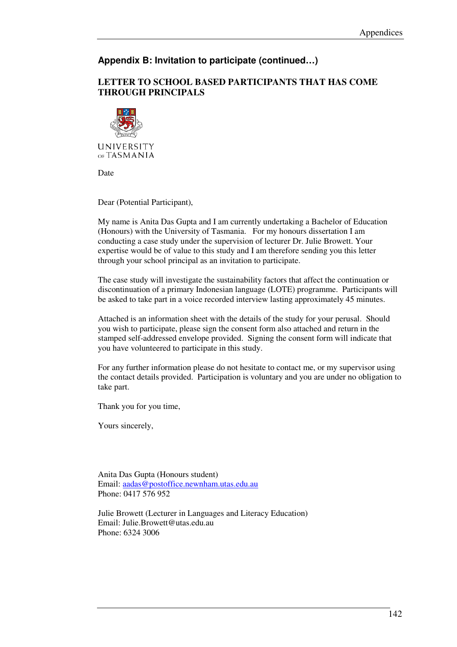# **Appendix B: Invitation to participate (continued…)**

# **LETTER TO SCHOOL BASED PARTICIPANTS THAT HAS COME THROUGH PRINCIPALS**



Date

Dear (Potential Participant),

My name is Anita Das Gupta and I am currently undertaking a Bachelor of Education (Honours) with the University of Tasmania. For my honours dissertation I am conducting a case study under the supervision of lecturer Dr. Julie Browett. Your expertise would be of value to this study and I am therefore sending you this letter through your school principal as an invitation to participate.

The case study will investigate the sustainability factors that affect the continuation or discontinuation of a primary Indonesian language (LOTE) programme. Participants will be asked to take part in a voice recorded interview lasting approximately 45 minutes.

Attached is an information sheet with the details of the study for your perusal. Should you wish to participate, please sign the consent form also attached and return in the stamped self-addressed envelope provided. Signing the consent form will indicate that you have volunteered to participate in this study.

For any further information please do not hesitate to contact me, or my supervisor using the contact details provided. Participation is voluntary and you are under no obligation to take part.

Thank you for you time,

Yours sincerely,

Anita Das Gupta (Honours student) Email: aadas@postoffice.newnham.utas.edu.au Phone: 0417 576 952

Julie Browett (Lecturer in Languages and Literacy Education) Email: Julie.Browett@utas.edu.au Phone: 6324 3006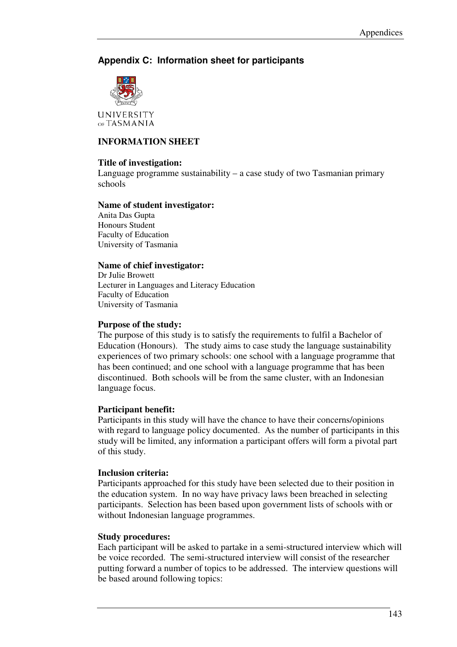# **Appendix C: Information sheet for participants**



UNIVERSITY OF TASMANIA

# **INFORMATION SHEET**

### **Title of investigation:**

Language programme sustainability – a case study of two Tasmanian primary schools

#### **Name of student investigator:**

Anita Das Gupta Honours Student Faculty of Education University of Tasmania

#### **Name of chief investigator:**

Dr Julie Browett Lecturer in Languages and Literacy Education Faculty of Education University of Tasmania

#### **Purpose of the study:**

The purpose of this study is to satisfy the requirements to fulfil a Bachelor of Education (Honours). The study aims to case study the language sustainability experiences of two primary schools: one school with a language programme that has been continued; and one school with a language programme that has been discontinued. Both schools will be from the same cluster, with an Indonesian language focus.

#### **Participant benefit:**

Participants in this study will have the chance to have their concerns/opinions with regard to language policy documented. As the number of participants in this study will be limited, any information a participant offers will form a pivotal part of this study.

#### **Inclusion criteria:**

Participants approached for this study have been selected due to their position in the education system. In no way have privacy laws been breached in selecting participants. Selection has been based upon government lists of schools with or without Indonesian language programmes.

#### **Study procedures:**

Each participant will be asked to partake in a semi-structured interview which will be voice recorded. The semi-structured interview will consist of the researcher putting forward a number of topics to be addressed. The interview questions will be based around following topics: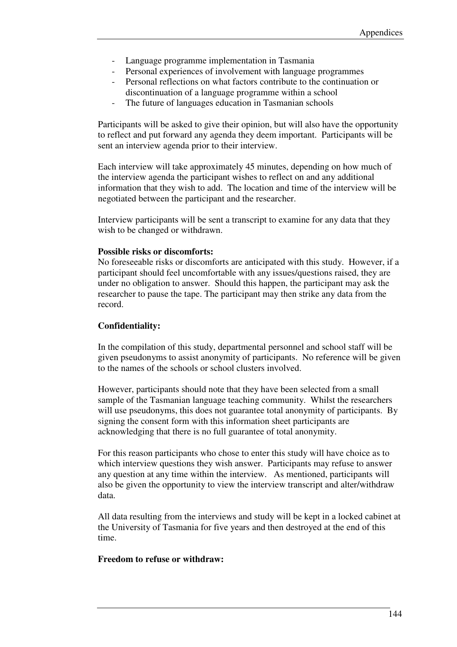- Language programme implementation in Tasmania
- Personal experiences of involvement with language programmes
- Personal reflections on what factors contribute to the continuation or discontinuation of a language programme within a school
- The future of languages education in Tasmanian schools

Participants will be asked to give their opinion, but will also have the opportunity to reflect and put forward any agenda they deem important. Participants will be sent an interview agenda prior to their interview.

Each interview will take approximately 45 minutes, depending on how much of the interview agenda the participant wishes to reflect on and any additional information that they wish to add. The location and time of the interview will be negotiated between the participant and the researcher.

Interview participants will be sent a transcript to examine for any data that they wish to be changed or withdrawn.

#### **Possible risks or discomforts:**

No foreseeable risks or discomforts are anticipated with this study. However, if a participant should feel uncomfortable with any issues/questions raised, they are under no obligation to answer. Should this happen, the participant may ask the researcher to pause the tape. The participant may then strike any data from the record.

# **Confidentiality:**

In the compilation of this study, departmental personnel and school staff will be given pseudonyms to assist anonymity of participants. No reference will be given to the names of the schools or school clusters involved.

However, participants should note that they have been selected from a small sample of the Tasmanian language teaching community. Whilst the researchers will use pseudonyms, this does not guarantee total anonymity of participants. By signing the consent form with this information sheet participants are acknowledging that there is no full guarantee of total anonymity.

For this reason participants who chose to enter this study will have choice as to which interview questions they wish answer. Participants may refuse to answer any question at any time within the interview. As mentioned, participants will also be given the opportunity to view the interview transcript and alter/withdraw data.

All data resulting from the interviews and study will be kept in a locked cabinet at the University of Tasmania for five years and then destroyed at the end of this time.

#### **Freedom to refuse or withdraw:**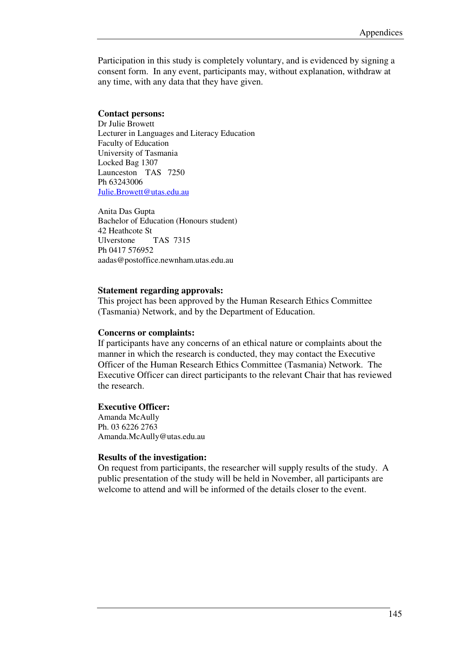Participation in this study is completely voluntary, and is evidenced by signing a consent form. In any event, participants may, without explanation, withdraw at any time, with any data that they have given.

#### **Contact persons:**

Dr Julie Browett Lecturer in Languages and Literacy Education Faculty of Education University of Tasmania Locked Bag 1307 Launceston TAS 7250 Ph 63243006 Julie.Browett@utas.edu.au

Anita Das Gupta Bachelor of Education (Honours student) 42 Heathcote St Ulverstone TAS 7315 Ph 0417 576952 aadas@postoffice.newnham.utas.edu.au

#### **Statement regarding approvals:**

This project has been approved by the Human Research Ethics Committee (Tasmania) Network, and by the Department of Education.

#### **Concerns or complaints:**

If participants have any concerns of an ethical nature or complaints about the manner in which the research is conducted, they may contact the Executive Officer of the Human Research Ethics Committee (Tasmania) Network. The Executive Officer can direct participants to the relevant Chair that has reviewed the research.

#### **Executive Officer:**

Amanda McAully Ph. 03 6226 2763 Amanda.McAully@utas.edu.au

#### **Results of the investigation:**

On request from participants, the researcher will supply results of the study. A public presentation of the study will be held in November, all participants are welcome to attend and will be informed of the details closer to the event.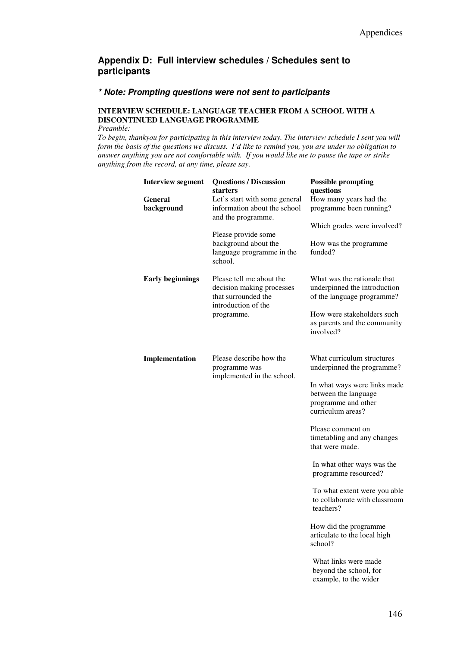#### **\* Note: Prompting questions were not sent to participants**

### **INTERVIEW SCHEDULE: LANGUAGE TEACHER FROM A SCHOOL WITH A DISCONTINUED LANGUAGE PROGRAMME**

*Preamble:* 

| questions<br>starters<br><b>General</b><br>How many years had the<br>Let's start with some general             |  |
|----------------------------------------------------------------------------------------------------------------|--|
|                                                                                                                |  |
| information about the school<br>programme been running?<br>background<br>and the programme.                    |  |
| Which grades were involved?                                                                                    |  |
| Please provide some                                                                                            |  |
| background about the<br>How was the programme<br>funded?<br>language programme in the<br>school.               |  |
| Please tell me about the<br>What was the rationale that<br><b>Early beginnings</b>                             |  |
| underpinned the introduction<br>decision making processes<br>that surrounded the<br>of the language programme? |  |
| introduction of the<br>How were stakeholders such                                                              |  |
| programme.<br>as parents and the community<br>involved?                                                        |  |
|                                                                                                                |  |
| Please describe how the<br>What curriculum structures<br>Implementation                                        |  |
| underpinned the programme?<br>programme was<br>implemented in the school.                                      |  |
| In what ways were links made                                                                                   |  |
| between the language                                                                                           |  |
| programme and other<br>curriculum areas?                                                                       |  |
| Please comment on                                                                                              |  |
| timetabling and any changes                                                                                    |  |
| that were made.                                                                                                |  |
| In what other ways was the<br>programme resourced?                                                             |  |
| To what extent were you able<br>to collaborate with classroom                                                  |  |
| teachers?                                                                                                      |  |
| How did the programme                                                                                          |  |
| articulate to the local high<br>school?                                                                        |  |
| What links were made                                                                                           |  |
| beyond the school, for<br>example, to the wider                                                                |  |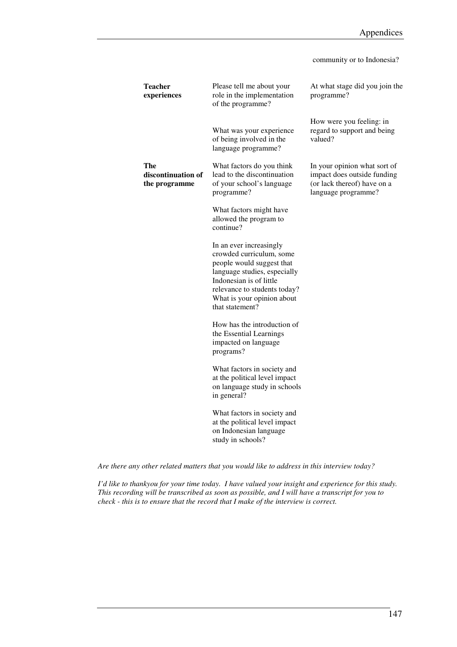|                                            |                                                                                                                                                                                                                              | community or to Indonesia?                                                                                        |
|--------------------------------------------|------------------------------------------------------------------------------------------------------------------------------------------------------------------------------------------------------------------------------|-------------------------------------------------------------------------------------------------------------------|
| <b>Teacher</b><br>experiences              | Please tell me about your<br>role in the implementation<br>of the programme?                                                                                                                                                 | At what stage did you join the<br>programme?                                                                      |
|                                            | What was your experience<br>of being involved in the<br>language programme?                                                                                                                                                  | How were you feeling: in<br>regard to support and being<br>valued?                                                |
| The<br>discontinuation of<br>the programme | What factors do you think<br>lead to the discontinuation<br>of your school's language<br>programme?                                                                                                                          | In your opinion what sort of<br>impact does outside funding<br>(or lack thereof) have on a<br>language programme? |
|                                            | What factors might have<br>allowed the program to<br>continue?                                                                                                                                                               |                                                                                                                   |
|                                            | In an ever increasingly<br>crowded curriculum, some<br>people would suggest that<br>language studies, especially<br>Indonesian is of little<br>relevance to students today?<br>What is your opinion about<br>that statement? |                                                                                                                   |
|                                            | How has the introduction of<br>the Essential Learnings<br>impacted on language<br>programs?                                                                                                                                  |                                                                                                                   |
|                                            | What factors in society and<br>at the political level impact<br>on language study in schools<br>in general?                                                                                                                  |                                                                                                                   |
|                                            | What factors in society and<br>at the political level impact<br>on Indonesian language<br>study in schools?                                                                                                                  |                                                                                                                   |
|                                            |                                                                                                                                                                                                                              |                                                                                                                   |

*Are there any other related matters that you would like to address in this interview today?*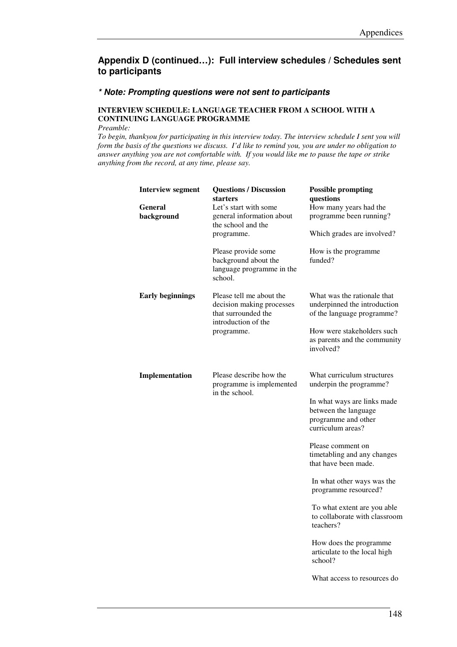#### **\* Note: Prompting questions were not sent to participants**

#### **INTERVIEW SCHEDULE: LANGUAGE TEACHER FROM A SCHOOL WITH A CONTINUING LANGUAGE PROGRAMME**

*Preamble:* 

| <b>Interview segment</b><br>General | <b>Questions / Discussion</b><br>starters<br>Let's start with some                                  | <b>Possible prompting</b><br>questions<br>How many years had the                                |
|-------------------------------------|-----------------------------------------------------------------------------------------------------|-------------------------------------------------------------------------------------------------|
| background                          | general information about<br>the school and the<br>programme.                                       | programme been running?<br>Which grades are involved?                                           |
|                                     | Please provide some<br>background about the<br>language programme in the<br>school.                 | How is the programme<br>funded?                                                                 |
| <b>Early beginnings</b>             | Please tell me about the<br>decision making processes<br>that surrounded the<br>introduction of the | What was the rationale that<br>underpinned the introduction<br>of the language programme?       |
|                                     | programme.                                                                                          | How were stakeholders such<br>as parents and the community<br>involved?                         |
| Implementation                      | Please describe how the<br>programme is implemented<br>in the school.                               | What curriculum structures<br>underpin the programme?                                           |
|                                     |                                                                                                     | In what ways are links made<br>between the language<br>programme and other<br>curriculum areas? |
|                                     |                                                                                                     | Please comment on<br>timetabling and any changes<br>that have been made.                        |
|                                     |                                                                                                     | In what other ways was the<br>programme resourced?                                              |
|                                     |                                                                                                     | To what extent are you able<br>to collaborate with classroom<br>teachers?                       |
|                                     |                                                                                                     | How does the programme<br>articulate to the local high<br>school?                               |
|                                     |                                                                                                     | What access to resources do                                                                     |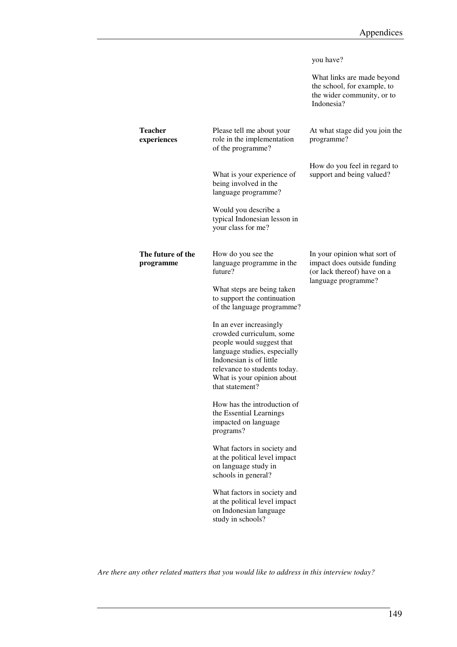|                                |                                                                                                                                                                                                                              | you have?<br>What links are made beyond<br>the school, for example, to<br>the wider community, or to              |
|--------------------------------|------------------------------------------------------------------------------------------------------------------------------------------------------------------------------------------------------------------------------|-------------------------------------------------------------------------------------------------------------------|
|                                |                                                                                                                                                                                                                              | Indonesia?                                                                                                        |
| Teacher<br>experiences         | Please tell me about your<br>role in the implementation<br>of the programme?                                                                                                                                                 | At what stage did you join the<br>programme?                                                                      |
|                                | What is your experience of<br>being involved in the<br>language programme?                                                                                                                                                   | How do you feel in regard to<br>support and being valued?                                                         |
|                                | Would you describe a<br>typical Indonesian lesson in<br>your class for me?                                                                                                                                                   |                                                                                                                   |
| The future of the<br>programme | How do you see the<br>language programme in the<br>future?                                                                                                                                                                   | In your opinion what sort of<br>impact does outside funding<br>(or lack thereof) have on a<br>language programme? |
|                                | What steps are being taken<br>to support the continuation<br>of the language programme?                                                                                                                                      |                                                                                                                   |
|                                | In an ever increasingly<br>crowded curriculum, some<br>people would suggest that<br>language studies, especially<br>Indonesian is of little<br>relevance to students today.<br>What is your opinion about<br>that statement? |                                                                                                                   |
|                                | How has the introduction of<br>the Essential Learnings<br>impacted on language<br>programs?                                                                                                                                  |                                                                                                                   |
|                                | What factors in society and<br>at the political level impact<br>on language study in<br>schools in general?                                                                                                                  |                                                                                                                   |
|                                | What factors in society and<br>at the political level impact<br>on Indonesian language<br>study in schools?                                                                                                                  |                                                                                                                   |
|                                |                                                                                                                                                                                                                              |                                                                                                                   |

*Are there any other related matters that you would like to address in this interview today?*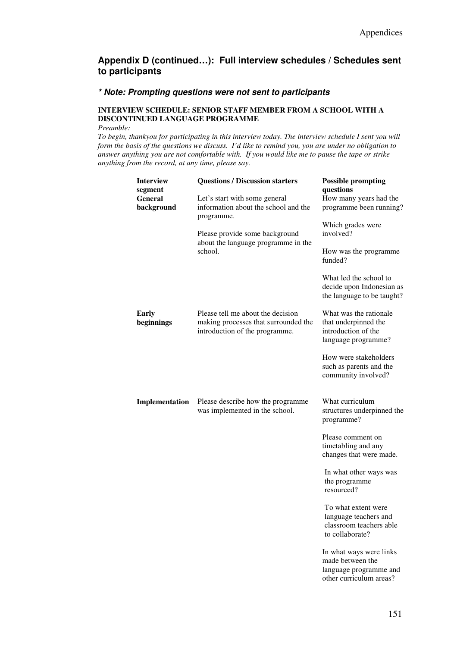#### **\* Note: Prompting questions were not sent to participants**

#### **INTERVIEW SCHEDULE: SENIOR STAFF MEMBER FROM A SCHOOL WITH A DISCONTINUED LANGUAGE PROGRAMME**

*Preamble:* 

| <b>Interview</b><br>segment<br>General<br>background | <b>Questions / Discussion starters</b><br>Let's start with some general<br>information about the school and the<br>programme.<br>Please provide some background<br>about the language programme in the<br>school. | <b>Possible prompting</b><br>questions<br>How many years had the<br>programme been running?<br>Which grades were<br>involved?<br>How was the programme<br>funded?<br>What led the school to<br>decide upon Indonesian as                                                                                                       |
|------------------------------------------------------|-------------------------------------------------------------------------------------------------------------------------------------------------------------------------------------------------------------------|--------------------------------------------------------------------------------------------------------------------------------------------------------------------------------------------------------------------------------------------------------------------------------------------------------------------------------|
| <b>Early</b><br>beginnings                           | Please tell me about the decision<br>making processes that surrounded the<br>introduction of the programme.                                                                                                       | the language to be taught?<br>What was the rationale<br>that underpinned the<br>introduction of the<br>language programme?<br>How were stakeholders                                                                                                                                                                            |
| Implementation                                       | Please describe how the programme<br>was implemented in the school.                                                                                                                                               | such as parents and the<br>community involved?<br>What curriculum<br>structures underpinned the<br>programme?                                                                                                                                                                                                                  |
|                                                      |                                                                                                                                                                                                                   | Please comment on<br>timetabling and any<br>changes that were made.<br>In what other ways was<br>the programme<br>resourced?<br>To what extent were<br>language teachers and<br>classroom teachers able<br>to collaborate?<br>In what ways were links<br>made between the<br>language programme and<br>other curriculum areas? |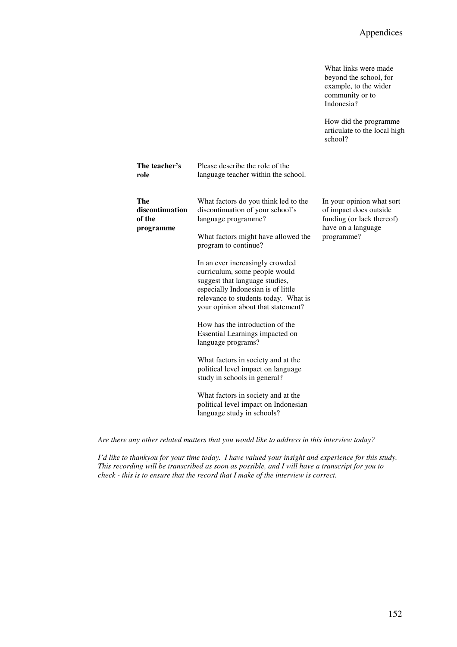What links were made beyond the school, for example, to the wider community or to

|                                                      |                                                                                                                                                                                                                                                | Indonesia?                                                                                                           |
|------------------------------------------------------|------------------------------------------------------------------------------------------------------------------------------------------------------------------------------------------------------------------------------------------------|----------------------------------------------------------------------------------------------------------------------|
|                                                      |                                                                                                                                                                                                                                                | How did the programme<br>articulate to the local high<br>school?                                                     |
| The teacher's<br>role                                | Please describe the role of the<br>language teacher within the school.                                                                                                                                                                         |                                                                                                                      |
| <b>The</b><br>discontinuation<br>of the<br>programme | What factors do you think led to the<br>discontinuation of your school's<br>language programme?<br>What factors might have allowed the                                                                                                         | In your opinion what sort<br>of impact does outside<br>funding (or lack thereof)<br>have on a language<br>programme? |
|                                                      | program to continue?<br>In an ever increasingly crowded<br>curriculum, some people would<br>suggest that language studies,<br>especially Indonesian is of little<br>relevance to students today. What is<br>your opinion about that statement? |                                                                                                                      |
|                                                      | How has the introduction of the<br>Essential Learnings impacted on<br>language programs?                                                                                                                                                       |                                                                                                                      |
|                                                      | What factors in society and at the<br>political level impact on language<br>study in schools in general?                                                                                                                                       |                                                                                                                      |
|                                                      | What factors in society and at the<br>political level impact on Indonesian<br>language study in schools?                                                                                                                                       |                                                                                                                      |

*Are there any other related matters that you would like to address in this interview today?*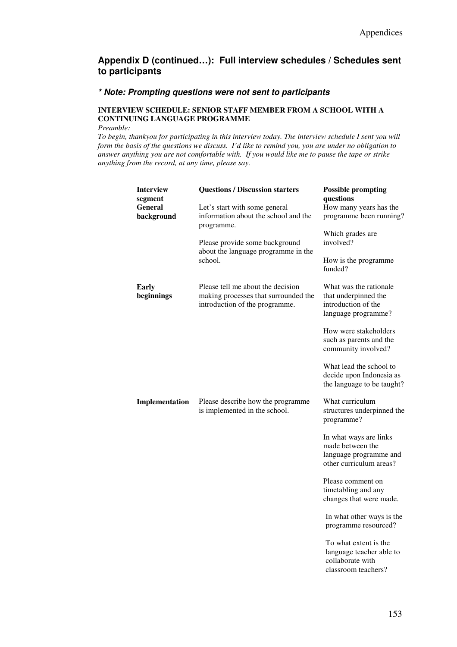#### **\* Note: Prompting questions were not sent to participants**

#### **INTERVIEW SCHEDULE: SENIOR STAFF MEMBER FROM A SCHOOL WITH A CONTINUING LANGUAGE PROGRAMME**

*Preamble:* 

| <b>Interview</b><br>segment<br><b>General</b> | <b>Questions / Discussion starters</b><br>Let's start with some general                                     | <b>Possible prompting</b><br>questions<br>How many years has the                                |
|-----------------------------------------------|-------------------------------------------------------------------------------------------------------------|-------------------------------------------------------------------------------------------------|
| background                                    | information about the school and the<br>programme.                                                          | programme been running?                                                                         |
|                                               | Please provide some background<br>about the language programme in the<br>school.                            | Which grades are<br>involved?                                                                   |
|                                               |                                                                                                             | How is the programme<br>funded?                                                                 |
| <b>Early</b><br>beginnings                    | Please tell me about the decision<br>making processes that surrounded the<br>introduction of the programme. | What was the rationale.<br>that underpinned the<br>introduction of the<br>language programme?   |
|                                               |                                                                                                             | How were stakeholders<br>such as parents and the<br>community involved?                         |
|                                               |                                                                                                             | What lead the school to<br>decide upon Indonesia as<br>the language to be taught?               |
| Implementation                                | Please describe how the programme<br>is implemented in the school.                                          | What curriculum<br>structures underpinned the<br>programme?                                     |
|                                               |                                                                                                             | In what ways are links<br>made between the<br>language programme and<br>other curriculum areas? |
|                                               |                                                                                                             | Please comment on<br>timetabling and any<br>changes that were made.                             |
|                                               |                                                                                                             | In what other ways is the<br>programme resourced?                                               |
|                                               |                                                                                                             | To what extent is the<br>language teacher able to<br>collaborate with<br>classroom teachers?    |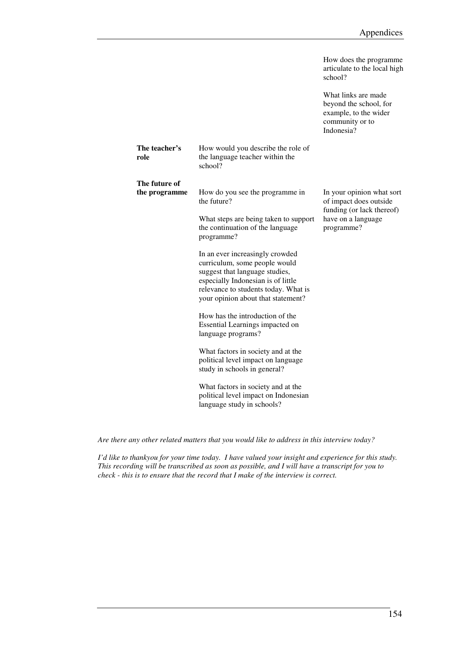|                                |                                                                                                                                                                                                                        | How does the programme<br>articulate to the local high<br>school?                                       |
|--------------------------------|------------------------------------------------------------------------------------------------------------------------------------------------------------------------------------------------------------------------|---------------------------------------------------------------------------------------------------------|
|                                |                                                                                                                                                                                                                        | What links are made<br>beyond the school, for<br>example, to the wider<br>community or to<br>Indonesia? |
| The teacher's<br>role          | How would you describe the role of<br>the language teacher within the<br>school?                                                                                                                                       |                                                                                                         |
| The future of<br>the programme | How do you see the programme in<br>the future?                                                                                                                                                                         | In your opinion what sort<br>of impact does outside                                                     |
|                                | What steps are being taken to support<br>the continuation of the language<br>programme?                                                                                                                                | funding (or lack thereof)<br>have on a language<br>programme?                                           |
|                                | In an ever increasingly crowded<br>curriculum, some people would<br>suggest that language studies,<br>especially Indonesian is of little<br>relevance to students today. What is<br>your opinion about that statement? |                                                                                                         |
|                                | How has the introduction of the<br>Essential Learnings impacted on<br>language programs?                                                                                                                               |                                                                                                         |
|                                | What factors in society and at the<br>political level impact on language<br>study in schools in general?                                                                                                               |                                                                                                         |
|                                | What factors in society and at the<br>political level impact on Indonesian<br>language study in schools?                                                                                                               |                                                                                                         |

*Are there any other related matters that you would like to address in this interview today?*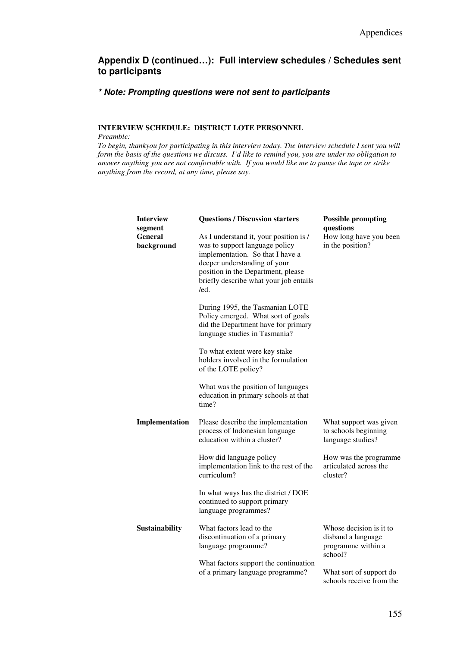#### **\* Note: Prompting questions were not sent to participants**

#### **INTERVIEW SCHEDULE: DISTRICT LOTE PERSONNEL**

*Preamble:* 

| <b>Interview</b><br>segment<br><b>General</b><br>background | <b>Questions / Discussion starters</b><br>As I understand it, your position is /<br>was to support language policy<br>implementation. So that I have a<br>deeper understanding of your<br>position in the Department, please<br>briefly describe what your job entails<br>/ed. | <b>Possible prompting</b><br>questions<br>How long have you been<br>in the position? |
|-------------------------------------------------------------|--------------------------------------------------------------------------------------------------------------------------------------------------------------------------------------------------------------------------------------------------------------------------------|--------------------------------------------------------------------------------------|
|                                                             | During 1995, the Tasmanian LOTE<br>Policy emerged. What sort of goals<br>did the Department have for primary<br>language studies in Tasmania?                                                                                                                                  |                                                                                      |
|                                                             | To what extent were key stake<br>holders involved in the formulation<br>of the LOTE policy?                                                                                                                                                                                    |                                                                                      |
|                                                             | What was the position of languages<br>education in primary schools at that<br>time?                                                                                                                                                                                            |                                                                                      |
| Implementation                                              | Please describe the implementation<br>process of Indonesian language<br>education within a cluster?                                                                                                                                                                            | What support was given<br>to schools beginning<br>language studies?                  |
|                                                             | How did language policy<br>implementation link to the rest of the<br>curriculum?                                                                                                                                                                                               | How was the programme<br>articulated across the<br>cluster?                          |
|                                                             | In what ways has the district / DOE<br>continued to support primary<br>language programmes?                                                                                                                                                                                    |                                                                                      |
| Sustainability                                              | What factors lead to the<br>discontinuation of a primary<br>language programme?                                                                                                                                                                                                | Whose decision is it to<br>disband a language<br>programme within a<br>school?       |
|                                                             | What factors support the continuation<br>of a primary language programme?                                                                                                                                                                                                      | What sort of support do<br>schools receive from the                                  |